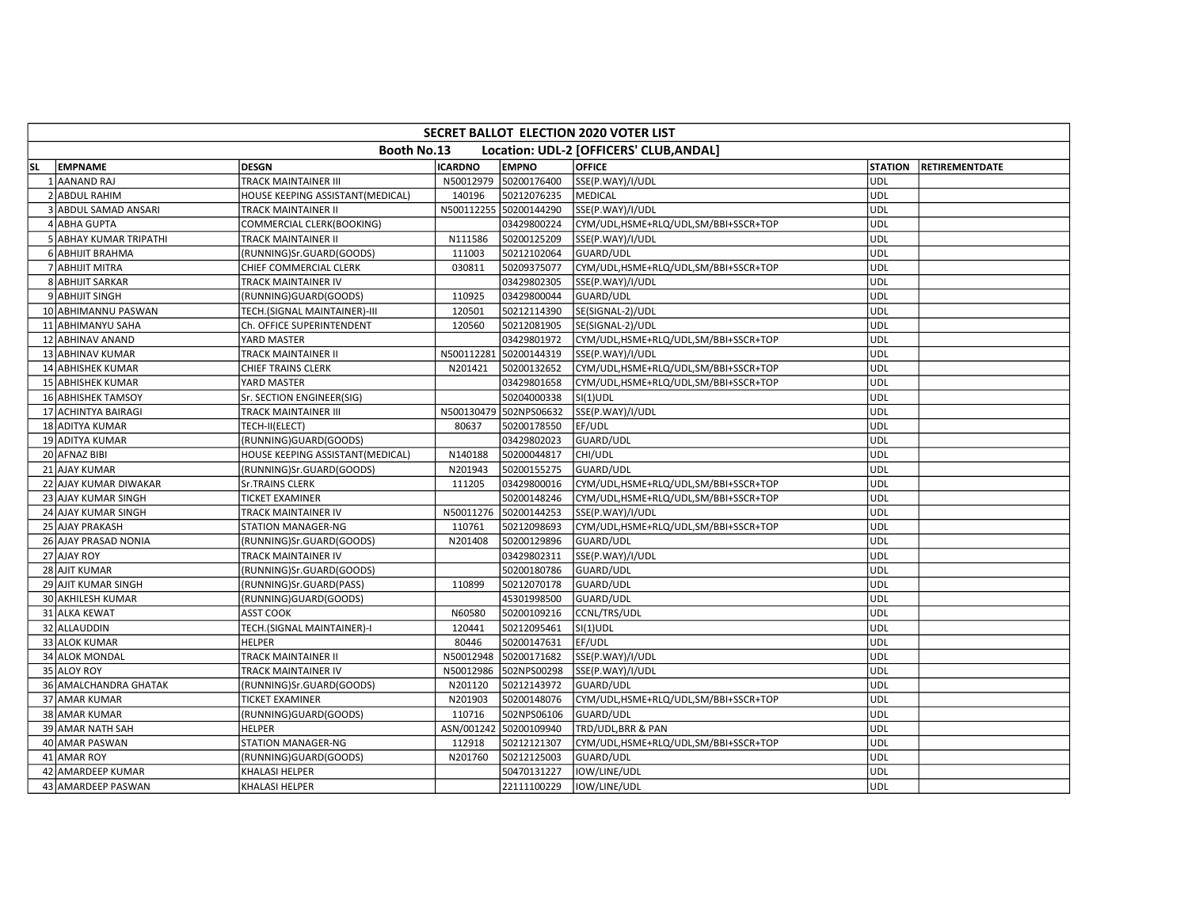|           | SECRET BALLOT ELECTION 2020 VOTER LIST |                                  |                |                        |                                         |                |                       |  |  |  |  |  |
|-----------|----------------------------------------|----------------------------------|----------------|------------------------|-----------------------------------------|----------------|-----------------------|--|--|--|--|--|
|           |                                        | Booth No.13                      |                |                        | Location: UDL-2 [OFFICERS' CLUB, ANDAL] |                |                       |  |  |  |  |  |
| <b>SL</b> | <b>EMPNAME</b>                         | <b>DESGN</b>                     | <b>ICARDNO</b> | <b>EMPNO</b>           | <b>OFFICE</b>                           | <b>STATION</b> | <b>RETIREMENTDATE</b> |  |  |  |  |  |
|           | 1 AANAND RAJ                           | TRACK MAINTAINER III             | N50012979      | 50200176400            | SSE(P.WAY)/I/UDL                        | <b>UDL</b>     |                       |  |  |  |  |  |
|           | 2 ABDUL RAHIM                          | HOUSE KEEPING ASSISTANT(MEDICAL) | 140196         | 50212076235            | <b>MEDICAL</b>                          | <b>UDL</b>     |                       |  |  |  |  |  |
|           | 3 ABDUL SAMAD ANSARI                   | TRACK MAINTAINER II              |                | N500112255 50200144290 | SSE(P.WAY)/I/UDL                        | UDL            |                       |  |  |  |  |  |
|           | 4 ABHA GUPTA                           | COMMERCIAL CLERK(BOOKING)        |                | 03429800224            | CYM/UDL,HSME+RLQ/UDL,SM/BBI+SSCR+TOP    | <b>UDL</b>     |                       |  |  |  |  |  |
|           | 5 ABHAY KUMAR TRIPATHI                 | TRACK MAINTAINER II              | N111586        | 50200125209            | SSE(P.WAY)/I/UDL                        | <b>UDL</b>     |                       |  |  |  |  |  |
|           | 6 ABHIJIT BRAHMA                       | (RUNNING)Sr.GUARD(GOODS)         | 111003         | 50212102064            | GUARD/UDL                               | <b>UDL</b>     |                       |  |  |  |  |  |
|           | 7 ABHIJIT MITRA                        | CHIEF COMMERCIAL CLERK           | 030811         | 50209375077            | CYM/UDL,HSME+RLQ/UDL,SM/BBI+SSCR+TOP    | <b>UDL</b>     |                       |  |  |  |  |  |
|           | 8 ABHIJIT SARKAR                       | TRACK MAINTAINER IV              |                | 03429802305            | SSE(P.WAY)/I/UDL                        | <b>UDL</b>     |                       |  |  |  |  |  |
|           | 9 ABHIJIT SINGH                        | (RUNNING)GUARD(GOODS)            | 110925         | 03429800044            | GUARD/UDL                               | <b>UDL</b>     |                       |  |  |  |  |  |
|           | 10 ABHIMANNU PASWAN                    | TECH.(SIGNAL MAINTAINER)-III     | 120501         | 50212114390            | SE(SIGNAL-2)/UDL                        | <b>UDL</b>     |                       |  |  |  |  |  |
|           | 11 ABHIMANYU SAHA                      | Ch. OFFICE SUPERINTENDENT        | 120560         | 50212081905            | SE(SIGNAL-2)/UDL                        | <b>UDL</b>     |                       |  |  |  |  |  |
|           | 12 ABHINAV ANAND                       | YARD MASTER                      |                | 03429801972            | CYM/UDL,HSME+RLQ/UDL,SM/BBI+SSCR+TOP    | <b>UDL</b>     |                       |  |  |  |  |  |
|           | 13 ABHINAV KUMAR                       | TRACK MAINTAINER II              | N500112281     | 50200144319            | SSE(P.WAY)/I/UDL                        | UDL            |                       |  |  |  |  |  |
|           | 14 ABHISHEK KUMAR                      | CHIEF TRAINS CLERK               | N201421        | 50200132652            | CYM/UDL,HSME+RLQ/UDL,SM/BBI+SSCR+TOP    | <b>UDL</b>     |                       |  |  |  |  |  |
|           | 15 ABHISHEK KUMAR                      | YARD MASTER                      |                | 03429801658            | CYM/UDL,HSME+RLQ/UDL,SM/BBI+SSCR+TOP    | <b>UDL</b>     |                       |  |  |  |  |  |
|           | 16 ABHISHEK TAMSOY                     | Sr. SECTION ENGINEER(SIG)        |                | 50204000338            | $SI(1)$ UDL                             | <b>UDL</b>     |                       |  |  |  |  |  |
|           | 17 ACHINTYA BAIRAGI                    | TRACK MAINTAINER III             |                | N500130479 502NPS06632 | SSE(P.WAY)/I/UDL                        | <b>UDL</b>     |                       |  |  |  |  |  |
|           | 18 ADITYA KUMAR                        | TECH-II(ELECT)                   | 80637          | 50200178550            | EF/UDL                                  | <b>UDL</b>     |                       |  |  |  |  |  |
|           | 19 ADITYA KUMAR                        | (RUNNING)GUARD(GOODS)            |                | 03429802023            | GUARD/UDL                               | <b>UDL</b>     |                       |  |  |  |  |  |
|           | 20 AFNAZ BIBI                          | HOUSE KEEPING ASSISTANT(MEDICAL) | N140188        | 50200044817            | CHI/UDL                                 | <b>UDL</b>     |                       |  |  |  |  |  |
|           | 21 AJAY KUMAR                          | (RUNNING)Sr.GUARD(GOODS)         | N201943        | 50200155275            | <b>GUARD/UDL</b>                        | <b>UDL</b>     |                       |  |  |  |  |  |
|           | 22 AJAY KUMAR DIWAKAR                  | <b>Sr.TRAINS CLERK</b>           | 111205         | 03429800016            | CYM/UDL,HSME+RLQ/UDL,SM/BBI+SSCR+TOP    | <b>UDL</b>     |                       |  |  |  |  |  |
|           | 23 AJAY KUMAR SINGH                    | TICKET EXAMINER                  |                | 50200148246            | CYM/UDL,HSME+RLQ/UDL,SM/BBI+SSCR+TOP    | <b>UDL</b>     |                       |  |  |  |  |  |
|           | 24 AJAY KUMAR SINGH                    | TRACK MAINTAINER IV              | N50011276      | 50200144253            | SSE(P.WAY)/I/UDL                        | <b>UDL</b>     |                       |  |  |  |  |  |
|           | 25 AJAY PRAKASH                        | STATION MANAGER-NG               | 110761         | 50212098693            | CYM/UDL,HSME+RLQ/UDL,SM/BBI+SSCR+TOP    | <b>UDL</b>     |                       |  |  |  |  |  |
|           | 26 AJAY PRASAD NONIA                   | (RUNNING)Sr.GUARD(GOODS)         | N201408        | 50200129896            | GUARD/UDL                               | UDL            |                       |  |  |  |  |  |
|           | 27 AJAY ROY                            | TRACK MAINTAINER IV              |                | 03429802311            | SSE(P.WAY)/I/UDL                        | <b>UDL</b>     |                       |  |  |  |  |  |
|           | 28 AJIT KUMAR                          | (RUNNING)Sr.GUARD(GOODS)         |                | 50200180786            | GUARD/UDL                               | <b>UDL</b>     |                       |  |  |  |  |  |
|           | 29 AJIT KUMAR SINGH                    | (RUNNING)Sr.GUARD(PASS)          | 110899         | 50212070178            | GUARD/UDL                               | <b>UDL</b>     |                       |  |  |  |  |  |
|           | 30 AKHILESH KUMAR                      | (RUNNING)GUARD(GOODS)            |                | 45301998500            | GUARD/UDL                               | <b>UDL</b>     |                       |  |  |  |  |  |
|           | 31 ALKA KEWAT                          | <b>ASST COOK</b>                 | N60580         | 50200109216            | CCNL/TRS/UDL                            | <b>UDL</b>     |                       |  |  |  |  |  |
|           | 32 ALLAUDDIN                           | TECH.(SIGNAL MAINTAINER)-I       | 120441         | 50212095461            | $SI(1)$ UDL                             | <b>UDL</b>     |                       |  |  |  |  |  |
|           | 33 ALOK KUMAR                          | <b>HELPER</b>                    | 80446          | 50200147631            | EF/UDL                                  | <b>UDL</b>     |                       |  |  |  |  |  |
|           | 34 ALOK MONDAL                         | TRACK MAINTAINER II              | N50012948      | 50200171682            | SSE(P.WAY)/I/UDL                        | <b>UDL</b>     |                       |  |  |  |  |  |
|           | 35 ALOY ROY                            | TRACK MAINTAINER IV              | N50012986      | 502NPS00298            | SSE(P.WAY)/I/UDL                        | <b>UDL</b>     |                       |  |  |  |  |  |
|           | 36 AMALCHANDRA GHATAK                  | (RUNNING)Sr.GUARD(GOODS)         | N201120        | 50212143972            | <b>GUARD/UDL</b>                        | <b>UDL</b>     |                       |  |  |  |  |  |
|           | 37 AMAR KUMAR                          | <b>TICKET EXAMINER</b>           | N201903        | 50200148076            | CYM/UDL,HSME+RLQ/UDL,SM/BBI+SSCR+TOP    | <b>UDL</b>     |                       |  |  |  |  |  |
|           | 38 AMAR KUMAR                          | (RUNNING)GUARD(GOODS)            | 110716         | 502NPS06106            | GUARD/UDL                               | <b>UDL</b>     |                       |  |  |  |  |  |
|           | 39 AMAR NATH SAH                       | <b>HELPER</b>                    | ASN/001242     | 50200109940            | TRD/UDL, BRR & PAN                      | <b>UDL</b>     |                       |  |  |  |  |  |
|           | 40 AMAR PASWAN                         | STATION MANAGER-NG               | 112918         | 50212121307            | CYM/UDL,HSME+RLQ/UDL,SM/BBI+SSCR+TOP    | <b>UDL</b>     |                       |  |  |  |  |  |
|           | 41 AMAR ROY                            | (RUNNING)GUARD(GOODS)            | N201760        | 50212125003            | GUARD/UDL                               | UDL            |                       |  |  |  |  |  |
|           | 42 AMARDEEP KUMAR                      | KHALASI HELPER                   |                | 50470131227            | IOW/LINE/UDL                            | UDL            |                       |  |  |  |  |  |
|           | 43 AMARDEEP PASWAN                     | KHALASI HELPER                   |                | 22111100229            | IOW/LINE/UDL                            | <b>UDL</b>     |                       |  |  |  |  |  |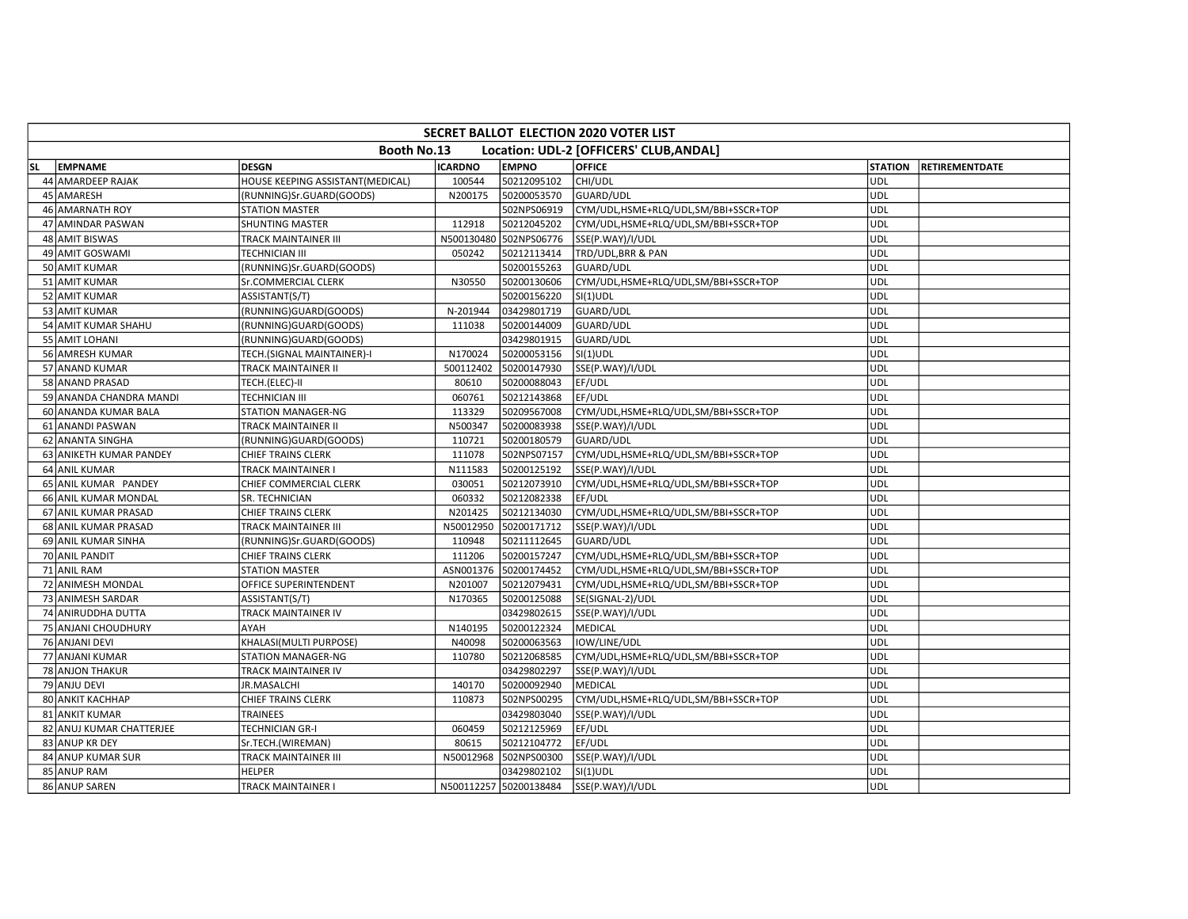|           | SECRET BALLOT ELECTION 2020 VOTER LIST |                                  |                |                        |                                         |                |                       |  |  |  |  |  |  |
|-----------|----------------------------------------|----------------------------------|----------------|------------------------|-----------------------------------------|----------------|-----------------------|--|--|--|--|--|--|
|           |                                        | Booth No.13                      |                |                        | Location: UDL-2 [OFFICERS' CLUB, ANDAL] |                |                       |  |  |  |  |  |  |
| <b>SL</b> | <b>EMPNAME</b>                         | <b>DESGN</b>                     | <b>ICARDNO</b> | <b>EMPNO</b>           | <b>OFFICE</b>                           | <b>STATION</b> | <b>RETIREMENTDATE</b> |  |  |  |  |  |  |
|           | 44 AMARDEEP RAJAK                      | HOUSE KEEPING ASSISTANT(MEDICAL) | 100544         | 50212095102            | CHI/UDL                                 | <b>UDL</b>     |                       |  |  |  |  |  |  |
|           | 45 AMARESH                             | (RUNNING)Sr.GUARD(GOODS)         | N200175        | 50200053570            | GUARD/UDL                               | <b>UDL</b>     |                       |  |  |  |  |  |  |
|           | 46 AMARNATH ROY                        | <b>STATION MASTER</b>            |                | 502NPS06919            | CYM/UDL,HSME+RLQ/UDL,SM/BBI+SSCR+TOP    | UDL            |                       |  |  |  |  |  |  |
|           | 47 AMINDAR PASWAN                      | SHUNTING MASTER                  | 112918         | 50212045202            | CYM/UDL,HSME+RLQ/UDL,SM/BBI+SSCR+TOP    | <b>UDL</b>     |                       |  |  |  |  |  |  |
|           | 48 AMIT BISWAS                         | TRACK MAINTAINER III             |                | N500130480 502NPS06776 | SSE(P.WAY)/I/UDL                        | <b>UDL</b>     |                       |  |  |  |  |  |  |
|           | 49 AMIT GOSWAMI                        | <b>TECHNICIAN III</b>            | 050242         | 50212113414            | TRD/UDL, BRR & PAN                      | <b>UDL</b>     |                       |  |  |  |  |  |  |
|           | 50 AMIT KUMAR                          | (RUNNING)Sr.GUARD(GOODS)         |                | 50200155263            | GUARD/UDL                               | <b>UDL</b>     |                       |  |  |  |  |  |  |
|           | 51 AMIT KUMAR                          | Sr.COMMERCIAL CLERK              | N30550         | 50200130606            | CYM/UDL,HSME+RLQ/UDL,SM/BBI+SSCR+TOP    | <b>UDL</b>     |                       |  |  |  |  |  |  |
|           | 52 AMIT KUMAR                          | ASSISTANT(S/T)                   |                | 50200156220            | SI(1)UDL                                | UDL            |                       |  |  |  |  |  |  |
|           | 53 AMIT KUMAR                          | (RUNNING)GUARD(GOODS)            | N-201944       | 03429801719            | GUARD/UDL                               | <b>UDL</b>     |                       |  |  |  |  |  |  |
|           | 54 AMIT KUMAR SHAHU                    | (RUNNING)GUARD(GOODS)            | 111038         | 50200144009            | GUARD/UDL                               | <b>UDL</b>     |                       |  |  |  |  |  |  |
|           | 55 AMIT LOHANI                         | (RUNNING)GUARD(GOODS)            |                | 03429801915            | GUARD/UDL                               | <b>UDL</b>     |                       |  |  |  |  |  |  |
|           | 56 AMRESH KUMAR                        | TECH.(SIGNAL MAINTAINER)-I       | N170024        | 50200053156            | $SI(1)$ UDL                             | <b>UDL</b>     |                       |  |  |  |  |  |  |
|           | 57 ANAND KUMAR                         | TRACK MAINTAINER II              | 500112402      | 50200147930            | SSE(P.WAY)/I/UDL                        | UDL            |                       |  |  |  |  |  |  |
|           | 58 ANAND PRASAD                        | TECH.(ELEC)-II                   | 80610          | 50200088043            | EF/UDL                                  | <b>UDL</b>     |                       |  |  |  |  |  |  |
|           | 59 ANANDA CHANDRA MANDI                | <b>TECHNICIAN III</b>            | 060761         | 50212143868            | EF/UDL                                  | UDL            |                       |  |  |  |  |  |  |
|           | 60 ANANDA KUMAR BALA                   | STATION MANAGER-NG               | 113329         | 50209567008            | CYM/UDL,HSME+RLQ/UDL,SM/BBI+SSCR+TOP    | <b>UDL</b>     |                       |  |  |  |  |  |  |
|           | 61 ANANDI PASWAN                       | TRACK MAINTAINER II              | N500347        | 50200083938            | SSE(P.WAY)/I/UDL                        | <b>UDL</b>     |                       |  |  |  |  |  |  |
|           | 62 ANANTA SINGHA                       | (RUNNING)GUARD(GOODS)            | 110721         | 50200180579            | GUARD/UDL                               | <b>UDL</b>     |                       |  |  |  |  |  |  |
|           | 63 ANIKETH KUMAR PANDEY                | CHIEF TRAINS CLERK               | 111078         | 502NPS07157            | CYM/UDL,HSME+RLQ/UDL,SM/BBI+SSCR+TOP    | <b>UDL</b>     |                       |  |  |  |  |  |  |
|           | 64 ANIL KUMAR                          | TRACK MAINTAINER I               | N111583        | 50200125192            | SSE(P.WAY)/I/UDL                        | <b>UDL</b>     |                       |  |  |  |  |  |  |
|           | 65 ANIL KUMAR PANDEY                   | CHIEF COMMERCIAL CLERK           | 030051         | 50212073910            | CYM/UDL,HSME+RLQ/UDL,SM/BBI+SSCR+TOP    | <b>UDL</b>     |                       |  |  |  |  |  |  |
|           | 66 ANIL KUMAR MONDAL                   | SR. TECHNICIAN                   | 060332         | 50212082338            | EF/UDL                                  | <b>UDL</b>     |                       |  |  |  |  |  |  |
|           | 67 ANIL KUMAR PRASAD                   | CHIEF TRAINS CLERK               | N201425        | 50212134030            | CYM/UDL,HSME+RLQ/UDL,SM/BBI+SSCR+TOP    | <b>UDL</b>     |                       |  |  |  |  |  |  |
|           | 68 ANIL KUMAR PRASAD                   | TRACK MAINTAINER III             | N50012950      | 50200171712            | SSE(P.WAY)/I/UDL                        | <b>UDL</b>     |                       |  |  |  |  |  |  |
|           | 69 ANIL KUMAR SINHA                    | (RUNNING)Sr.GUARD(GOODS)         | 110948         | 50211112645            | GUARD/UDL                               | UDL            |                       |  |  |  |  |  |  |
|           | 70 ANIL PANDIT                         | CHIEF TRAINS CLERK               | 111206         | 50200157247            | CYM/UDL,HSME+RLQ/UDL,SM/BBI+SSCR+TOP    | <b>UDL</b>     |                       |  |  |  |  |  |  |
|           | 71 ANIL RAM                            | STATION MASTER                   | ASN001376      | 50200174452            | CYM/UDL,HSME+RLQ/UDL,SM/BBI+SSCR+TOP    | <b>UDL</b>     |                       |  |  |  |  |  |  |
|           | 72 ANIMESH MONDAL                      | OFFICE SUPERINTENDENT            | N201007        | 50212079431            | CYM/UDL,HSME+RLQ/UDL,SM/BBI+SSCR+TOP    | <b>UDL</b>     |                       |  |  |  |  |  |  |
|           | 73 ANIMESH SARDAR                      | ASSISTANT(S/T)                   | N170365        | 50200125088            | SE(SIGNAL-2)/UDL                        | <b>UDL</b>     |                       |  |  |  |  |  |  |
|           | 74 ANIRUDDHA DUTTA                     | TRACK MAINTAINER IV              |                | 03429802615            | SSE(P.WAY)/I/UDL                        | <b>UDL</b>     |                       |  |  |  |  |  |  |
|           | 75 ANJANI CHOUDHURY                    | AYAH                             | N140195        | 50200122324            | <b>MEDICAL</b>                          | UDL            |                       |  |  |  |  |  |  |
|           | 76 ANJANI DEVI                         | KHALASI(MULTI PURPOSE)           | N40098         | 50200063563            | IOW/LINE/UDL                            | <b>UDL</b>     |                       |  |  |  |  |  |  |
|           | 77 ANJANI KUMAR                        | <b>STATION MANAGER-NG</b>        | 110780         | 50212068585            | CYM/UDL,HSME+RLQ/UDL,SM/BBI+SSCR+TOP    | <b>UDL</b>     |                       |  |  |  |  |  |  |
|           | 78 ANJON THAKUR                        | TRACK MAINTAINER IV              |                | 03429802297            | SSE(P.WAY)/I/UDL                        | <b>UDL</b>     |                       |  |  |  |  |  |  |
|           | 79 ANJU DEVI                           | JR.MASALCHI                      | 140170         | 50200092940            | MEDICAL                                 | <b>UDL</b>     |                       |  |  |  |  |  |  |
|           | 80 ANKIT KACHHAP                       | <b>CHIEF TRAINS CLERK</b>        | 110873         | 502NPS00295            | CYM/UDL,HSME+RLQ/UDL,SM/BBI+SSCR+TOP    | <b>UDL</b>     |                       |  |  |  |  |  |  |
|           | 81 ANKIT KUMAR                         | TRAINEES                         |                | 03429803040            | SSE(P.WAY)/I/UDL                        | <b>UDL</b>     |                       |  |  |  |  |  |  |
|           | 82 ANUJ KUMAR CHATTERJEE               | <b>TECHNICIAN GR-I</b>           | 060459         | 50212125969            | EF/UDL                                  | <b>UDL</b>     |                       |  |  |  |  |  |  |
|           | 83 ANUP KR DEY                         | Sr.TECH.(WIREMAN)                | 80615          | 50212104772            | EF/UDL                                  | <b>UDL</b>     |                       |  |  |  |  |  |  |
|           | 84 ANUP KUMAR SUR                      | TRACK MAINTAINER III             | N50012968      | 502NPS00300            | SSE(P.WAY)/I/UDL                        | UDL            |                       |  |  |  |  |  |  |
|           | 85 ANUP RAM                            | <b>HELPER</b>                    |                | 03429802102            | $SI(1)$ UDL                             | <b>UDL</b>     |                       |  |  |  |  |  |  |
|           | 86 ANUP SAREN                          | <b>TRACK MAINTAINER I</b>        |                | N500112257 50200138484 | SSE(P.WAY)/I/UDL                        | UDL            |                       |  |  |  |  |  |  |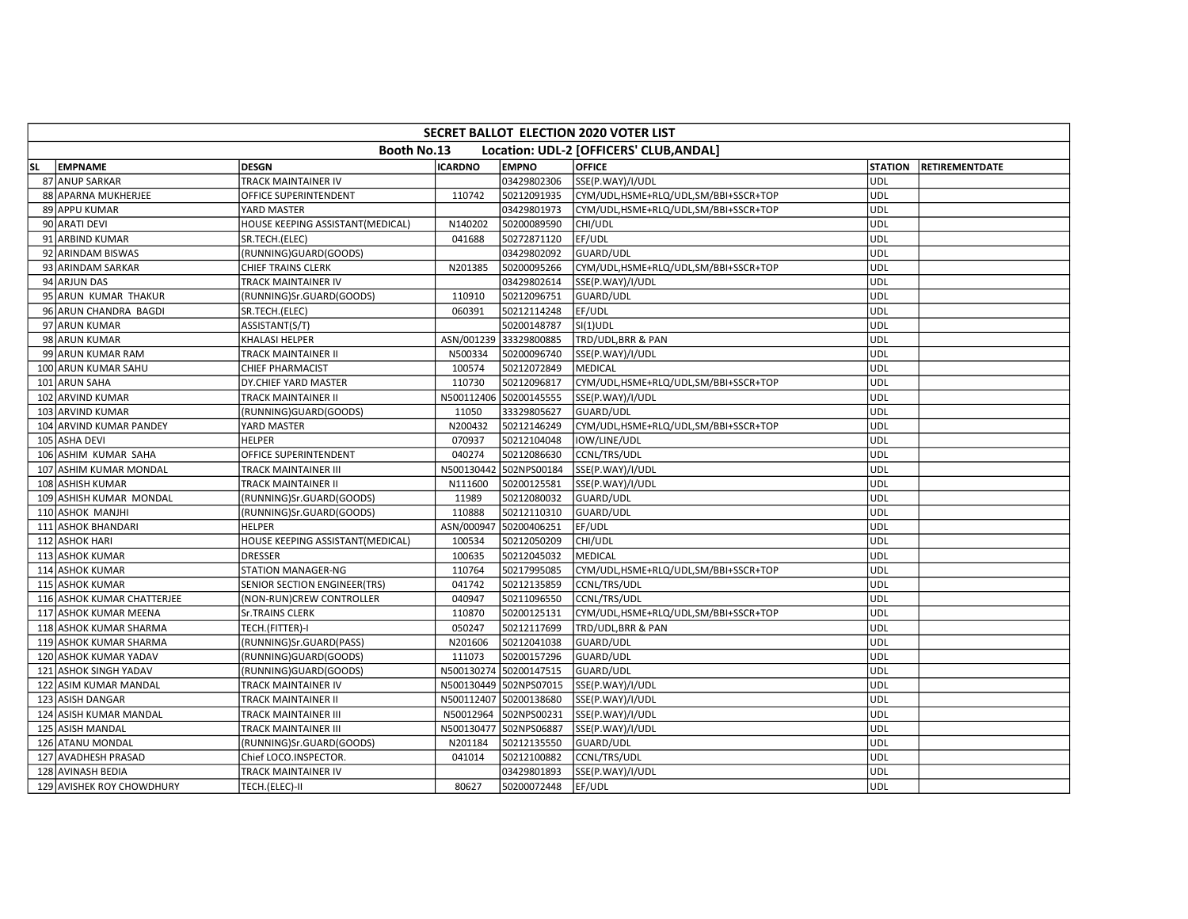|           | <b>SECRET BALLOT ELECTION 2020 VOTER LIST</b> |                                  |                |                        |                                         |                |                       |  |  |  |  |  |  |
|-----------|-----------------------------------------------|----------------------------------|----------------|------------------------|-----------------------------------------|----------------|-----------------------|--|--|--|--|--|--|
|           |                                               | Booth No.13                      |                |                        | Location: UDL-2 [OFFICERS' CLUB, ANDAL] |                |                       |  |  |  |  |  |  |
| <b>SL</b> | <b>EMPNAME</b>                                | <b>DESGN</b>                     | <b>ICARDNO</b> | <b>EMPNO</b>           | <b>OFFICE</b>                           | <b>STATION</b> | <b>RETIREMENTDATE</b> |  |  |  |  |  |  |
|           | 87 ANUP SARKAR                                | TRACK MAINTAINER IV              |                | 03429802306            | SSE(P.WAY)/I/UDL                        | <b>UDL</b>     |                       |  |  |  |  |  |  |
|           | 88 APARNA MUKHERJEE                           | OFFICE SUPERINTENDENT            | 110742         | 50212091935            | CYM/UDL,HSME+RLQ/UDL,SM/BBI+SSCR+TOP    | <b>UDL</b>     |                       |  |  |  |  |  |  |
|           | 89 APPU KUMAR                                 | YARD MASTER                      |                | 03429801973            | CYM/UDL, HSME+RLQ/UDL, SM/BBI+SSCR+TOP  | <b>UDL</b>     |                       |  |  |  |  |  |  |
|           | 90 ARATI DEVI                                 | HOUSE KEEPING ASSISTANT(MEDICAL) | N140202        | 50200089590            | CHI/UDL                                 | <b>UDL</b>     |                       |  |  |  |  |  |  |
|           | 91 ARBIND KUMAR                               | SR.TECH.(ELEC)                   | 041688         | 50272871120            | EF/UDL                                  | <b>UDL</b>     |                       |  |  |  |  |  |  |
|           | 92 ARINDAM BISWAS                             | (RUNNING)GUARD(GOODS)            |                | 03429802092            | GUARD/UDL                               | <b>UDL</b>     |                       |  |  |  |  |  |  |
|           | 93 ARINDAM SARKAR                             | <b>CHIEF TRAINS CLERK</b>        | N201385        | 50200095266            | CYM/UDL,HSME+RLQ/UDL,SM/BBI+SSCR+TOP    | <b>UDL</b>     |                       |  |  |  |  |  |  |
|           | 94 ARJUN DAS                                  | TRACK MAINTAINER IV              |                | 03429802614            | SSE(P.WAY)/I/UDL                        | <b>UDL</b>     |                       |  |  |  |  |  |  |
|           | 95 ARUN KUMAR THAKUR                          | (RUNNING)Sr.GUARD(GOODS)         | 110910         | 50212096751            | GUARD/UDL                               | <b>UDL</b>     |                       |  |  |  |  |  |  |
|           | 96 ARUN CHANDRA BAGDI                         | SR.TECH.(ELEC)                   | 060391         | 50212114248            | EF/UDL                                  | <b>UDL</b>     |                       |  |  |  |  |  |  |
|           | 97 ARUN KUMAR                                 | ASSISTANT(S/T)                   |                | 50200148787            | $SI(1)$ UDL                             | <b>UDL</b>     |                       |  |  |  |  |  |  |
|           | 98 ARUN KUMAR                                 | KHALASI HELPER                   | ASN/001239     | 33329800885            | TRD/UDL, BRR & PAN                      | <b>UDL</b>     |                       |  |  |  |  |  |  |
|           | 99 ARUN KUMAR RAM                             | TRACK MAINTAINER II              | N500334        | 50200096740            | SSE(P.WAY)/I/UDL                        | <b>UDL</b>     |                       |  |  |  |  |  |  |
|           | 100 ARUN KUMAR SAHU                           | CHIEF PHARMACIST                 | 100574         | 50212072849            | <b>MEDICAL</b>                          | UDL            |                       |  |  |  |  |  |  |
|           | 101 ARUN SAHA                                 | DY.CHIEF YARD MASTER             | 110730         | 50212096817            | CYM/UDL,HSME+RLQ/UDL,SM/BBI+SSCR+TOP    | <b>UDL</b>     |                       |  |  |  |  |  |  |
|           | 102 ARVIND KUMAR                              | <b>TRACK MAINTAINER II</b>       |                | N500112406 50200145555 | SSE(P.WAY)/I/UDL                        | <b>UDL</b>     |                       |  |  |  |  |  |  |
|           | 103 ARVIND KUMAR                              | (RUNNING)GUARD(GOODS)            | 11050          | 33329805627            | GUARD/UDL                               | <b>UDL</b>     |                       |  |  |  |  |  |  |
|           | 104 ARVIND KUMAR PANDEY                       | YARD MASTER                      | N200432        | 50212146249            | CYM/UDL,HSME+RLQ/UDL,SM/BBI+SSCR+TOP    | <b>UDL</b>     |                       |  |  |  |  |  |  |
|           | 105 ASHA DEVI                                 | <b>HELPER</b>                    | 070937         | 50212104048            | IOW/LINE/UDL                            | UDL            |                       |  |  |  |  |  |  |
|           | 106 ASHIM KUMAR SAHA                          | OFFICE SUPERINTENDENT            | 040274         | 50212086630            | CCNL/TRS/UDL                            | <b>UDL</b>     |                       |  |  |  |  |  |  |
|           | 107 ASHIM KUMAR MONDAL                        | <b>TRACK MAINTAINER III</b>      |                | N500130442 502NPS00184 | SSE(P.WAY)/I/UDL                        | <b>UDL</b>     |                       |  |  |  |  |  |  |
|           | 108 ASHISH KUMAR                              | TRACK MAINTAINER II              | N111600        | 50200125581            | SSE(P.WAY)/I/UDL                        | <b>UDL</b>     |                       |  |  |  |  |  |  |
|           | 109 ASHISH KUMAR MONDAL                       | (RUNNING)Sr.GUARD(GOODS)         | 11989          | 50212080032            | GUARD/UDL                               | <b>UDL</b>     |                       |  |  |  |  |  |  |
|           | 110 ASHOK MANJHI                              | (RUNNING)Sr.GUARD(GOODS)         | 110888         | 50212110310            | GUARD/UDL                               | <b>UDL</b>     |                       |  |  |  |  |  |  |
|           | 111 ASHOK BHANDARI                            | <b>HELPER</b>                    | ASN/000947     | 50200406251            | EF/UDL                                  | <b>UDL</b>     |                       |  |  |  |  |  |  |
|           | 112 ASHOK HARI                                | HOUSE KEEPING ASSISTANT(MEDICAL) | 100534         | 50212050209            | CHI/UDL                                 | UDL            |                       |  |  |  |  |  |  |
|           | 113 ASHOK KUMAR                               | <b>DRESSER</b>                   | 100635         | 50212045032            | <b>MEDICAL</b>                          | <b>UDL</b>     |                       |  |  |  |  |  |  |
|           | 114 ASHOK KUMAR                               | STATION MANAGER-NG               | 110764         | 50217995085            | CYM/UDL,HSME+RLQ/UDL,SM/BBI+SSCR+TOP    | <b>UDL</b>     |                       |  |  |  |  |  |  |
|           | 115 ASHOK KUMAR                               | SENIOR SECTION ENGINEER(TRS)     | 041742         | 50212135859            | CCNL/TRS/UDL                            | UDL            |                       |  |  |  |  |  |  |
|           | 116 ASHOK KUMAR CHATTERJEE                    | (NON-RUN)CREW CONTROLLER         | 040947         | 50211096550            | CCNL/TRS/UDL                            | <b>UDL</b>     |                       |  |  |  |  |  |  |
|           | 117 ASHOK KUMAR MEENA                         | <b>Sr.TRAINS CLERK</b>           | 110870         | 50200125131            | CYM/UDL,HSME+RLQ/UDL,SM/BBI+SSCR+TOP    | <b>UDL</b>     |                       |  |  |  |  |  |  |
|           | 118 ASHOK KUMAR SHARMA                        | TECH.(FITTER)-I                  | 050247         | 50212117699            | TRD/UDL, BRR & PAN                      | <b>UDL</b>     |                       |  |  |  |  |  |  |
|           | 119 ASHOK KUMAR SHARMA                        | (RUNNING)Sr.GUARD(PASS)          | N201606        | 50212041038            | GUARD/UDL                               | <b>UDL</b>     |                       |  |  |  |  |  |  |
|           | 120 ASHOK KUMAR YADAV                         | (RUNNING)GUARD(GOODS)            | 111073         | 50200157296            | GUARD/UDL                               | UDL            |                       |  |  |  |  |  |  |
|           | 121 ASHOK SINGH YADAV                         | (RUNNING)GUARD(GOODS)            |                | N500130274 50200147515 | GUARD/UDL                               | <b>UDL</b>     |                       |  |  |  |  |  |  |
|           | 122 ASIM KUMAR MANDAL                         | TRACK MAINTAINER IV              |                | N500130449 502NPS07015 | SSE(P.WAY)/I/UDL                        | UDL            |                       |  |  |  |  |  |  |
|           | 123 ASISH DANGAR                              | TRACK MAINTAINER II              |                | N500112407 50200138680 | SSE(P.WAY)/I/UDL                        | UDL            |                       |  |  |  |  |  |  |
|           | 124 ASISH KUMAR MANDAL                        | TRACK MAINTAINER III             | N50012964      | 502NPS00231            | SSE(P.WAY)/I/UDL                        | <b>UDL</b>     |                       |  |  |  |  |  |  |
|           | 125 ASISH MANDAL                              | TRACK MAINTAINER III             |                | N500130477 502NPS06887 | SSE(P.WAY)/I/UDL                        | <b>UDL</b>     |                       |  |  |  |  |  |  |
|           | 126 ATANU MONDAL                              | (RUNNING)Sr.GUARD(GOODS)         | N201184        | 50212135550            | GUARD/UDL                               | <b>UDL</b>     |                       |  |  |  |  |  |  |
|           | 127 AVADHESH PRASAD                           | Chief LOCO.INSPECTOR.            | 041014         | 50212100882            | CCNL/TRS/UDL                            | UDL            |                       |  |  |  |  |  |  |
|           | 128 AVINASH BEDIA                             | TRACK MAINTAINER IV              |                | 03429801893            | SSE(P.WAY)/I/UDL                        | <b>UDL</b>     |                       |  |  |  |  |  |  |
|           | 129 AVISHEK ROY CHOWDHURY                     | TECH.(ELEC)-II                   | 80627          | 50200072448            | EF/UDL                                  | <b>UDL</b>     |                       |  |  |  |  |  |  |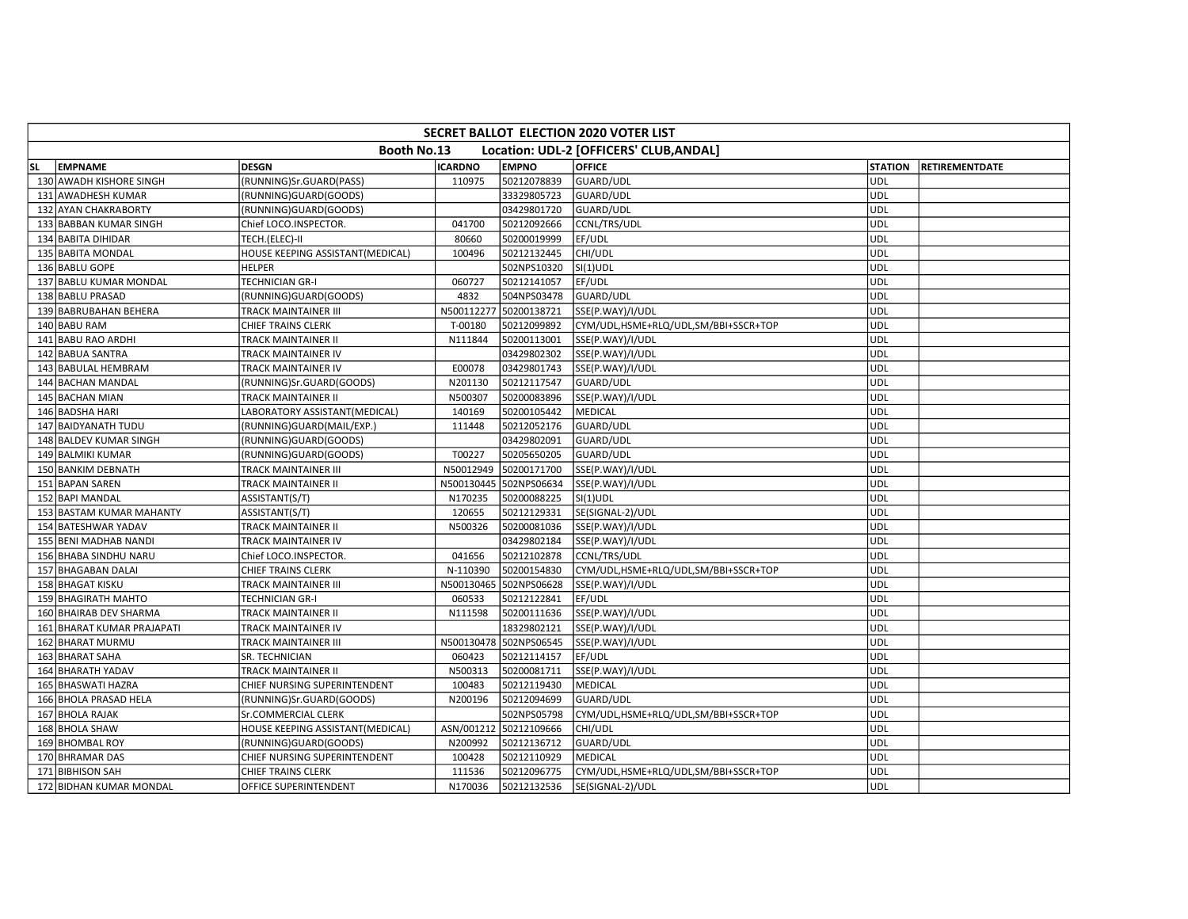|           | SECRET BALLOT ELECTION 2020 VOTER LIST |                                  |                |                        |                                         |                |                       |  |  |  |  |  |
|-----------|----------------------------------------|----------------------------------|----------------|------------------------|-----------------------------------------|----------------|-----------------------|--|--|--|--|--|
|           |                                        | Booth No.13                      |                |                        | Location: UDL-2 [OFFICERS' CLUB, ANDAL] |                |                       |  |  |  |  |  |
| <b>SL</b> | <b>EMPNAME</b>                         | <b>DESGN</b>                     | <b>ICARDNO</b> | <b>EMPNO</b>           | <b>OFFICE</b>                           | <b>STATION</b> | <b>RETIREMENTDATE</b> |  |  |  |  |  |
|           | 130 AWADH KISHORE SINGH                | (RUNNING)Sr.GUARD(PASS)          | 110975         | 50212078839            | GUARD/UDL                               | UDL            |                       |  |  |  |  |  |
|           | 131 AWADHESH KUMAR                     | (RUNNING)GUARD(GOODS)            |                | 33329805723            | GUARD/UDL                               | <b>UDL</b>     |                       |  |  |  |  |  |
|           | 132 AYAN CHAKRABORTY                   | (RUNNING)GUARD(GOODS)            |                | 03429801720            | GUARD/UDL                               | <b>UDL</b>     |                       |  |  |  |  |  |
|           | 133 BABBAN KUMAR SINGH                 | Chief LOCO.INSPECTOR.            | 041700         | 50212092666            | CCNL/TRS/UDL                            | <b>UDL</b>     |                       |  |  |  |  |  |
|           | 134 BABITA DIHIDAR                     | TECH.(ELEC)-II                   | 80660          | 50200019999            | EF/UDL                                  | <b>UDL</b>     |                       |  |  |  |  |  |
|           | 135 BABITA MONDAL                      | HOUSE KEEPING ASSISTANT(MEDICAL) | 100496         | 50212132445            | CHI/UDL                                 | <b>UDL</b>     |                       |  |  |  |  |  |
|           | 136 BABLU GOPE                         | <b>HELPER</b>                    |                | 502NPS10320            | $SI(1)$ UDL                             | <b>UDL</b>     |                       |  |  |  |  |  |
|           | 137 BABLU KUMAR MONDAL                 | <b>TECHNICIAN GR-I</b>           | 060727         | 50212141057            | EF/UDL                                  | <b>UDL</b>     |                       |  |  |  |  |  |
|           | 138 BABLU PRASAD                       | (RUNNING)GUARD(GOODS)            | 4832           | 504NPS03478            | GUARD/UDL                               | <b>UDL</b>     |                       |  |  |  |  |  |
|           | 139 BABRUBAHAN BEHERA                  | TRACK MAINTAINER III             | N500112277     | 50200138721            | SSE(P.WAY)/I/UDL                        | <b>UDL</b>     |                       |  |  |  |  |  |
|           | 140 BABU RAM                           | CHIEF TRAINS CLERK               | T-00180        | 50212099892            | CYM/UDL,HSME+RLQ/UDL,SM/BBI+SSCR+TOP    | <b>UDL</b>     |                       |  |  |  |  |  |
|           | 141 BABU RAO ARDHI                     | TRACK MAINTAINER II              | N111844        | 50200113001            | SSE(P.WAY)/I/UDL                        | <b>UDL</b>     |                       |  |  |  |  |  |
|           | 142 BABUA SANTRA                       | TRACK MAINTAINER IV              |                | 03429802302            | SSE(P.WAY)/I/UDL                        | <b>UDL</b>     |                       |  |  |  |  |  |
|           | 143 BABULAL HEMBRAM                    | TRACK MAINTAINER IV              | E00078         | 03429801743            | SSE(P.WAY)/I/UDL                        | <b>UDL</b>     |                       |  |  |  |  |  |
|           | 144 BACHAN MANDAL                      | (RUNNING)Sr.GUARD(GOODS)         | N201130        | 50212117547            | GUARD/UDL                               | <b>UDL</b>     |                       |  |  |  |  |  |
|           | 145 BACHAN MIAN                        | TRACK MAINTAINER II              | N500307        | 50200083896            | SSE(P.WAY)/I/UDL                        | <b>UDL</b>     |                       |  |  |  |  |  |
|           | 146 BADSHA HARI                        | LABORATORY ASSISTANT(MEDICAL)    | 140169         | 50200105442            | MEDICAL                                 | <b>UDL</b>     |                       |  |  |  |  |  |
|           | 147 BAIDYANATH TUDU                    | (RUNNING)GUARD(MAIL/EXP.)        | 111448         | 50212052176            | GUARD/UDL                               | <b>UDL</b>     |                       |  |  |  |  |  |
|           | 148 BALDEV KUMAR SINGH                 | (RUNNING)GUARD(GOODS)            |                | 03429802091            | GUARD/UDL                               | <b>UDL</b>     |                       |  |  |  |  |  |
|           | 149 BALMIKI KUMAR                      | (RUNNING)GUARD(GOODS)            | T00227         | 50205650205            | <b>GUARD/UDL</b>                        | UDL            |                       |  |  |  |  |  |
|           | 150 BANKIM DEBNATH                     | TRACK MAINTAINER III             | N50012949      | 50200171700            | SSE(P.WAY)/I/UDL                        | <b>UDL</b>     |                       |  |  |  |  |  |
|           | 151 BAPAN SAREN                        | TRACK MAINTAINER II              | N500130445     | 502NPS06634            | SSE(P.WAY)/I/UDL                        | <b>UDL</b>     |                       |  |  |  |  |  |
|           | 152 BAPI MANDAL                        | ASSISTANT(S/T)                   | N170235        | 50200088225            | $SI(1)$ UDL                             | <b>UDL</b>     |                       |  |  |  |  |  |
|           | 153 BASTAM KUMAR MAHANTY               | ASSISTANT(S/T)                   | 120655         | 50212129331            | SE(SIGNAL-2)/UDL                        | UDL            |                       |  |  |  |  |  |
|           | 154 BATESHWAR YADAV                    | TRACK MAINTAINER II              | N500326        | 50200081036            | SSE(P.WAY)/I/UDL                        | <b>UDL</b>     |                       |  |  |  |  |  |
|           | 155 BENI MADHAB NANDI                  | TRACK MAINTAINER IV              |                | 03429802184            | SSE(P.WAY)/I/UDL                        | <b>UDL</b>     |                       |  |  |  |  |  |
|           | 156 BHABA SINDHU NARU                  | Chief LOCO.INSPECTOR.            | 041656         | 50212102878            | CCNL/TRS/UDL                            | <b>UDL</b>     |                       |  |  |  |  |  |
|           | 157 BHAGABAN DALAI                     | CHIEF TRAINS CLERK               | N-110390       | 50200154830            | CYM/UDL,HSME+RLQ/UDL,SM/BBI+SSCR+TOP    | <b>UDL</b>     |                       |  |  |  |  |  |
|           | 158 BHAGAT KISKU                       | TRACK MAINTAINER III             |                | N500130465 502NPS06628 | SSE(P.WAY)/I/UDL                        | UDL            |                       |  |  |  |  |  |
|           | 159 BHAGIRATH MAHTO                    | TECHNICIAN GR-I                  | 060533         | 50212122841            | EF/UDL                                  | <b>UDL</b>     |                       |  |  |  |  |  |
|           | 160 BHAIRAB DEV SHARMA                 | TRACK MAINTAINER II              | N111598        | 50200111636            | SSE(P.WAY)/I/UDL                        | <b>UDL</b>     |                       |  |  |  |  |  |
|           | 161 BHARAT KUMAR PRAJAPATI             | TRACK MAINTAINER IV              |                | 18329802121            | SSE(P.WAY)/I/UDL                        | <b>UDL</b>     |                       |  |  |  |  |  |
|           | 162 BHARAT MURMU                       | TRACK MAINTAINER III             |                | N500130478 502NPS06545 | SSE(P.WAY)/I/UDL                        | <b>UDL</b>     |                       |  |  |  |  |  |
|           | 163 BHARAT SAHA                        | SR. TECHNICIAN                   | 060423         | 50212114157            | EF/UDL                                  | <b>UDL</b>     |                       |  |  |  |  |  |
|           | 164 BHARATH YADAV                      | TRACK MAINTAINER II              | N500313        | 50200081711            | SSE(P.WAY)/I/UDL                        | <b>UDL</b>     |                       |  |  |  |  |  |
|           | 165 BHASWATI HAZRA                     | CHIEF NURSING SUPERINTENDENT     | 100483         | 50212119430            | <b>MEDICAL</b>                          | UDL            |                       |  |  |  |  |  |
|           | 166 BHOLA PRASAD HELA                  | (RUNNING)Sr.GUARD(GOODS)         | N200196        | 50212094699            | GUARD/UDL                               | <b>UDL</b>     |                       |  |  |  |  |  |
|           | 167 BHOLA RAJAK                        | Sr.COMMERCIAL CLERK              |                | 502NPS05798            | CYM/UDL,HSME+RLQ/UDL,SM/BBI+SSCR+TOP    | <b>UDL</b>     |                       |  |  |  |  |  |
|           | 168 BHOLA SHAW                         | HOUSE KEEPING ASSISTANT(MEDICAL) |                | ASN/001212 50212109666 | CHI/UDL                                 | <b>UDL</b>     |                       |  |  |  |  |  |
|           | 169 BHOMBAL ROY                        | (RUNNING)GUARD(GOODS)            | N200992        | 50212136712            | GUARD/UDL                               | <b>UDL</b>     |                       |  |  |  |  |  |
|           | 170 BHRAMAR DAS                        | CHIEF NURSING SUPERINTENDENT     | 100428         | 50212110929            | MEDICAL                                 | <b>UDL</b>     |                       |  |  |  |  |  |
|           | 171 BIBHISON SAH                       | <b>CHIEF TRAINS CLERK</b>        | 111536         | 50212096775            | CYM/UDL,HSME+RLQ/UDL,SM/BBI+SSCR+TOP    | UDL            |                       |  |  |  |  |  |
|           | 172 BIDHAN KUMAR MONDAL                | OFFICE SUPERINTENDENT            | N170036        | 50212132536            | SE(SIGNAL-2)/UDL                        | UDL            |                       |  |  |  |  |  |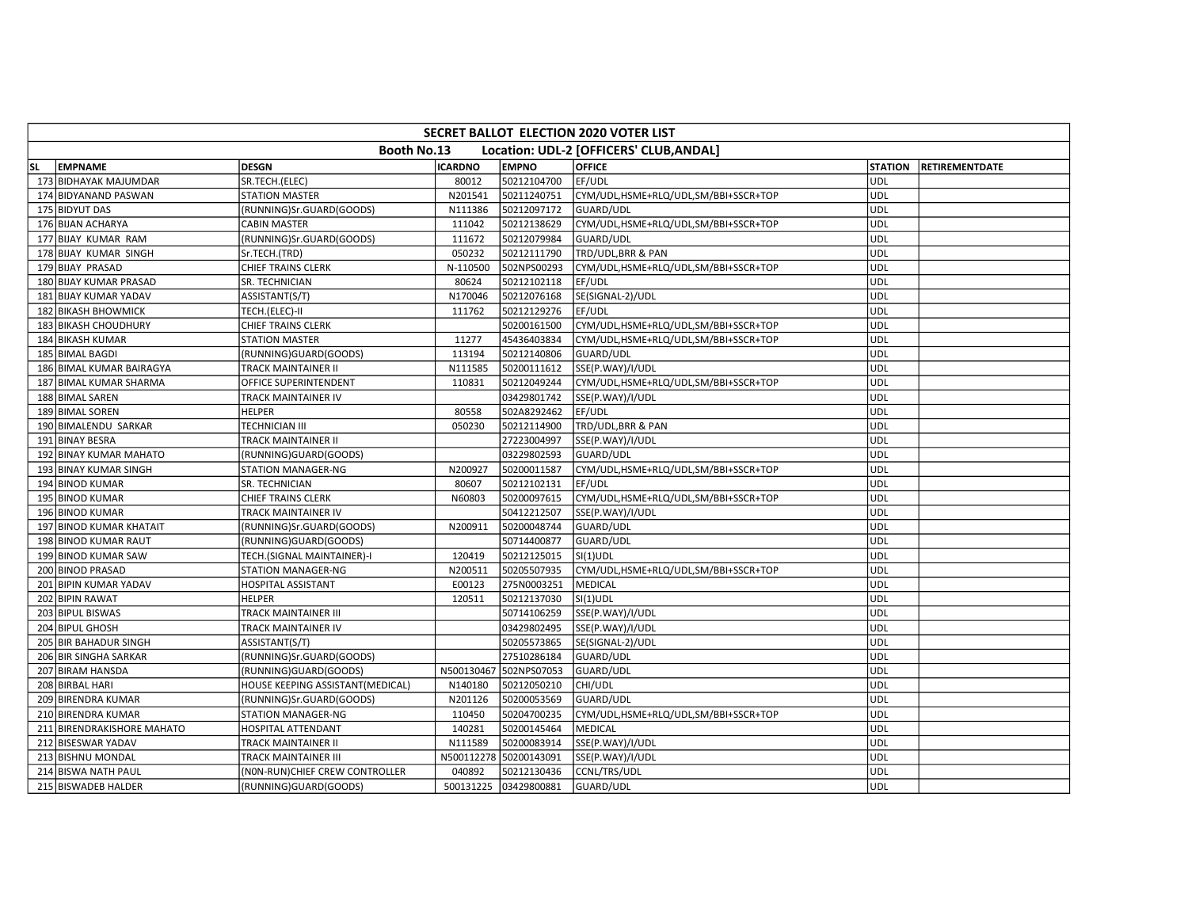|           | <b>SECRET BALLOT ELECTION 2020 VOTER LIST</b> |                                  |                |                        |                                         |                |                       |  |  |  |  |  |  |
|-----------|-----------------------------------------------|----------------------------------|----------------|------------------------|-----------------------------------------|----------------|-----------------------|--|--|--|--|--|--|
|           |                                               | Booth No.13                      |                |                        | Location: UDL-2 [OFFICERS' CLUB, ANDAL] |                |                       |  |  |  |  |  |  |
| <b>SL</b> | <b>EMPNAME</b>                                | <b>DESGN</b>                     | <b>ICARDNO</b> | <b>EMPNO</b>           | <b>OFFICE</b>                           | <b>STATION</b> | <b>RETIREMENTDATE</b> |  |  |  |  |  |  |
|           | 173 BIDHAYAK MAJUMDAR                         | SR.TECH.(ELEC)                   | 80012          | 50212104700            | EF/UDL                                  | <b>UDL</b>     |                       |  |  |  |  |  |  |
|           | 174 BIDYANAND PASWAN                          | <b>STATION MASTER</b>            | N201541        | 50211240751            | CYM/UDL,HSME+RLQ/UDL,SM/BBI+SSCR+TOP    | <b>UDL</b>     |                       |  |  |  |  |  |  |
|           | 175 BIDYUT DAS                                | (RUNNING)Sr.GUARD(GOODS)         | N111386        | 50212097172            | <b>GUARD/UDL</b>                        | <b>UDL</b>     |                       |  |  |  |  |  |  |
|           | 176 BIJAN ACHARYA                             | <b>CABIN MASTER</b>              | 111042         | 50212138629            | CYM/UDL,HSME+RLQ/UDL,SM/BBI+SSCR+TOP    | <b>UDL</b>     |                       |  |  |  |  |  |  |
|           | 177 BIJAY KUMAR RAM                           | (RUNNING)Sr.GUARD(GOODS)         | 111672         | 50212079984            | GUARD/UDL                               | <b>UDL</b>     |                       |  |  |  |  |  |  |
|           | 178 BIJAY KUMAR SINGH                         | Sr.TECH.(TRD)                    | 050232         | 50212111790            | TRD/UDL, BRR & PAN                      | <b>UDL</b>     |                       |  |  |  |  |  |  |
|           | 179 BIJAY PRASAD                              | CHIEF TRAINS CLERK               | N-110500       | 502NPS00293            | CYM/UDL,HSME+RLQ/UDL,SM/BBI+SSCR+TOP    | <b>UDL</b>     |                       |  |  |  |  |  |  |
|           | 180 BIJAY KUMAR PRASAD                        | SR. TECHNICIAN                   | 80624          | 50212102118            | EF/UDL                                  | <b>UDL</b>     |                       |  |  |  |  |  |  |
|           | 181 BIJAY KUMAR YADAV                         | ASSISTANT(S/T)                   | N170046        | 50212076168            | SE(SIGNAL-2)/UDL                        | UDL            |                       |  |  |  |  |  |  |
|           | 182 BIKASH BHOWMICK                           | TECH.(ELEC)-II                   | 111762         | 50212129276            | EF/UDL                                  | <b>UDL</b>     |                       |  |  |  |  |  |  |
|           | 183 BIKASH CHOUDHURY                          | <b>CHIEF TRAINS CLERK</b>        |                | 50200161500            | CYM/UDL,HSME+RLQ/UDL,SM/BBI+SSCR+TOP    | <b>UDL</b>     |                       |  |  |  |  |  |  |
|           | 184 BIKASH KUMAR                              | <b>STATION MASTER</b>            | 11277          | 45436403834            | CYM/UDL,HSME+RLQ/UDL,SM/BBI+SSCR+TOP    | <b>UDL</b>     |                       |  |  |  |  |  |  |
|           | 185 BIMAL BAGDI                               | (RUNNING)GUARD(GOODS)            | 113194         | 50212140806            | GUARD/UDL                               | <b>UDL</b>     |                       |  |  |  |  |  |  |
|           | 186 BIMAL KUMAR BAIRAGYA                      | TRACK MAINTAINER II              | N111585        | 50200111612            | SSE(P.WAY)/I/UDL                        | <b>UDL</b>     |                       |  |  |  |  |  |  |
|           | 187 BIMAL KUMAR SHARMA                        | OFFICE SUPERINTENDENT            | 110831         | 50212049244            | CYM/UDL,HSME+RLQ/UDL,SM/BBI+SSCR+TOP    | <b>UDL</b>     |                       |  |  |  |  |  |  |
|           | 188 BIMAL SAREN                               | TRACK MAINTAINER IV              |                | 03429801742            | SSE(P.WAY)/I/UDL                        | <b>UDL</b>     |                       |  |  |  |  |  |  |
|           | 189 BIMAL SOREN                               | <b>HELPER</b>                    | 80558          | 502A8292462            | EF/UDL                                  | <b>UDL</b>     |                       |  |  |  |  |  |  |
|           | 190 BIMALENDU SARKAR                          | TECHNICIAN III                   | 050230         | 50212114900            | TRD/UDL, BRR & PAN                      | <b>UDL</b>     |                       |  |  |  |  |  |  |
|           | 191 BINAY BESRA                               | TRACK MAINTAINER II              |                | 27223004997            | SSE(P.WAY)/I/UDL                        | <b>UDL</b>     |                       |  |  |  |  |  |  |
|           | 192 BINAY KUMAR MAHATO                        | (RUNNING)GUARD(GOODS)            |                | 03229802593            | GUARD/UDL                               | <b>UDL</b>     |                       |  |  |  |  |  |  |
|           | 193 BINAY KUMAR SINGH                         | <b>STATION MANAGER-NG</b>        | N200927        | 50200011587            | CYM/UDL,HSME+RLQ/UDL,SM/BBI+SSCR+TOP    | <b>UDL</b>     |                       |  |  |  |  |  |  |
|           | 194 BINOD KUMAR                               | SR. TECHNICIAN                   | 80607          | 50212102131            | EF/UDL                                  | <b>UDL</b>     |                       |  |  |  |  |  |  |
|           | 195 BINOD KUMAR                               | <b>CHIEF TRAINS CLERK</b>        | N60803         | 50200097615            | CYM/UDL,HSME+RLQ/UDL,SM/BBI+SSCR+TOP    | <b>UDL</b>     |                       |  |  |  |  |  |  |
|           | 196 BINOD KUMAR                               | TRACK MAINTAINER IV              |                | 50412212507            | SSE(P.WAY)/I/UDL                        | UDL            |                       |  |  |  |  |  |  |
|           | 197 BINOD KUMAR KHATAIT                       | (RUNNING)Sr.GUARD(GOODS)         | N200911        | 50200048744            | GUARD/UDL                               | <b>UDL</b>     |                       |  |  |  |  |  |  |
|           | 198 BINOD KUMAR RAUT                          | (RUNNING)GUARD(GOODS)            |                | 50714400877            | GUARD/UDL                               | <b>UDL</b>     |                       |  |  |  |  |  |  |
|           | 199 BINOD KUMAR SAW                           | TECH.(SIGNAL MAINTAINER)-I       | 120419         | 50212125015            | $SI(1)$ UDL                             | <b>UDL</b>     |                       |  |  |  |  |  |  |
|           | 200 BINOD PRASAD                              | STATION MANAGER-NG               | N200511        | 50205507935            | CYM/UDL,HSME+RLQ/UDL,SM/BBI+SSCR+TOP    | <b>UDL</b>     |                       |  |  |  |  |  |  |
|           | 201 BIPIN KUMAR YADAV                         | <b>HOSPITAL ASSISTANT</b>        | E00123         | 275N0003251            | MEDICAL                                 | UDL            |                       |  |  |  |  |  |  |
|           | 202 BIPIN RAWAT                               | <b>HELPER</b>                    | 120511         | 50212137030            | $SI(1)$ UDL                             | <b>UDL</b>     |                       |  |  |  |  |  |  |
|           | 203 BIPUL BISWAS                              | TRACK MAINTAINER III             |                | 50714106259            | SSE(P.WAY)/I/UDL                        | <b>UDL</b>     |                       |  |  |  |  |  |  |
|           | 204 BIPUL GHOSH                               | TRACK MAINTAINER IV              |                | 03429802495            | SSE(P.WAY)/I/UDL                        | <b>UDL</b>     |                       |  |  |  |  |  |  |
|           | 205 BIR BAHADUR SINGH                         | ASSISTANT(S/T)                   |                | 50205573865            | SE(SIGNAL-2)/UDL                        | <b>UDL</b>     |                       |  |  |  |  |  |  |
|           | 206 BIR SINGHA SARKAR                         | (RUNNING)Sr.GUARD(GOODS)         |                | 27510286184            | GUARD/UDL                               | <b>UDL</b>     |                       |  |  |  |  |  |  |
|           | 207 BIRAM HANSDA                              | (RUNNING)GUARD(GOODS)            | N500130467     | 502NPS07053            | GUARD/UDL                               | <b>UDL</b>     |                       |  |  |  |  |  |  |
|           | 208 BIRBAL HARI                               | HOUSE KEEPING ASSISTANT(MEDICAL) | N140180        | 50212050210            | CHI/UDL                                 | UDL            |                       |  |  |  |  |  |  |
|           | 209 BIRENDRA KUMAR                            | (RUNNING)Sr.GUARD(GOODS)         | N201126        | 50200053569            | GUARD/UDL                               | <b>UDL</b>     |                       |  |  |  |  |  |  |
|           | 210 BIRENDRA KUMAR                            | STATION MANAGER-NG               | 110450         | 50204700235            | CYM/UDL,HSME+RLQ/UDL,SM/BBI+SSCR+TOP    | <b>UDL</b>     |                       |  |  |  |  |  |  |
|           | 211 BIRENDRAKISHORE MAHATO                    | HOSPITAL ATTENDANT               | 140281         | 50200145464            | MEDICAL                                 | <b>UDL</b>     |                       |  |  |  |  |  |  |
|           | 212 BISESWAR YADAV                            | TRACK MAINTAINER II              | N111589        | 50200083914            | SSE(P.WAY)/I/UDL                        | <b>UDL</b>     |                       |  |  |  |  |  |  |
|           | 213 BISHNU MONDAL                             | TRACK MAINTAINER III             |                | N500112278 50200143091 | SSE(P.WAY)/I/UDL                        | <b>UDL</b>     |                       |  |  |  |  |  |  |
|           | 214 BISWA NATH PAUL                           | (NON-RUN) CHIEF CREW CONTROLLER  | 040892         | 50212130436            | CCNL/TRS/UDL                            | <b>UDL</b>     |                       |  |  |  |  |  |  |
|           | 215 BISWADEB HALDER                           | (RUNNING)GUARD(GOODS)            | 500131225      | 03429800881            | GUARD/UDL                               | UDL            |                       |  |  |  |  |  |  |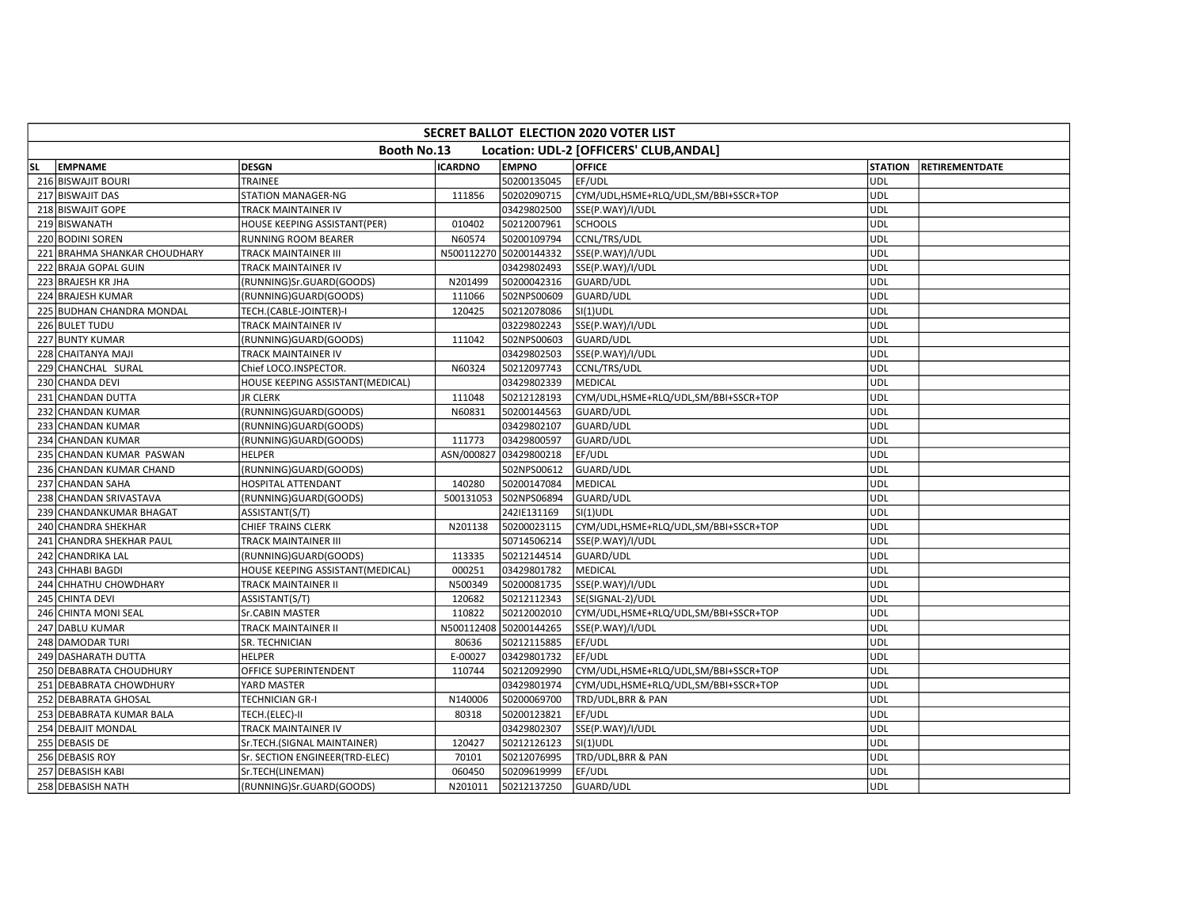|     | <b>SECRET BALLOT ELECTION 2020 VOTER LIST</b> |                                  |                |                        |                                         |                |                       |  |  |  |  |  |
|-----|-----------------------------------------------|----------------------------------|----------------|------------------------|-----------------------------------------|----------------|-----------------------|--|--|--|--|--|
|     |                                               | Booth No.13                      |                |                        | Location: UDL-2 [OFFICERS' CLUB, ANDAL] |                |                       |  |  |  |  |  |
| SL. | <b>EMPNAME</b>                                | <b>DESGN</b>                     | <b>ICARDNO</b> | <b>EMPNO</b>           | <b>OFFICE</b>                           | <b>STATION</b> | <b>RETIREMENTDATE</b> |  |  |  |  |  |
|     | 216 BISWAJIT BOURI                            | TRAINEE                          |                | 50200135045            | EF/UDL                                  | UDL            |                       |  |  |  |  |  |
|     | 217 BISWAJIT DAS                              | <b>STATION MANAGER-NG</b>        | 111856         | 50202090715            | CYM/UDL,HSME+RLQ/UDL,SM/BBI+SSCR+TOP    | UDL            |                       |  |  |  |  |  |
|     | 218 BISWAJIT GOPE                             | TRACK MAINTAINER IV              |                | 03429802500            | SSE(P.WAY)/I/UDL                        | UDL            |                       |  |  |  |  |  |
|     | 219 BISWANATH                                 | HOUSE KEEPING ASSISTANT(PER)     | 010402         | 50212007961            | <b>SCHOOLS</b>                          | <b>UDL</b>     |                       |  |  |  |  |  |
|     | 220 BODINI SOREN                              | RUNNING ROOM BEARER              | N60574         | 50200109794            | CCNL/TRS/UDL                            | UDL            |                       |  |  |  |  |  |
|     | 221 BRAHMA SHANKAR CHOUDHARY                  | <b>TRACK MAINTAINER III</b>      |                | N500112270 50200144332 | SSE(P.WAY)/I/UDL                        | <b>UDL</b>     |                       |  |  |  |  |  |
|     | 222 BRAJA GOPAL GUIN                          | TRACK MAINTAINER IV              |                | 03429802493            | SSE(P.WAY)/I/UDL                        | <b>UDL</b>     |                       |  |  |  |  |  |
|     | 223 BRAJESH KR JHA                            | (RUNNING)Sr.GUARD(GOODS)         | N201499        | 50200042316            | GUARD/UDL                               | UDL            |                       |  |  |  |  |  |
|     | 224 BRAJESH KUMAR                             | (RUNNING)GUARD(GOODS)            | 111066         | 502NPS00609            | GUARD/UDL                               | <b>UDL</b>     |                       |  |  |  |  |  |
|     | 225 BUDHAN CHANDRA MONDAL                     | TECH.(CABLE-JOINTER)-I           | 120425         | 50212078086            | $SI(1)$ UDL                             | <b>UDL</b>     |                       |  |  |  |  |  |
|     | 226 BULET TUDU                                | TRACK MAINTAINER IV              |                | 03229802243            | SSE(P.WAY)/I/UDL                        | <b>UDL</b>     |                       |  |  |  |  |  |
|     | 227 BUNTY KUMAR                               | (RUNNING)GUARD(GOODS)            | 111042         | 502NPS00603            | GUARD/UDL                               | UDL            |                       |  |  |  |  |  |
|     | 228 CHAITANYA MAJI                            | TRACK MAINTAINER IV              |                | 03429802503            | SSE(P.WAY)/I/UDL                        | UDL            |                       |  |  |  |  |  |
|     | 229 CHANCHAL SURAL                            | Chief LOCO.INSPECTOR.            | N60324         | 50212097743            | <b>CCNL/TRS/UDL</b>                     | <b>UDL</b>     |                       |  |  |  |  |  |
|     | 230 CHANDA DEVI                               | HOUSE KEEPING ASSISTANT(MEDICAL) |                | 03429802339            | MEDICAL                                 | <b>UDL</b>     |                       |  |  |  |  |  |
|     | 231 CHANDAN DUTTA                             | <b>JR CLERK</b>                  | 111048         | 50212128193            | CYM/UDL,HSME+RLQ/UDL,SM/BBI+SSCR+TOP    | UDL            |                       |  |  |  |  |  |
|     | 232 CHANDAN KUMAR                             | (RUNNING)GUARD(GOODS)            | N60831         | 50200144563            | GUARD/UDL                               | UDL            |                       |  |  |  |  |  |
|     | 233 CHANDAN KUMAR                             | (RUNNING)GUARD(GOODS)            |                | 03429802107            | GUARD/UDL                               | UDL            |                       |  |  |  |  |  |
|     | 234 CHANDAN KUMAR                             | (RUNNING)GUARD(GOODS)            | 111773         | 03429800597            | GUARD/UDL                               | <b>UDL</b>     |                       |  |  |  |  |  |
|     | 235 CHANDAN KUMAR PASWAN                      | <b>HELPER</b>                    | ASN/000827     | 03429800218            | EF/UDL                                  | <b>UDL</b>     |                       |  |  |  |  |  |
|     | 236 CHANDAN KUMAR CHAND                       | (RUNNING)GUARD(GOODS)            |                | 502NPS00612            | GUARD/UDL                               | UDL            |                       |  |  |  |  |  |
|     | 237 CHANDAN SAHA                              | <b>HOSPITAL ATTENDANT</b>        | 140280         | 50200147084            | <b>MEDICAL</b>                          | <b>UDL</b>     |                       |  |  |  |  |  |
|     | 238 CHANDAN SRIVASTAVA                        | (RUNNING)GUARD(GOODS)            | 500131053      | 502NPS06894            | GUARD/UDL                               | UDL            |                       |  |  |  |  |  |
|     | 239 CHANDANKUMAR BHAGAT                       | ASSISTANT(S/T)                   |                | 242IE131169            | SI(1)UDL                                | <b>UDL</b>     |                       |  |  |  |  |  |
|     | 240 CHANDRA SHEKHAR                           | <b>CHIEF TRAINS CLERK</b>        | N201138        | 50200023115            | CYM/UDL,HSME+RLQ/UDL,SM/BBI+SSCR+TOP    | <b>UDL</b>     |                       |  |  |  |  |  |
|     | 241 CHANDRA SHEKHAR PAUL                      | <b>TRACK MAINTAINER III</b>      |                | 50714506214            | SSE(P.WAY)/I/UDL                        | <b>UDL</b>     |                       |  |  |  |  |  |
|     | 242 CHANDRIKA LAL                             | (RUNNING)GUARD(GOODS)            | 113335         | 50212144514            | GUARD/UDL                               | <b>UDL</b>     |                       |  |  |  |  |  |
|     | 243 CHHABI BAGDI                              | HOUSE KEEPING ASSISTANT(MEDICAL) | 000251         | 03429801782            | MEDICAL                                 | <b>UDL</b>     |                       |  |  |  |  |  |
|     | 244 CHHATHU CHOWDHARY                         | TRACK MAINTAINER II              | N500349        | 50200081735            | SSE(P.WAY)/I/UDL                        | <b>UDL</b>     |                       |  |  |  |  |  |
|     | 245 CHINTA DEVI                               | ASSISTANT(S/T)                   | 120682         | 50212112343            | SE(SIGNAL-2)/UDL                        | <b>UDL</b>     |                       |  |  |  |  |  |
|     | 246 CHINTA MONI SEAL                          | Sr.CABIN MASTER                  | 110822         | 50212002010            | CYM/UDL,HSME+RLQ/UDL,SM/BBI+SSCR+TOP    | <b>UDL</b>     |                       |  |  |  |  |  |
|     | 247 DABLU KUMAR                               | TRACK MAINTAINER II              | N500112408     | 50200144265            | SSE(P.WAY)/I/UDL                        | <b>UDL</b>     |                       |  |  |  |  |  |
|     | 248 DAMODAR TURI                              | SR. TECHNICIAN                   | 80636          | 50212115885            | EF/UDL                                  | <b>UDL</b>     |                       |  |  |  |  |  |
|     | 249 DASHARATH DUTTA                           | <b>HELPER</b>                    | E-00027        | 03429801732            | EF/UDL                                  | <b>UDL</b>     |                       |  |  |  |  |  |
|     | 250 DEBABRATA CHOUDHURY                       | OFFICE SUPERINTENDENT            | 110744         | 50212092990            | CYM/UDL,HSME+RLQ/UDL,SM/BBI+SSCR+TOP    | <b>UDL</b>     |                       |  |  |  |  |  |
|     | 251 DEBABRATA CHOWDHURY                       | YARD MASTER                      |                | 03429801974            | CYM/UDL,HSME+RLQ/UDL,SM/BBI+SSCR+TOP    | UDL            |                       |  |  |  |  |  |
|     | 252 DEBABRATA GHOSAL                          | TECHNICIAN GR-I                  | N140006        | 50200069700            | TRD/UDL, BRR & PAN                      | <b>UDL</b>     |                       |  |  |  |  |  |
|     | 253 DEBABRATA KUMAR BALA                      | TECH.(ELEC)-II                   | 80318          | 50200123821            | EF/UDL                                  | <b>UDL</b>     |                       |  |  |  |  |  |
|     | 254 DEBAJIT MONDAL                            | TRACK MAINTAINER IV              |                | 03429802307            | SSE(P.WAY)/I/UDL                        | <b>UDL</b>     |                       |  |  |  |  |  |
|     | 255 DEBASIS DE                                | Sr.TECH.(SIGNAL MAINTAINER)      | 120427         | 50212126123            | $SI(1)$ UDL                             | UDL            |                       |  |  |  |  |  |
|     | 256 DEBASIS ROY                               | Sr. SECTION ENGINEER(TRD-ELEC)   | 70101          | 50212076995            | TRD/UDL, BRR & PAN                      | UDL            |                       |  |  |  |  |  |
|     | 257 DEBASISH KABI                             | Sr.TECH(LINEMAN)                 | 060450         | 50209619999            | EF/UDL                                  | UDL            |                       |  |  |  |  |  |
|     | 258 DEBASISH NATH                             | (RUNNING)Sr.GUARD(GOODS)         | N201011        | 50212137250            | GUARD/UDL                               | <b>UDL</b>     |                       |  |  |  |  |  |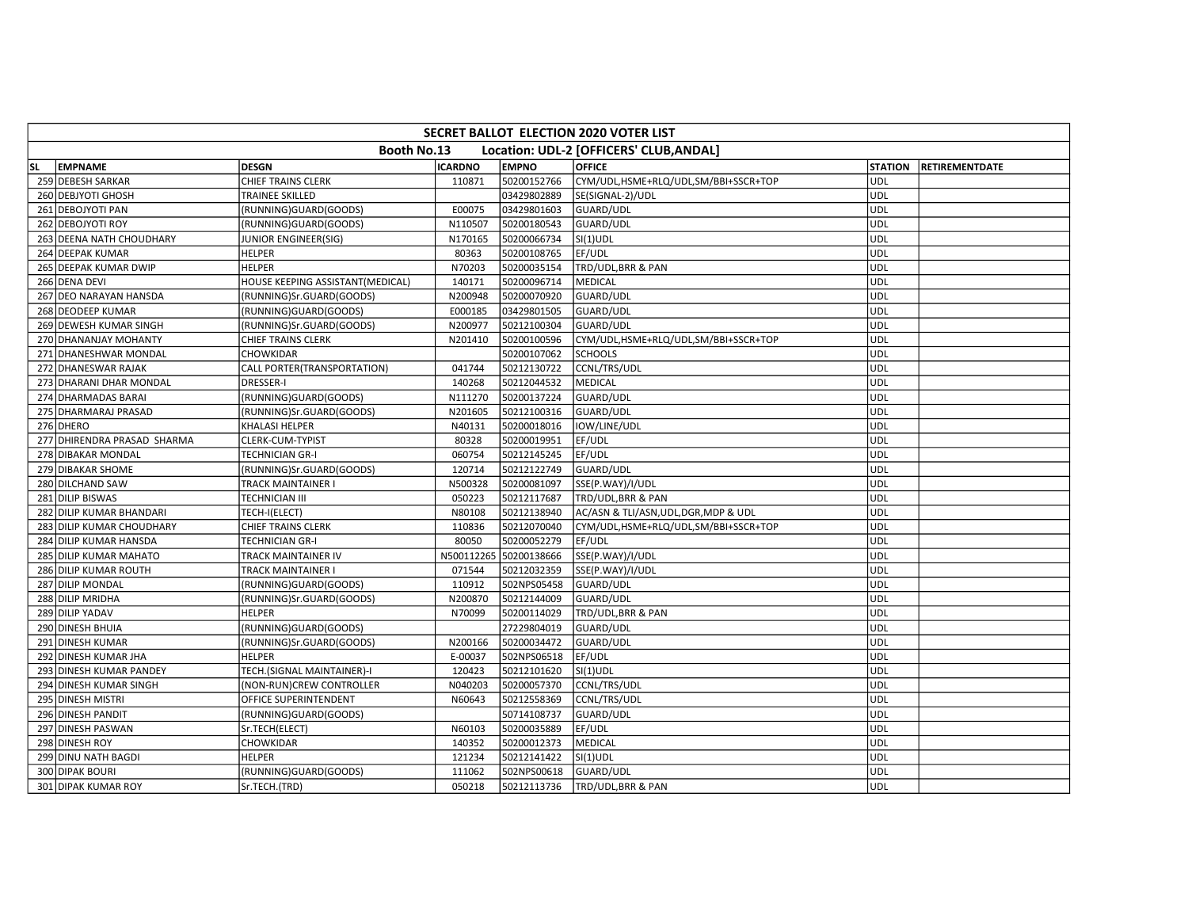|           | <b>SECRET BALLOT ELECTION 2020 VOTER LIST</b> |                                  |                |                        |                                         |                |                |  |  |  |  |  |
|-----------|-----------------------------------------------|----------------------------------|----------------|------------------------|-----------------------------------------|----------------|----------------|--|--|--|--|--|
|           |                                               | Booth No.13                      |                |                        | Location: UDL-2 [OFFICERS' CLUB, ANDAL] |                |                |  |  |  |  |  |
| <b>SL</b> | <b>EMPNAME</b>                                | <b>DESGN</b>                     | <b>ICARDNO</b> | <b>EMPNO</b>           | <b>OFFICE</b>                           | <b>STATION</b> | RETIREMENTDATE |  |  |  |  |  |
|           | 259 DEBESH SARKAR                             | CHIEF TRAINS CLERK               | 110871         | 50200152766            | CYM/UDL,HSME+RLQ/UDL,SM/BBI+SSCR+TOP    | <b>UDL</b>     |                |  |  |  |  |  |
|           | 260 DEBJYOTI GHOSH                            | <b>TRAINEE SKILLED</b>           |                | 03429802889            | SE(SIGNAL-2)/UDL                        | <b>UDL</b>     |                |  |  |  |  |  |
|           | 261 DEBOJYOTI PAN                             | (RUNNING)GUARD(GOODS)            | E00075         | 03429801603            | GUARD/UDL                               | <b>UDL</b>     |                |  |  |  |  |  |
|           | 262 DEBOJYOTI ROY                             | (RUNNING)GUARD(GOODS)            | N110507        | 50200180543            | GUARD/UDL                               | UDL            |                |  |  |  |  |  |
|           | 263 DEENA NATH CHOUDHARY                      | JUNIOR ENGINEER(SIG)             | N170165        | 50200066734            | $SI(1)$ UDL                             | <b>UDL</b>     |                |  |  |  |  |  |
|           | 264 DEEPAK KUMAR                              | <b>HELPER</b>                    | 80363          | 50200108765            | EF/UDL                                  | <b>UDL</b>     |                |  |  |  |  |  |
|           | 265 DEEPAK KUMAR DWIP                         | <b>HELPER</b>                    | N70203         | 50200035154            | TRD/UDL, BRR & PAN                      | <b>UDL</b>     |                |  |  |  |  |  |
|           | 266 DENA DEVI                                 | HOUSE KEEPING ASSISTANT(MEDICAL) | 140171         | 50200096714            | MEDICAL                                 | <b>UDL</b>     |                |  |  |  |  |  |
|           | 267 DEO NARAYAN HANSDA                        | (RUNNING)Sr.GUARD(GOODS)         | N200948        | 50200070920            | GUARD/UDL                               | <b>UDL</b>     |                |  |  |  |  |  |
|           | 268 DEODEEP KUMAR                             | (RUNNING)GUARD(GOODS)            | E000185        | 03429801505            | GUARD/UDL                               | UDL            |                |  |  |  |  |  |
|           | 269 DEWESH KUMAR SINGH                        | (RUNNING)Sr.GUARD(GOODS)         | N200977        | 50212100304            | GUARD/UDL                               | <b>UDL</b>     |                |  |  |  |  |  |
|           | 270 DHANANJAY MOHANTY                         | CHIEF TRAINS CLERK               | N201410        | 50200100596            | CYM/UDL,HSME+RLQ/UDL,SM/BBI+SSCR+TOP    | <b>UDL</b>     |                |  |  |  |  |  |
|           | 271 DHANESHWAR MONDAL                         | CHOWKIDAR                        |                | 50200107062            | <b>SCHOOLS</b>                          | <b>UDL</b>     |                |  |  |  |  |  |
|           | 272 DHANESWAR RAJAK                           | CALL PORTER(TRANSPORTATION)      | 041744         | 50212130722            | CCNL/TRS/UDL                            | <b>UDL</b>     |                |  |  |  |  |  |
|           | 273 DHARANI DHAR MONDAL                       | <b>DRESSER-I</b>                 | 140268         | 50212044532            | <b>MEDICAL</b>                          | <b>UDL</b>     |                |  |  |  |  |  |
|           | 274 DHARMADAS BARAI                           | (RUNNING)GUARD(GOODS)            | N111270        | 50200137224            | <b>GUARD/UDL</b>                        | UDL            |                |  |  |  |  |  |
|           | 275 DHARMARAJ PRASAD                          | (RUNNING)Sr.GUARD(GOODS)         | N201605        | 50212100316            | GUARD/UDL                               | <b>UDL</b>     |                |  |  |  |  |  |
|           | 276 DHERO                                     | KHALASI HELPER                   | N40131         | 50200018016            | IOW/LINE/UDL                            | <b>UDL</b>     |                |  |  |  |  |  |
|           | 277 DHIRENDRA PRASAD SHARMA                   | CLERK-CUM-TYPIST                 | 80328          | 50200019951            | EF/UDL                                  | <b>UDL</b>     |                |  |  |  |  |  |
|           | 278 DIBAKAR MONDAL                            | TECHNICIAN GR-I                  | 060754         | 50212145245            | EF/UDL                                  | <b>UDL</b>     |                |  |  |  |  |  |
|           | 279 DIBAKAR SHOME                             | (RUNNING)Sr.GUARD(GOODS)         | 120714         | 50212122749            | <b>GUARD/UDL</b>                        | <b>UDL</b>     |                |  |  |  |  |  |
|           | 280 DILCHAND SAW                              | TRACK MAINTAINER I               | N500328        | 50200081097            | SSE(P.WAY)/I/UDL                        | <b>UDL</b>     |                |  |  |  |  |  |
|           | 281 DILIP BISWAS                              | TECHNICIAN III                   | 050223         | 50212117687            | TRD/UDL, BRR & PAN                      | <b>UDL</b>     |                |  |  |  |  |  |
|           | 282 DILIP KUMAR BHANDARI                      | TECH-I(ELECT)                    | N80108         | 50212138940            | AC/ASN & TLI/ASN, UDL, DGR, MDP & UDL   | <b>UDL</b>     |                |  |  |  |  |  |
|           | 283 DILIP KUMAR CHOUDHARY                     | CHIEF TRAINS CLERK               | 110836         | 50212070040            | CYM/UDL,HSME+RLQ/UDL,SM/BBI+SSCR+TOP    | <b>UDL</b>     |                |  |  |  |  |  |
|           | 284 DILIP KUMAR HANSDA                        | <b>TECHNICIAN GR-I</b>           | 80050          | 50200052279            | EF/UDL                                  | <b>UDL</b>     |                |  |  |  |  |  |
|           | 285 DILIP KUMAR MAHATO                        | TRACK MAINTAINER IV              |                | N500112265 50200138666 | SSE(P.WAY)/I/UDL                        | <b>UDL</b>     |                |  |  |  |  |  |
|           | 286 DILIP KUMAR ROUTH                         | <b>TRACK MAINTAINER I</b>        | 071544         | 50212032359            | SSE(P.WAY)/I/UDL                        | <b>UDL</b>     |                |  |  |  |  |  |
|           | 287 DILIP MONDAL                              | (RUNNING)GUARD(GOODS)            | 110912         | 502NPS05458            | GUARD/UDL                               | UDL            |                |  |  |  |  |  |
|           | 288 DILIP MRIDHA                              | (RUNNING)Sr.GUARD(GOODS)         | N200870        | 50212144009            | GUARD/UDL                               | UDL            |                |  |  |  |  |  |
|           | 289 DILIP YADAV                               | <b>HELPER</b>                    | N70099         | 50200114029            | TRD/UDL, BRR & PAN                      | <b>UDL</b>     |                |  |  |  |  |  |
|           | 290 DINESH BHUIA                              | (RUNNING)GUARD(GOODS)            |                | 27229804019            | GUARD/UDL                               | UDL            |                |  |  |  |  |  |
|           | 291 DINESH KUMAR                              | (RUNNING)Sr.GUARD(GOODS)         | N200166        | 50200034472            | GUARD/UDL                               | <b>UDL</b>     |                |  |  |  |  |  |
|           | 292 DINESH KUMAR JHA                          | <b>HELPER</b>                    | E-00037        | 502NPS06518            | EF/UDL                                  | <b>UDL</b>     |                |  |  |  |  |  |
|           | 293 DINESH KUMAR PANDEY                       | TECH.(SIGNAL MAINTAINER)-I       | 120423         | 50212101620            | $SI(1)$ UDL                             | <b>UDL</b>     |                |  |  |  |  |  |
|           | 294 DINESH KUMAR SINGH                        | (NON-RUN)CREW CONTROLLER         | N040203        | 50200057370            | CCNL/TRS/UDL                            | <b>UDL</b>     |                |  |  |  |  |  |
|           | 295 DINESH MISTRI                             | OFFICE SUPERINTENDENT            | N60643         | 50212558369            | CCNL/TRS/UDL                            | <b>UDL</b>     |                |  |  |  |  |  |
|           | 296 DINESH PANDIT                             | (RUNNING)GUARD(GOODS)            |                | 50714108737            | GUARD/UDL                               | <b>UDL</b>     |                |  |  |  |  |  |
|           | 297 DINESH PASWAN                             | Sr.TECH(ELECT)                   | N60103         | 50200035889            | EF/UDL                                  | <b>UDL</b>     |                |  |  |  |  |  |
|           | 298 DINESH ROY                                | CHOWKIDAR                        | 140352         | 50200012373            | MEDICAL                                 | <b>UDL</b>     |                |  |  |  |  |  |
|           | 299 DINU NATH BAGDI                           | <b>HELPER</b>                    | 121234         | 50212141422            | $SI(1)$ UDL                             | UDL            |                |  |  |  |  |  |
|           | 300 DIPAK BOURI                               | (RUNNING)GUARD(GOODS)            | 111062         | 502NPS00618            | GUARD/UDL                               | <b>UDL</b>     |                |  |  |  |  |  |
|           | 301 DIPAK KUMAR ROY                           | Sr.TECH.(TRD)                    | 050218         | 50212113736            | TRD/UDL, BRR & PAN                      | UDL            |                |  |  |  |  |  |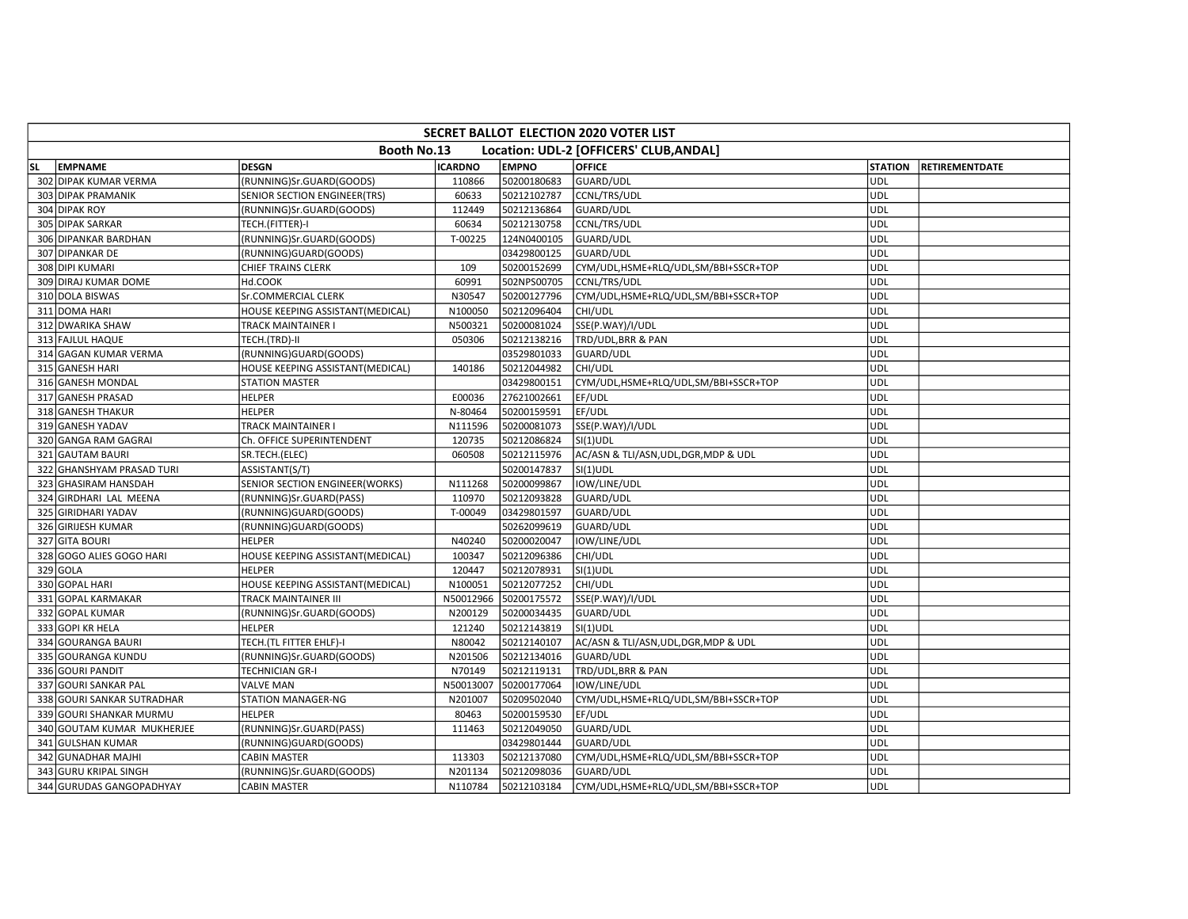|           | <b>SECRET BALLOT ELECTION 2020 VOTER LIST</b>          |                                  |                |              |                                       |                |                       |  |  |  |  |  |
|-----------|--------------------------------------------------------|----------------------------------|----------------|--------------|---------------------------------------|----------------|-----------------------|--|--|--|--|--|
|           | Booth No.13<br>Location: UDL-2 [OFFICERS' CLUB, ANDAL] |                                  |                |              |                                       |                |                       |  |  |  |  |  |
| <b>SL</b> | <b>EMPNAME</b>                                         | <b>DESGN</b>                     | <b>ICARDNO</b> | <b>EMPNO</b> | <b>OFFICE</b>                         | <b>STATION</b> | <b>RETIREMENTDATE</b> |  |  |  |  |  |
|           | 302 DIPAK KUMAR VERMA                                  | (RUNNING)Sr.GUARD(GOODS)         | 110866         | 50200180683  | GUARD/UDL                             | UDL            |                       |  |  |  |  |  |
|           | 303 DIPAK PRAMANIK                                     | SENIOR SECTION ENGINEER(TRS)     | 60633          | 50212102787  | CCNL/TRS/UDL                          | <b>UDL</b>     |                       |  |  |  |  |  |
|           | 304 DIPAK ROY                                          | (RUNNING)Sr.GUARD(GOODS)         | 112449         | 50212136864  | <b>GUARD/UDL</b>                      | UDL            |                       |  |  |  |  |  |
|           | 305 DIPAK SARKAR                                       | TECH.(FITTER)-I                  | 60634          | 50212130758  | CCNL/TRS/UDL                          | UDL            |                       |  |  |  |  |  |
|           | 306 DIPANKAR BARDHAN                                   | (RUNNING)Sr.GUARD(GOODS)         | T-00225        | 124N0400105  | GUARD/UDL                             | <b>UDL</b>     |                       |  |  |  |  |  |
|           | 307 DIPANKAR DE                                        | (RUNNING)GUARD(GOODS)            |                | 03429800125  | GUARD/UDL                             | UDL            |                       |  |  |  |  |  |
|           | 308 DIPI KUMARI                                        | <b>CHIEF TRAINS CLERK</b>        | 109            | 50200152699  | CYM/UDL,HSME+RLQ/UDL,SM/BBI+SSCR+TOP  | <b>UDL</b>     |                       |  |  |  |  |  |
|           | 309 DIRAJ KUMAR DOME                                   | Hd.COOK                          | 60991          | 502NPS00705  | CCNL/TRS/UDL                          | <b>UDL</b>     |                       |  |  |  |  |  |
|           | 310 DOLA BISWAS                                        | Sr.COMMERCIAL CLERK              | N30547         | 50200127796  | CYM/UDL,HSME+RLQ/UDL,SM/BBI+SSCR+TOP  | <b>UDL</b>     |                       |  |  |  |  |  |
|           | 311 DOMA HARI                                          | HOUSE KEEPING ASSISTANT(MEDICAL) | N100050        | 50212096404  | CHI/UDL                               | UDL            |                       |  |  |  |  |  |
|           | 312 DWARIKA SHAW                                       | TRACK MAINTAINER I               | N500321        | 50200081024  | SSE(P.WAY)/I/UDL                      | <b>UDL</b>     |                       |  |  |  |  |  |
|           | 313 FAJLUL HAQUE                                       | TECH.(TRD)-II                    | 050306         | 50212138216  | TRD/UDL, BRR & PAN                    | <b>UDL</b>     |                       |  |  |  |  |  |
|           | 314 GAGAN KUMAR VERMA                                  | (RUNNING)GUARD(GOODS)            |                | 03529801033  | GUARD/UDL                             | <b>UDL</b>     |                       |  |  |  |  |  |
|           | 315 GANESH HARI                                        | HOUSE KEEPING ASSISTANT(MEDICAL) | 140186         | 50212044982  | CHI/UDL                               | UDL            |                       |  |  |  |  |  |
|           | 316 GANESH MONDAL                                      | STATION MASTER                   |                | 03429800151  | CYM/UDL,HSME+RLQ/UDL,SM/BBI+SSCR+TOP  | <b>UDL</b>     |                       |  |  |  |  |  |
|           | 317 GANESH PRASAD                                      | <b>HELPER</b>                    | E00036         | 27621002661  | EF/UDL                                | <b>UDL</b>     |                       |  |  |  |  |  |
|           | 318 GANESH THAKUR                                      | <b>HELPER</b>                    | N-80464        | 50200159591  | EF/UDL                                | UDL            |                       |  |  |  |  |  |
|           | 319 GANESH YADAV                                       | TRACK MAINTAINER I               | N111596        | 50200081073  | SSE(P.WAY)/I/UDL                      | <b>UDL</b>     |                       |  |  |  |  |  |
|           | 320 GANGA RAM GAGRAI                                   | Ch. OFFICE SUPERINTENDENT        | 120735         | 50212086824  | $SI(1)$ UDL                           | UDL            |                       |  |  |  |  |  |
|           | 321 GAUTAM BAURI                                       | SR.TECH.(ELEC)                   | 060508         | 50212115976  | AC/ASN & TLI/ASN, UDL, DGR, MDP & UDL | UDL            |                       |  |  |  |  |  |
|           | 322 GHANSHYAM PRASAD TURI                              | ASSISTANT(S/T)                   |                | 50200147837  | $SI(1)$ UDL                           | <b>UDL</b>     |                       |  |  |  |  |  |
|           | 323 GHASIRAM HANSDAH                                   | SENIOR SECTION ENGINEER(WORKS)   | N111268        | 50200099867  | IOW/LINE/UDL                          | UDL            |                       |  |  |  |  |  |
|           | 324 GIRDHARI LAL MEENA                                 | (RUNNING)Sr.GUARD(PASS)          | 110970         | 50212093828  | GUARD/UDL                             | UDL            |                       |  |  |  |  |  |
|           | 325 GIRIDHARI YADAV                                    | (RUNNING)GUARD(GOODS)            | T-00049        | 03429801597  | GUARD/UDL                             | UDL            |                       |  |  |  |  |  |
|           | 326 GIRIJESH KUMAR                                     | (RUNNING)GUARD(GOODS)            |                | 50262099619  | GUARD/UDL                             | UDL            |                       |  |  |  |  |  |
|           | 327 GITA BOURI                                         | <b>HELPER</b>                    | N40240         | 50200020047  | IOW/LINE/UDL                          | <b>UDL</b>     |                       |  |  |  |  |  |
|           | 328 GOGO ALIES GOGO HARI                               | HOUSE KEEPING ASSISTANT(MEDICAL) | 100347         | 50212096386  | CHI/UDL                               | UDL            |                       |  |  |  |  |  |
|           | 329 GOLA                                               | <b>HELPER</b>                    | 120447         | 50212078931  | $SI(1)$ UDL                           | <b>UDL</b>     |                       |  |  |  |  |  |
|           | 330 GOPAL HARI                                         | HOUSE KEEPING ASSISTANT(MEDICAL) | N100051        | 50212077252  | CHI/UDL                               | UDL            |                       |  |  |  |  |  |
|           | 331 GOPAL KARMAKAR                                     | TRACK MAINTAINER III             | N50012966      | 50200175572  | SSE(P.WAY)/I/UDL                      | <b>UDL</b>     |                       |  |  |  |  |  |
|           | 332 GOPAL KUMAR                                        | (RUNNING)Sr.GUARD(GOODS)         | N200129        | 50200034435  | GUARD/UDL                             | <b>UDL</b>     |                       |  |  |  |  |  |
|           | 333 GOPI KR HELA                                       | <b>HELPER</b>                    | 121240         | 50212143819  | SI(1)UDL                              | UDL            |                       |  |  |  |  |  |
|           | 334 GOURANGA BAURI                                     | TECH.(TL FITTER EHLF)-I          | N80042         | 50212140107  | AC/ASN & TLI/ASN, UDL, DGR, MDP & UDL | <b>UDL</b>     |                       |  |  |  |  |  |
|           | 335 GOURANGA KUNDU                                     | (RUNNING)Sr.GUARD(GOODS)         | N201506        | 50212134016  | GUARD/UDL                             | UDL            |                       |  |  |  |  |  |
|           | 336 GOURI PANDIT                                       | TECHNICIAN GR-I                  | N70149         | 50212119131  | TRD/UDL, BRR & PAN                    | <b>UDL</b>     |                       |  |  |  |  |  |
|           | 337 GOURI SANKAR PAL                                   | <b>VALVE MAN</b>                 | N50013007      | 50200177064  | IOW/LINE/UDL                          | <b>UDL</b>     |                       |  |  |  |  |  |
|           | 338 GOURI SANKAR SUTRADHAR                             | STATION MANAGER-NG               | N201007        | 50209502040  | CYM/UDL,HSME+RLQ/UDL,SM/BBI+SSCR+TOP  | <b>UDL</b>     |                       |  |  |  |  |  |
|           | 339 GOURI SHANKAR MURMU                                | <b>HELPER</b>                    | 80463          | 50200159530  | EF/UDL                                | <b>UDL</b>     |                       |  |  |  |  |  |
|           | 340 GOUTAM KUMAR MUKHERJEE                             | (RUNNING)Sr.GUARD(PASS)          | 111463         | 50212049050  | GUARD/UDL                             | UDL            |                       |  |  |  |  |  |
|           | 341 GULSHAN KUMAR                                      | (RUNNING)GUARD(GOODS)            |                | 03429801444  | GUARD/UDL                             | <b>UDL</b>     |                       |  |  |  |  |  |
|           | 342 GUNADHAR MAJHI                                     | <b>CABIN MASTER</b>              | 113303         | 50212137080  | CYM/UDL,HSME+RLQ/UDL,SM/BBI+SSCR+TOP  | <b>UDL</b>     |                       |  |  |  |  |  |
|           | 343 GURU KRIPAL SINGH                                  | (RUNNING)Sr.GUARD(GOODS)         | N201134        | 50212098036  | <b>GUARD/UDL</b>                      | <b>UDL</b>     |                       |  |  |  |  |  |
|           | 344 GURUDAS GANGOPADHYAY                               | <b>CABIN MASTER</b>              | N110784        | 50212103184  | CYM/UDL,HSME+RLQ/UDL,SM/BBI+SSCR+TOP  | <b>UDL</b>     |                       |  |  |  |  |  |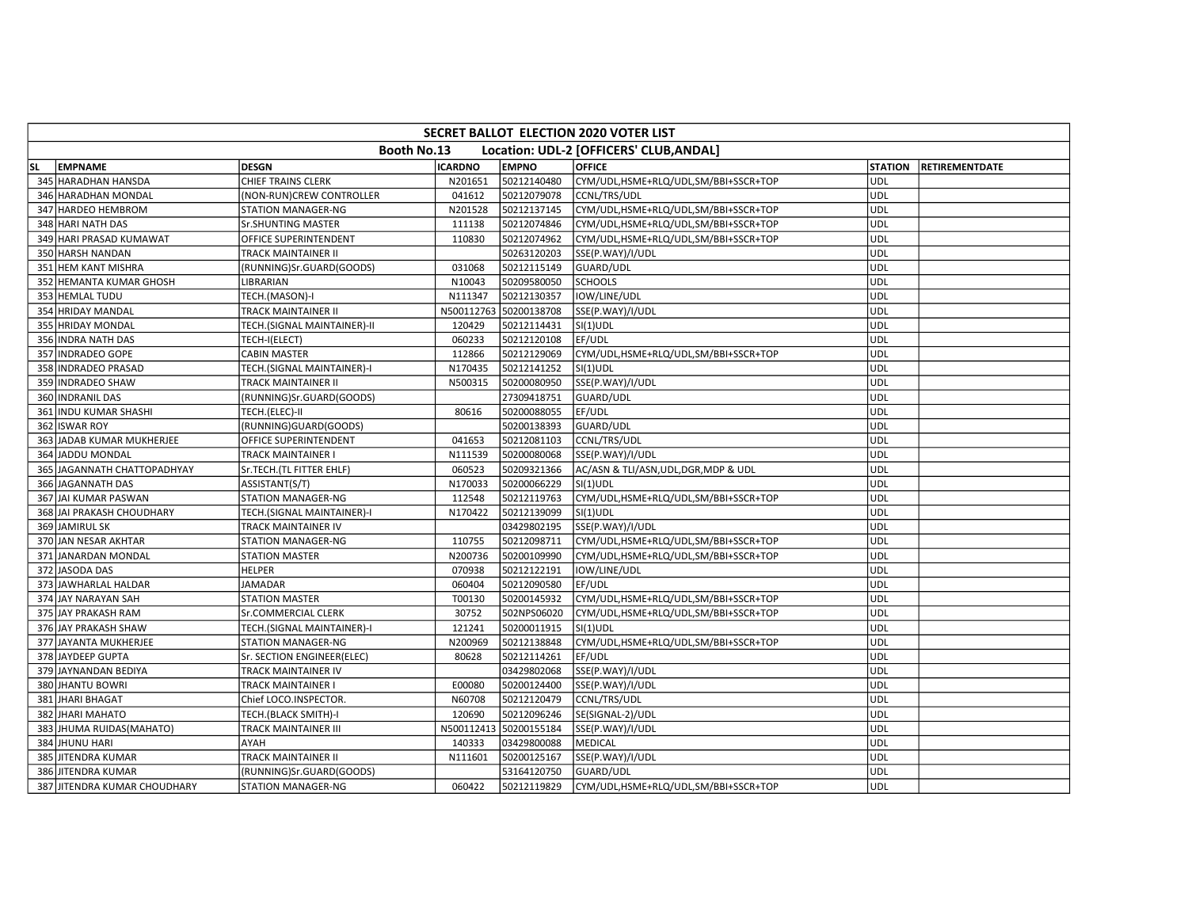|           | <b>SECRET BALLOT ELECTION 2020 VOTER LIST</b> |                             |                |                        |                                         |                |                       |  |  |  |  |  |
|-----------|-----------------------------------------------|-----------------------------|----------------|------------------------|-----------------------------------------|----------------|-----------------------|--|--|--|--|--|
|           |                                               | Booth No.13                 |                |                        | Location: UDL-2 [OFFICERS' CLUB, ANDAL] |                |                       |  |  |  |  |  |
| <b>SL</b> | <b>EMPNAME</b>                                | <b>DESGN</b>                | <b>ICARDNO</b> | <b>EMPNO</b>           | <b>OFFICE</b>                           | <b>STATION</b> | <b>RETIREMENTDATE</b> |  |  |  |  |  |
|           | 345 HARADHAN HANSDA                           | CHIEF TRAINS CLERK          | N201651        | 50212140480            | CYM/UDL,HSME+RLQ/UDL,SM/BBI+SSCR+TOP    | <b>UDL</b>     |                       |  |  |  |  |  |
|           | 346 HARADHAN MONDAL                           | (NON-RUN)CREW CONTROLLER    | 041612         | 50212079078            | CCNL/TRS/UDL                            | <b>UDL</b>     |                       |  |  |  |  |  |
|           | 347 HARDEO HEMBROM                            | STATION MANAGER-NG          | N201528        | 50212137145            | CYM/UDL,HSME+RLQ/UDL,SM/BBI+SSCR+TOP    | UDL            |                       |  |  |  |  |  |
|           | 348 HARI NATH DAS                             | Sr.SHUNTING MASTER          | 111138         | 50212074846            | CYM/UDL,HSME+RLQ/UDL,SM/BBI+SSCR+TOP    | <b>UDL</b>     |                       |  |  |  |  |  |
|           | 349 HARI PRASAD KUMAWAT                       | OFFICE SUPERINTENDENT       | 110830         | 50212074962            | CYM/UDL,HSME+RLQ/UDL,SM/BBI+SSCR+TOP    | <b>UDL</b>     |                       |  |  |  |  |  |
|           | 350 HARSH NANDAN                              | TRACK MAINTAINER II         |                | 50263120203            | SSE(P.WAY)/I/UDL                        | <b>UDL</b>     |                       |  |  |  |  |  |
|           | 351 HEM KANT MISHRA                           | (RUNNING)Sr.GUARD(GOODS)    | 031068         | 50212115149            | GUARD/UDL                               | <b>UDL</b>     |                       |  |  |  |  |  |
|           | 352 HEMANTA KUMAR GHOSH                       | LIBRARIAN                   | N10043         | 50209580050            | <b>SCHOOLS</b>                          | <b>UDL</b>     |                       |  |  |  |  |  |
|           | 353 HEMLAL TUDU                               | TECH.(MASON)-I              | N111347        | 50212130357            | IOW/LINE/UDL                            | <b>UDL</b>     |                       |  |  |  |  |  |
|           | 354 HRIDAY MANDAL                             | TRACK MAINTAINER II         |                | N500112763 50200138708 | SSE(P.WAY)/I/UDL                        | UDL            |                       |  |  |  |  |  |
|           | 355 HRIDAY MONDAL                             | TECH.(SIGNAL MAINTAINER)-II | 120429         | 50212114431            | $SI(1)$ UDL                             | <b>UDL</b>     |                       |  |  |  |  |  |
|           | 356 INDRA NATH DAS                            | TECH-I(ELECT)               | 060233         | 50212120108            | EF/UDL                                  | <b>UDL</b>     |                       |  |  |  |  |  |
|           | 357 INDRADEO GOPE                             | <b>CABIN MASTER</b>         | 112866         | 50212129069            | CYM/UDL,HSME+RLQ/UDL,SM/BBI+SSCR+TOP    | <b>UDL</b>     |                       |  |  |  |  |  |
|           | 358 INDRADEO PRASAD                           | TECH.(SIGNAL MAINTAINER)-I  | N170435        | 50212141252            | SI(1)UDL                                | UDL            |                       |  |  |  |  |  |
|           | 359 INDRADEO SHAW                             | TRACK MAINTAINER II         | N500315        | 50200080950            | SSE(P.WAY)/I/UDL                        | <b>UDL</b>     |                       |  |  |  |  |  |
|           | 360 INDRANIL DAS                              | (RUNNING)Sr.GUARD(GOODS)    |                | 27309418751            | GUARD/UDL                               | <b>UDL</b>     |                       |  |  |  |  |  |
|           | 361 INDU KUMAR SHASHI                         | TECH.(ELEC)-II              | 80616          | 50200088055            | EF/UDL                                  | <b>UDL</b>     |                       |  |  |  |  |  |
|           | 362 ISWAR ROY                                 | (RUNNING)GUARD(GOODS)       |                | 50200138393            | GUARD/UDL                               | <b>UDL</b>     |                       |  |  |  |  |  |
|           | 363 JADAB KUMAR MUKHERJEE                     | OFFICE SUPERINTENDENT       | 041653         | 50212081103            | CCNL/TRS/UDL                            | UDL            |                       |  |  |  |  |  |
|           | 364 JADDU MONDAL                              | TRACK MAINTAINER I          | N111539        | 50200080068            | SSE(P.WAY)/I/UDL                        | <b>UDL</b>     |                       |  |  |  |  |  |
|           | 365 JAGANNATH CHATTOPADHYAY                   | Sr.TECH.(TL FITTER EHLF)    | 060523         | 50209321366            | AC/ASN & TLI/ASN, UDL, DGR, MDP & UDL   | <b>UDL</b>     |                       |  |  |  |  |  |
|           | 366 JAGANNATH DAS                             | ASSISTANT(S/T)              | N170033        | 50200066229            | $SI(1)$ UDL                             | UDL            |                       |  |  |  |  |  |
|           | 367 JAI KUMAR PASWAN                          | STATION MANAGER-NG          | 112548         | 50212119763            | CYM/UDL,HSME+RLQ/UDL,SM/BBI+SSCR+TOP    | <b>UDL</b>     |                       |  |  |  |  |  |
|           | 368 JAI PRAKASH CHOUDHARY                     | TECH.(SIGNAL MAINTAINER)-I  | N170422        | 50212139099            | $SI(1)$ UDL                             | <b>UDL</b>     |                       |  |  |  |  |  |
|           | 369 JAMIRUL SK                                | TRACK MAINTAINER IV         |                | 03429802195            | SSE(P.WAY)/I/UDL                        | <b>UDL</b>     |                       |  |  |  |  |  |
|           | 370 JAN NESAR AKHTAR                          | STATION MANAGER-NG          | 110755         | 50212098711            | CYM/UDL,HSME+RLQ/UDL,SM/BBI+SSCR+TOP    | UDL            |                       |  |  |  |  |  |
|           | 371 JANARDAN MONDAL                           | <b>STATION MASTER</b>       | N200736        | 50200109990            | CYM/UDL,HSME+RLQ/UDL,SM/BBI+SSCR+TOP    | <b>UDL</b>     |                       |  |  |  |  |  |
|           | 372 JASODA DAS                                | <b>HELPER</b>               | 070938         | 50212122191            | IOW/LINE/UDL                            | UDL            |                       |  |  |  |  |  |
|           | 373 JAWHARLAL HALDAR                          | <b>JAMADAR</b>              | 060404         | 50212090580            | EF/UDL                                  | <b>UDL</b>     |                       |  |  |  |  |  |
|           | 374 JAY NARAYAN SAH                           | <b>STATION MASTER</b>       | T00130         | 50200145932            | CYM/UDL,HSME+RLQ/UDL,SM/BBI+SSCR+TOP    | <b>UDL</b>     |                       |  |  |  |  |  |
|           | 375 JAY PRAKASH RAM                           | Sr.COMMERCIAL CLERK         | 30752          | 502NPS06020            | CYM/UDL,HSME+RLQ/UDL,SM/BBI+SSCR+TOP    | <b>UDL</b>     |                       |  |  |  |  |  |
|           | 376 JAY PRAKASH SHAW                          | TECH.(SIGNAL MAINTAINER)-I  | 121241         | 50200011915            | $SI(1)$ UDL                             | <b>UDL</b>     |                       |  |  |  |  |  |
|           | 377 JAYANTA MUKHERJEE                         | STATION MANAGER-NG          | N200969        | 50212138848            | CYM/UDL,HSME+RLQ/UDL,SM/BBI+SSCR+TOP    | <b>UDL</b>     |                       |  |  |  |  |  |
|           | 378 JAYDEEP GUPTA                             | Sr. SECTION ENGINEER(ELEC)  | 80628          | 50212114261            | EF/UDL                                  | UDL            |                       |  |  |  |  |  |
|           | 379 JAYNANDAN BEDIYA                          | TRACK MAINTAINER IV         |                | 03429802068            | SSE(P.WAY)/I/UDL                        | UDL            |                       |  |  |  |  |  |
|           | 380 JHANTU BOWRI                              | TRACK MAINTAINER I          | E00080         | 50200124400            | SSE(P.WAY)/I/UDL                        | <b>UDL</b>     |                       |  |  |  |  |  |
|           | 381 JHARI BHAGAT                              | Chief LOCO.INSPECTOR.       | N60708         | 50212120479            | CCNL/TRS/UDL                            | UDL            |                       |  |  |  |  |  |
|           | 382 JHARI MAHATO                              | TECH.(BLACK SMITH)-I        | 120690         | 50212096246            | SE(SIGNAL-2)/UDL                        | <b>UDL</b>     |                       |  |  |  |  |  |
|           | 383 JHUMA RUIDAS (MAHATO)                     | TRACK MAINTAINER III        |                | N500112413 50200155184 | SSE(P.WAY)/I/UDL                        | <b>UDL</b>     |                       |  |  |  |  |  |
|           | 384 JHUNU HARI                                | AYAH                        | 140333         | 03429800088            | MEDICAL                                 | <b>UDL</b>     |                       |  |  |  |  |  |
|           | 385 JITENDRA KUMAR                            | TRACK MAINTAINER II         | N111601        | 50200125167            | SSE(P.WAY)/I/UDL                        | UDL            |                       |  |  |  |  |  |
|           | 386 JITENDRA KUMAR                            | (RUNNING)Sr.GUARD(GOODS)    |                | 53164120750            | GUARD/UDL                               | <b>UDL</b>     |                       |  |  |  |  |  |
|           | 387 JITENDRA KUMAR CHOUDHARY                  | STATION MANAGER-NG          | 060422         | 50212119829            | CYM/UDL,HSME+RLQ/UDL,SM/BBI+SSCR+TOP    | <b>UDL</b>     |                       |  |  |  |  |  |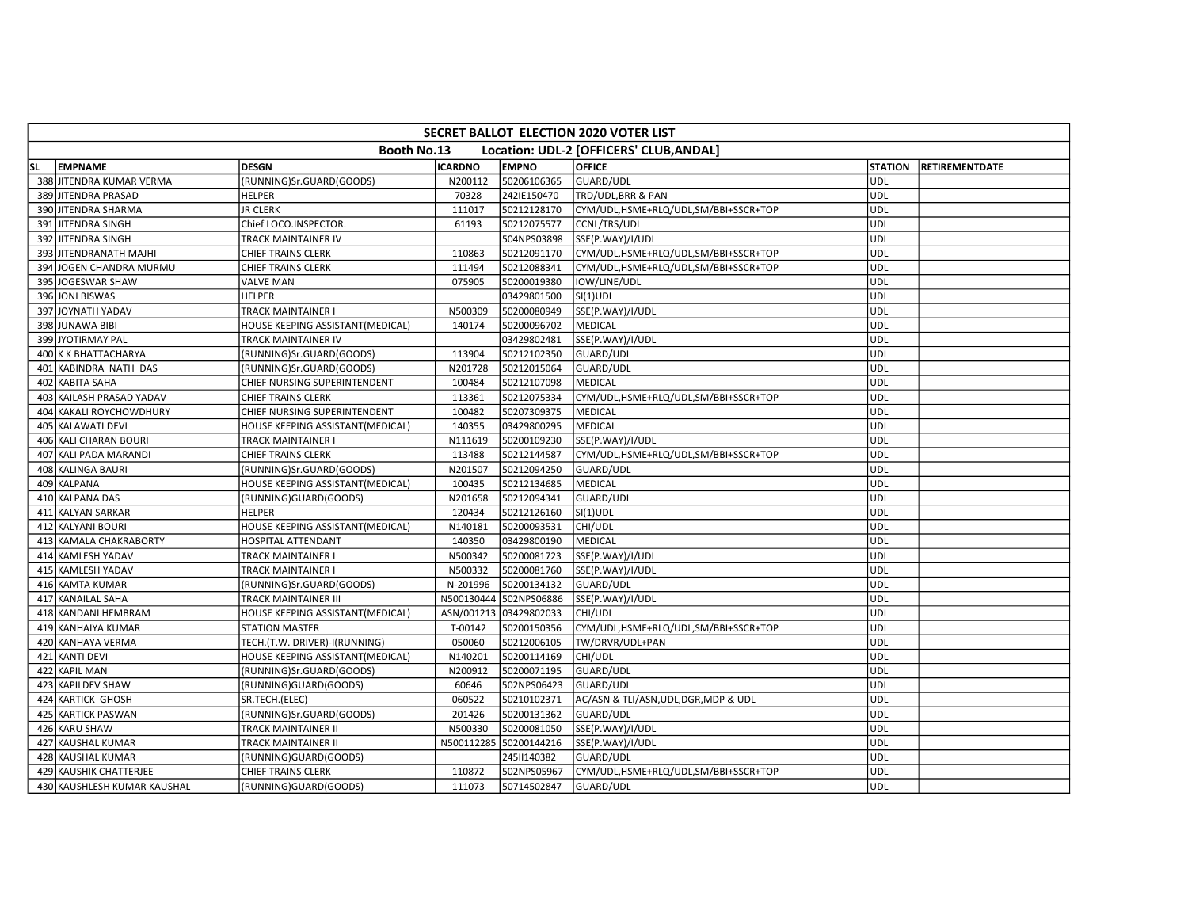|     | <b>SECRET BALLOT ELECTION 2020 VOTER LIST</b> |                                  |                |              |                                         |                |                       |  |  |  |  |  |
|-----|-----------------------------------------------|----------------------------------|----------------|--------------|-----------------------------------------|----------------|-----------------------|--|--|--|--|--|
|     |                                               | Booth No.13                      |                |              | Location: UDL-2 [OFFICERS' CLUB, ANDAL] |                |                       |  |  |  |  |  |
| SL. | <b>EMPNAME</b>                                | <b>DESGN</b>                     | <b>ICARDNO</b> | <b>EMPNO</b> | <b>OFFICE</b>                           | <b>STATION</b> | <b>RETIREMENTDATE</b> |  |  |  |  |  |
|     | 388 JITENDRA KUMAR VERMA                      | (RUNNING)Sr.GUARD(GOODS)         | N200112        | 50206106365  | GUARD/UDL                               | UDL            |                       |  |  |  |  |  |
|     | 389 JITENDRA PRASAD                           | <b>HELPER</b>                    | 70328          | 242IE150470  | TRD/UDL, BRR & PAN                      | <b>UDL</b>     |                       |  |  |  |  |  |
|     | 390 JITENDRA SHARMA                           | <b>JR CLERK</b>                  | 111017         | 50212128170  | CYM/UDL,HSME+RLQ/UDL,SM/BBI+SSCR+TOP    | <b>UDL</b>     |                       |  |  |  |  |  |
|     | 391 JITENDRA SINGH                            | Chief LOCO.INSPECTOR.            | 61193          | 50212075577  | CCNL/TRS/UDL                            | UDL            |                       |  |  |  |  |  |
|     | 392 JITENDRA SINGH                            | TRACK MAINTAINER IV              |                | 504NPS03898  | SSE(P.WAY)/I/UDL                        | <b>UDL</b>     |                       |  |  |  |  |  |
|     | 393 JITENDRANATH MAJHI                        | <b>CHIEF TRAINS CLERK</b>        | 110863         | 50212091170  | CYM/UDL,HSME+RLQ/UDL,SM/BBI+SSCR+TOP    | UDL            |                       |  |  |  |  |  |
|     | 394 JOGEN CHANDRA MURMU                       | CHIEF TRAINS CLERK               | 111494         | 50212088341  | CYM/UDL,HSME+RLQ/UDL,SM/BBI+SSCR+TOP    | <b>UDL</b>     |                       |  |  |  |  |  |
|     | 395 JOGESWAR SHAW                             | <b>VALVE MAN</b>                 | 075905         | 50200019380  | IOW/LINE/UDL                            | <b>UDL</b>     |                       |  |  |  |  |  |
|     | 396 JONI BISWAS                               | <b>HELPER</b>                    |                | 03429801500  | $SI(1)$ UDL                             | <b>UDL</b>     |                       |  |  |  |  |  |
|     | 397 JOYNATH YADAV                             | TRACK MAINTAINER I               | N500309        | 50200080949  | SSE(P.WAY)/I/UDL                        | <b>UDL</b>     |                       |  |  |  |  |  |
|     | 398 JUNAWA BIBI                               | HOUSE KEEPING ASSISTANT(MEDICAL) | 140174         | 50200096702  | <b>MEDICAL</b>                          | <b>UDL</b>     |                       |  |  |  |  |  |
|     | 399 JYOTIRMAY PAL                             | <b>TRACK MAINTAINER IV</b>       |                | 03429802481  | SSE(P.WAY)/I/UDL                        | UDL            |                       |  |  |  |  |  |
|     | 400 K K BHATTACHARYA                          | (RUNNING)Sr.GUARD(GOODS)         | 113904         | 50212102350  | GUARD/UDL                               | <b>UDL</b>     |                       |  |  |  |  |  |
|     | 401 KABINDRA NATH DAS                         | (RUNNING)Sr.GUARD(GOODS)         | N201728        | 50212015064  | GUARD/UDL                               | UDL            |                       |  |  |  |  |  |
|     | 402 KABITA SAHA                               | CHIEF NURSING SUPERINTENDENT     | 100484         | 50212107098  | <b>MEDICAL</b>                          | <b>UDL</b>     |                       |  |  |  |  |  |
|     | 403 KAILASH PRASAD YADAV                      | CHIEF TRAINS CLERK               | 113361         | 50212075334  | CYM/UDL,HSME+RLQ/UDL,SM/BBI+SSCR+TOP    | <b>UDL</b>     |                       |  |  |  |  |  |
|     | 404 KAKALI ROYCHOWDHURY                       | CHIEF NURSING SUPERINTENDENT     | 100482         | 50207309375  | <b>MEDICAL</b>                          | <b>UDL</b>     |                       |  |  |  |  |  |
|     | 405 KALAWATI DEVI                             | HOUSE KEEPING ASSISTANT(MEDICAL) | 140355         | 03429800295  | MEDICAL                                 | <b>UDL</b>     |                       |  |  |  |  |  |
|     | 406 KALI CHARAN BOURI                         | TRACK MAINTAINER I               | N111619        | 50200109230  | SSE(P.WAY)/I/UDL                        | UDL            |                       |  |  |  |  |  |
|     | 407 KALI PADA MARANDI                         | <b>CHIEF TRAINS CLERK</b>        | 113488         | 50212144587  | CYM/UDL,HSME+RLQ/UDL,SM/BBI+SSCR+TOP    | <b>UDL</b>     |                       |  |  |  |  |  |
|     | 408 KALINGA BAURI                             | (RUNNING)Sr.GUARD(GOODS)         | N201507        | 50212094250  | <b>GUARD/UDL</b>                        | UDL            |                       |  |  |  |  |  |
|     | 409 KALPANA                                   | HOUSE KEEPING ASSISTANT(MEDICAL) | 100435         | 50212134685  | <b>MEDICAL</b>                          | UDL            |                       |  |  |  |  |  |
|     | 410 KALPANA DAS                               | (RUNNING)GUARD(GOODS)            | N201658        | 50212094341  | GUARD/UDL                               | UDL            |                       |  |  |  |  |  |
|     | 411 KALYAN SARKAR                             | <b>HELPER</b>                    | 120434         | 50212126160  | SI(1)UDL                                | <b>UDL</b>     |                       |  |  |  |  |  |
|     | 412 KALYANI BOURI                             | HOUSE KEEPING ASSISTANT(MEDICAL) | N140181        | 50200093531  | CHI/UDL                                 | <b>UDL</b>     |                       |  |  |  |  |  |
|     | 413 KAMALA CHAKRABORTY                        | HOSPITAL ATTENDANT               | 140350         | 03429800190  | <b>MEDICAL</b>                          | UDL            |                       |  |  |  |  |  |
|     | 414 KAMLESH YADAV                             | TRACK MAINTAINER I               | N500342        | 50200081723  | SSE(P.WAY)/I/UDL                        | <b>UDL</b>     |                       |  |  |  |  |  |
|     | 415 KAMLESH YADAV                             | TRACK MAINTAINER I               | N500332        | 50200081760  | SSE(P.WAY)/I/UDL                        | <b>UDL</b>     |                       |  |  |  |  |  |
|     | 416 KAMTA KUMAR                               | (RUNNING)Sr.GUARD(GOODS)         | N-201996       | 50200134132  | GUARD/UDL                               | <b>UDL</b>     |                       |  |  |  |  |  |
|     | 417 KANAILAL SAHA                             | <b>TRACK MAINTAINER III</b>      | N500130444     | 502NPS06886  | SSE(P.WAY)/I/UDL                        | UDL            |                       |  |  |  |  |  |
|     | 418 KANDANI HEMBRAM                           | HOUSE KEEPING ASSISTANT(MEDICAL) | ASN/001213     | 03429802033  | CHI/UDL                                 | <b>UDL</b>     |                       |  |  |  |  |  |
|     | 419 KANHAIYA KUMAR                            | <b>STATION MASTER</b>            | T-00142        | 50200150356  | CYM/UDL,HSME+RLQ/UDL,SM/BBI+SSCR+TOP    | UDL            |                       |  |  |  |  |  |
|     | 420 KANHAYA VERMA                             | TECH.(T.W. DRIVER)-I(RUNNING)    | 050060         | 50212006105  | TW/DRVR/UDL+PAN                         | UDL            |                       |  |  |  |  |  |
|     | 421 KANTI DEVI                                | HOUSE KEEPING ASSISTANT(MEDICAL) | N140201        | 50200114169  | CHI/UDL                                 | UDL            |                       |  |  |  |  |  |
|     | 422 KAPIL MAN                                 | (RUNNING)Sr.GUARD(GOODS)         | N200912        | 50200071195  | GUARD/UDL                               | UDL            |                       |  |  |  |  |  |
|     | 423 KAPILDEV SHAW                             | (RUNNING)GUARD(GOODS)            | 60646          | 502NPS06423  | <b>GUARD/UDL</b>                        | UDL            |                       |  |  |  |  |  |
|     | 424 KARTICK GHOSH                             | SR.TECH.(ELEC)                   | 060522         | 50210102371  | AC/ASN & TLI/ASN, UDL, DGR, MDP & UDL   | UDL            |                       |  |  |  |  |  |
|     | 425 KARTICK PASWAN                            | (RUNNING)Sr.GUARD(GOODS)         | 201426         | 50200131362  | GUARD/UDL                               | <b>UDL</b>     |                       |  |  |  |  |  |
|     | 426 KARU SHAW                                 | TRACK MAINTAINER II              | N500330        | 50200081050  | SSE(P.WAY)/I/UDL                        | <b>UDL</b>     |                       |  |  |  |  |  |
|     | 427 KAUSHAL KUMAR                             | TRACK MAINTAINER II              | N500112285     | 50200144216  | SSE(P.WAY)/I/UDL                        | <b>UDL</b>     |                       |  |  |  |  |  |
|     | 428 KAUSHAL KUMAR                             | (RUNNING)GUARD(GOODS)            |                | 245II140382  | <b>GUARD/UDL</b>                        | UDL            |                       |  |  |  |  |  |
|     | 429 KAUSHIK CHATTERJEE                        | CHIEF TRAINS CLERK               | 110872         | 502NPS05967  | CYM/UDL,HSME+RLQ/UDL,SM/BBI+SSCR+TOP    | <b>UDL</b>     |                       |  |  |  |  |  |
|     | 430 KAUSHLESH KUMAR KAUSHAL                   | (RUNNING)GUARD(GOODS)            | 111073         | 50714502847  | <b>GUARD/UDL</b>                        | UDL            |                       |  |  |  |  |  |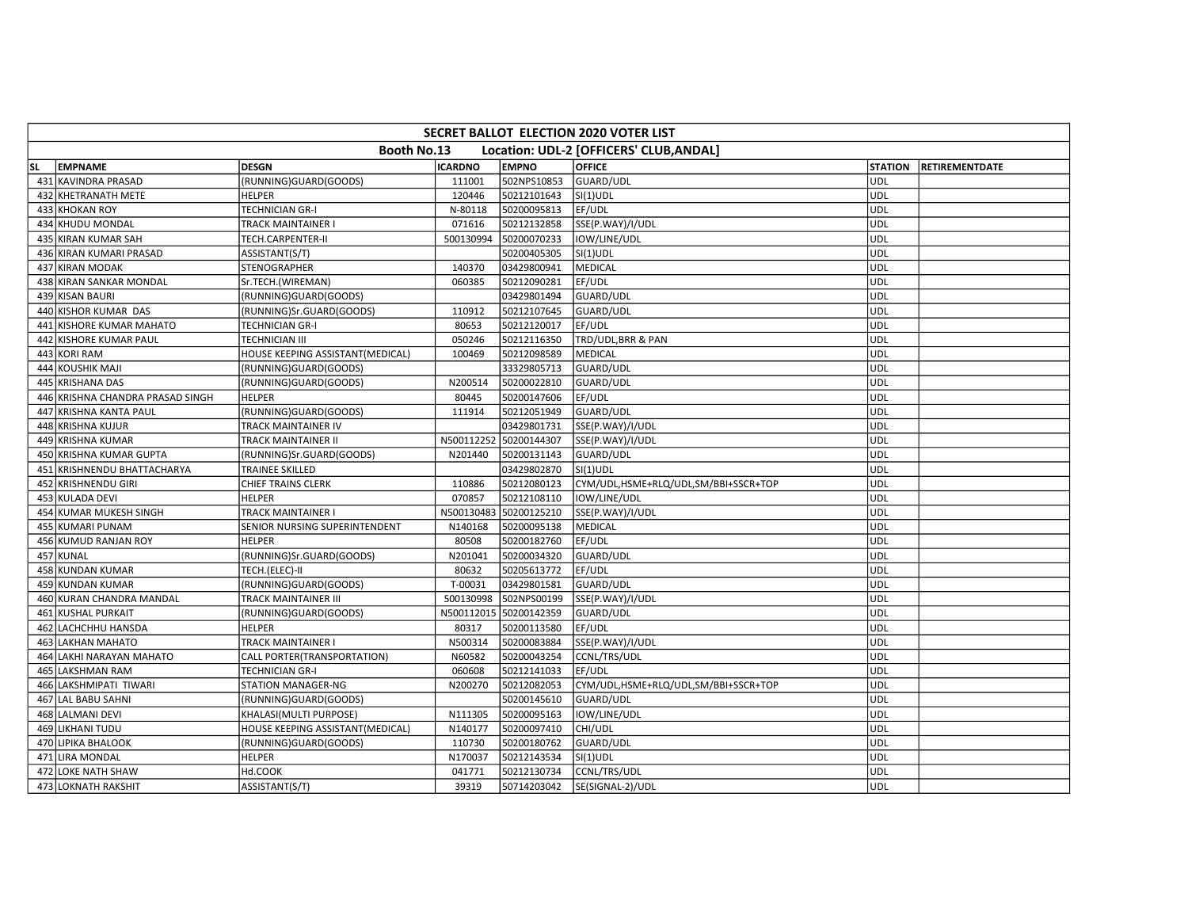|           | <b>SECRET BALLOT ELECTION 2020 VOTER LIST</b>          |                                  |                |                        |                                      |            |                        |  |  |  |  |  |
|-----------|--------------------------------------------------------|----------------------------------|----------------|------------------------|--------------------------------------|------------|------------------------|--|--|--|--|--|
|           | Booth No.13<br>Location: UDL-2 [OFFICERS' CLUB, ANDAL] |                                  |                |                        |                                      |            |                        |  |  |  |  |  |
| <b>SL</b> | EMPNAME                                                | <b>DESGN</b>                     | <b>ICARDNO</b> | <b>EMPNO</b>           | <b>OFFICE</b>                        |            | STATION RETIREMENTDATE |  |  |  |  |  |
|           | 431 KAVINDRA PRASAD                                    | (RUNNING)GUARD(GOODS)            | 111001         | 502NPS10853            | GUARD/UDL                            | <b>UDL</b> |                        |  |  |  |  |  |
|           | 432 KHETRANATH METE                                    | <b>HELPER</b>                    | 120446         | 50212101643            | SI(1)UDL                             | <b>UDL</b> |                        |  |  |  |  |  |
|           | 433 KHOKAN ROY                                         | TECHNICIAN GR-I                  | N-80118        | 50200095813            | EF/UDL                               | UDL        |                        |  |  |  |  |  |
|           | 434 KHUDU MONDAL                                       | TRACK MAINTAINER I               | 071616         | 50212132858            | SSE(P.WAY)/I/UDL                     | <b>UDL</b> |                        |  |  |  |  |  |
|           | 435 KIRAN KUMAR SAH                                    | TECH.CARPENTER-II                | 500130994      | 50200070233            | IOW/LINE/UDL                         | <b>UDL</b> |                        |  |  |  |  |  |
|           | 436 KIRAN KUMARI PRASAD                                | ASSISTANT(S/T)                   |                | 50200405305            | $SI(1)$ UDL                          | <b>UDL</b> |                        |  |  |  |  |  |
|           | 437 KIRAN MODAK                                        | STENOGRAPHER                     | 140370         | 03429800941            | MEDICAL                              | UDL        |                        |  |  |  |  |  |
|           | 438 KIRAN SANKAR MONDAL                                | Sr.TECH.(WIREMAN)                | 060385         | 50212090281            | EF/UDL                               | <b>UDL</b> |                        |  |  |  |  |  |
|           | 439 KISAN BAURI                                        | (RUNNING)GUARD(GOODS)            |                | 03429801494            | GUARD/UDL                            | <b>UDL</b> |                        |  |  |  |  |  |
|           | 440 KISHOR KUMAR DAS                                   | (RUNNING)Sr.GUARD(GOODS)         | 110912         | 50212107645            | GUARD/UDL                            | <b>UDL</b> |                        |  |  |  |  |  |
|           | 441 KISHORE KUMAR MAHATO                               | <b>TECHNICIAN GR-I</b>           | 80653          | 50212120017            | EF/UDL                               | <b>UDL</b> |                        |  |  |  |  |  |
|           | 442 KISHORE KUMAR PAUL                                 | <b>TECHNICIAN III</b>            | 050246         | 50212116350            | TRD/UDL, BRR & PAN                   | UDL        |                        |  |  |  |  |  |
|           | 443 KORI RAM                                           | HOUSE KEEPING ASSISTANT(MEDICAL) | 100469         | 50212098589            | <b>MEDICAL</b>                       | <b>UDL</b> |                        |  |  |  |  |  |
|           | 444 KOUSHIK MAJI                                       | (RUNNING)GUARD(GOODS)            |                | 33329805713            | GUARD/UDL                            | UDL        |                        |  |  |  |  |  |
|           | 445 KRISHANA DAS                                       | (RUNNING)GUARD(GOODS)            | N200514        | 50200022810            | GUARD/UDL                            | <b>UDL</b> |                        |  |  |  |  |  |
|           | 446 KRISHNA CHANDRA PRASAD SINGH                       | <b>HELPER</b>                    | 80445          | 50200147606            | EF/UDL                               | <b>UDL</b> |                        |  |  |  |  |  |
|           | 447 KRISHNA KANTA PAUL                                 | (RUNNING)GUARD(GOODS)            | 111914         | 50212051949            | GUARD/UDL                            | <b>UDL</b> |                        |  |  |  |  |  |
|           | 448 KRISHNA KUJUR                                      | TRACK MAINTAINER IV              |                | 03429801731            | SSE(P.WAY)/I/UDL                     | UDL        |                        |  |  |  |  |  |
|           | 449 KRISHNA KUMAR                                      | TRACK MAINTAINER II              |                | N500112252 50200144307 | SSE(P.WAY)/I/UDL                     | UDL        |                        |  |  |  |  |  |
|           | 450 KRISHNA KUMAR GUPTA                                | (RUNNING)Sr.GUARD(GOODS)         | N201440        | 50200131143            | GUARD/UDL                            | UDL        |                        |  |  |  |  |  |
|           | 451 KRISHNENDU BHATTACHARYA                            | <b>TRAINEE SKILLED</b>           |                | 03429802870            | SI(1)UDL                             | UDL        |                        |  |  |  |  |  |
|           | 452 KRISHNENDU GIRI                                    | CHIEF TRAINS CLERK               | 110886         | 50212080123            | CYM/UDL,HSME+RLQ/UDL,SM/BBI+SSCR+TOP | <b>UDL</b> |                        |  |  |  |  |  |
|           | 453 KULADA DEVI                                        | <b>HELPER</b>                    | 070857         | 50212108110            | IOW/LINE/UDL                         | <b>UDL</b> |                        |  |  |  |  |  |
|           | 454 KUMAR MUKESH SINGH                                 | <b>TRACK MAINTAINER I</b>        |                | N500130483 50200125210 | SSE(P.WAY)/I/UDL                     | UDL        |                        |  |  |  |  |  |
|           | 455 KUMARI PUNAM                                       | SENIOR NURSING SUPERINTENDENT    | N140168        | 50200095138            | MEDICAL                              | UDL        |                        |  |  |  |  |  |
|           | 456 KUMUD RANJAN ROY                                   | <b>HELPER</b>                    | 80508          | 50200182760            | EF/UDL                               | UDL        |                        |  |  |  |  |  |
|           | 457 KUNAL                                              | (RUNNING)Sr.GUARD(GOODS)         | N201041        | 50200034320            | GUARD/UDL                            | UDL        |                        |  |  |  |  |  |
|           | 458 KUNDAN KUMAR                                       | TECH.(ELEC)-II                   | 80632          | 50205613772            | EF/UDL                               | UDL        |                        |  |  |  |  |  |
|           | 459 KUNDAN KUMAR                                       | (RUNNING)GUARD(GOODS)            | T-00031        | 03429801581            | <b>GUARD/UDL</b>                     | <b>UDL</b> |                        |  |  |  |  |  |
|           | 460 KURAN CHANDRA MANDAL                               | TRACK MAINTAINER III             | 500130998      | 502NPS00199            | SSE(P.WAY)/I/UDL                     | <b>UDL</b> |                        |  |  |  |  |  |
|           | 461 KUSHAL PURKAIT                                     | (RUNNING)GUARD(GOODS)            |                | N500112015 50200142359 | GUARD/UDL                            | UDL        |                        |  |  |  |  |  |
|           | 462 LACHCHHU HANSDA                                    | <b>HELPER</b>                    | 80317          | 50200113580            | EF/UDL                               | UDL        |                        |  |  |  |  |  |
|           | 463 LAKHAN MAHATO                                      | TRACK MAINTAINER I               | N500314        | 50200083884            | SSE(P.WAY)/I/UDL                     | UDL        |                        |  |  |  |  |  |
|           | 464 LAKHI NARAYAN MAHATO                               | CALL PORTER(TRANSPORTATION)      | N60582         | 50200043254            | CCNL/TRS/UDL                         | <b>UDL</b> |                        |  |  |  |  |  |
|           | 465 LAKSHMAN RAM                                       | TECHNICIAN GR-I                  | 060608         | 50212141033            | EF/UDL                               | UDL        |                        |  |  |  |  |  |
|           | 466 LAKSHMIPATI TIWARI                                 | <b>STATION MANAGER-NG</b>        | N200270        | 50212082053            | CYM/UDL,HSME+RLQ/UDL,SM/BBI+SSCR+TOP | UDL        |                        |  |  |  |  |  |
|           | 467 LAL BABU SAHNI                                     | (RUNNING)GUARD(GOODS)            |                | 50200145610            | GUARD/UDL                            | <b>UDL</b> |                        |  |  |  |  |  |
|           | 468 LALMANI DEVI                                       | KHALASI(MULTI PURPOSE)           | N111305        | 50200095163            | IOW/LINE/UDL                         | <b>UDL</b> |                        |  |  |  |  |  |
|           | 469 LIKHANI TUDU                                       | HOUSE KEEPING ASSISTANT(MEDICAL) | N140177        | 50200097410            | CHI/UDL                              | UDL        |                        |  |  |  |  |  |
|           | 470 LIPIKA BHALOOK                                     | (RUNNING)GUARD(GOODS)            | 110730         | 50200180762            | GUARD/UDL                            | UDL        |                        |  |  |  |  |  |
|           | 471 LIRA MONDAL                                        | <b>HELPER</b>                    | N170037        | 50212143534            | $SI(1)$ UDL                          | <b>UDL</b> |                        |  |  |  |  |  |
|           | 472 LOKE NATH SHAW                                     | Hd.COOK                          | 041771         | 50212130734            | CCNL/TRS/UDL                         | <b>UDL</b> |                        |  |  |  |  |  |
|           | 473 LOKNATH RAKSHIT                                    | ASSISTANT(S/T)                   | 39319          | 50714203042            | SE(SIGNAL-2)/UDL                     | UDL        |                        |  |  |  |  |  |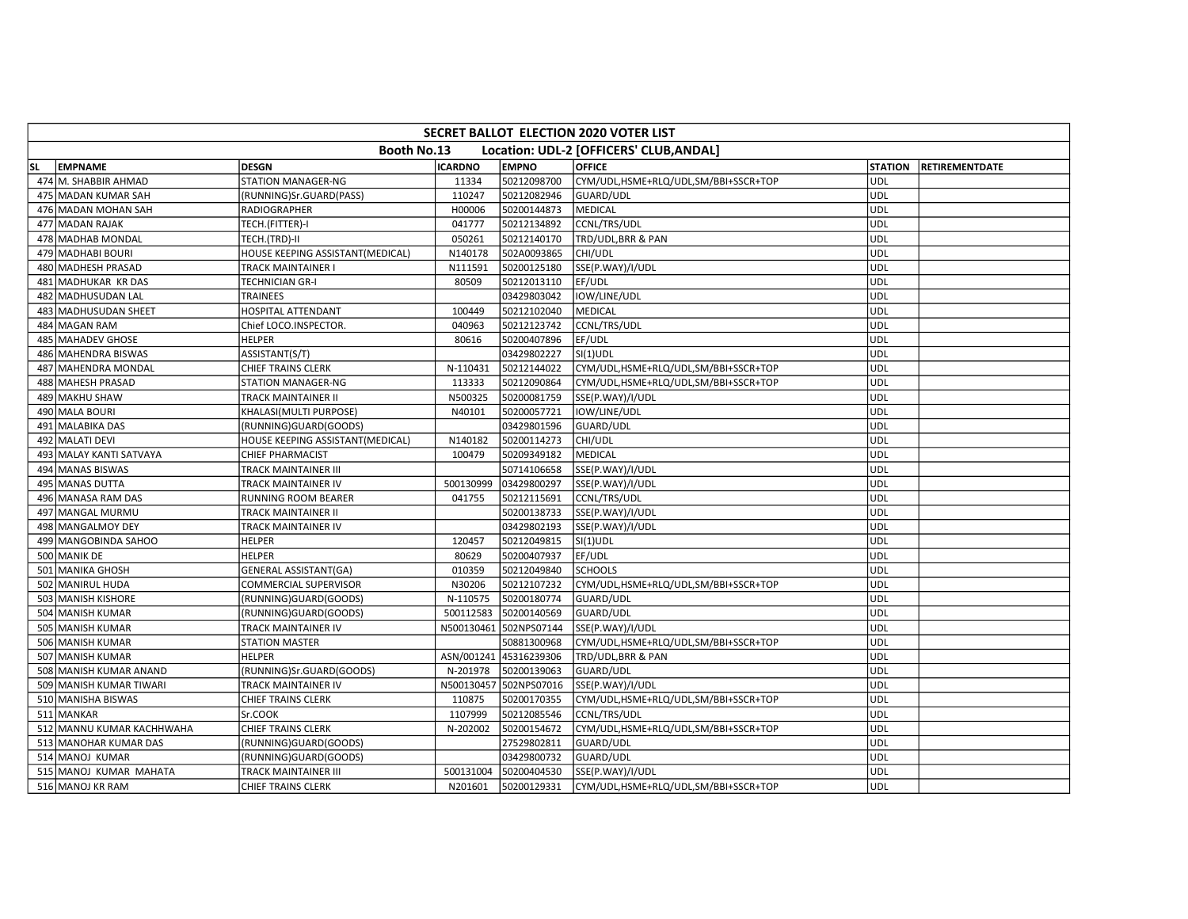|           | <b>SECRET BALLOT ELECTION 2020 VOTER LIST</b> |                                  |                |                        |                                         |                |                       |  |  |  |  |  |
|-----------|-----------------------------------------------|----------------------------------|----------------|------------------------|-----------------------------------------|----------------|-----------------------|--|--|--|--|--|
|           |                                               | Booth No.13                      |                |                        | Location: UDL-2 [OFFICERS' CLUB, ANDAL] |                |                       |  |  |  |  |  |
| <b>SL</b> | <b>EMPNAME</b>                                | <b>DESGN</b>                     | <b>ICARDNO</b> | <b>EMPNO</b>           | <b>OFFICE</b>                           | <b>STATION</b> | <b>RETIREMENTDATE</b> |  |  |  |  |  |
|           | 474 M. SHABBIR AHMAD                          | <b>STATION MANAGER-NG</b>        | 11334          | 50212098700            | CYM/UDL,HSME+RLQ/UDL,SM/BBI+SSCR+TOP    | UDL            |                       |  |  |  |  |  |
|           | 475 MADAN KUMAR SAH                           | (RUNNING)Sr.GUARD(PASS)          | 110247         | 50212082946            | <b>GUARD/UDL</b>                        | <b>UDL</b>     |                       |  |  |  |  |  |
|           | 476 MADAN MOHAN SAH                           | <b>RADIOGRAPHER</b>              | H00006         | 50200144873            | MEDICAL                                 | <b>UDL</b>     |                       |  |  |  |  |  |
|           | 477 MADAN RAJAK                               | TECH.(FITTER)-I                  | 041777         | 50212134892            | CCNL/TRS/UDL                            | UDL            |                       |  |  |  |  |  |
|           | 478 MADHAB MONDAL                             | TECH.(TRD)-II                    | 050261         | 50212140170            | TRD/UDL, BRR & PAN                      | <b>UDL</b>     |                       |  |  |  |  |  |
|           | 479 MADHABI BOURI                             | HOUSE KEEPING ASSISTANT(MEDICAL) | N140178        | 502A0093865            | CHI/UDL                                 | <b>UDL</b>     |                       |  |  |  |  |  |
|           | 480 MADHESH PRASAD                            | <b>TRACK MAINTAINER I</b>        | N111591        | 50200125180            | SSE(P.WAY)/I/UDL                        | <b>UDL</b>     |                       |  |  |  |  |  |
|           | 481 MADHUKAR KR DAS                           | TECHNICIAN GR-I                  | 80509          | 50212013110            | EF/UDL                                  | <b>UDL</b>     |                       |  |  |  |  |  |
|           | 482 MADHUSUDAN LAL                            | <b>TRAINEES</b>                  |                | 03429803042            | IOW/LINE/UDL                            | UDL            |                       |  |  |  |  |  |
|           | 483 MADHUSUDAN SHEET                          | HOSPITAL ATTENDANT               | 100449         | 50212102040            | MEDICAL                                 | UDL            |                       |  |  |  |  |  |
|           | 484 MAGAN RAM                                 | Chief LOCO.INSPECTOR.            | 040963         | 50212123742            | CCNL/TRS/UDL                            | <b>UDL</b>     |                       |  |  |  |  |  |
|           | 485 MAHADEV GHOSE                             | <b>HELPER</b>                    | 80616          | 50200407896            | EF/UDL                                  | UDL            |                       |  |  |  |  |  |
|           | 486 MAHENDRA BISWAS                           | ASSISTANT(S/T)                   |                | 03429802227            | SI(1)UDL                                | <b>UDL</b>     |                       |  |  |  |  |  |
|           | 487 MAHENDRA MONDAL                           | CHIEF TRAINS CLERK               | N-110431       | 50212144022            | CYM/UDL,HSME+RLQ/UDL,SM/BBI+SSCR+TOP    | <b>UDL</b>     |                       |  |  |  |  |  |
|           | 488 MAHESH PRASAD                             | STATION MANAGER-NG               | 113333         | 50212090864            | CYM/UDL,HSME+RLQ/UDL,SM/BBI+SSCR+TOP    | <b>UDL</b>     |                       |  |  |  |  |  |
|           | 489 MAKHU SHAW                                | TRACK MAINTAINER II              | N500325        | 50200081759            | SSE(P.WAY)/I/UDL                        | <b>UDL</b>     |                       |  |  |  |  |  |
|           | 490 MALA BOURI                                | KHALASI(MULTI PURPOSE)           | N40101         | 50200057721            | IOW/LINE/UDL                            | <b>UDL</b>     |                       |  |  |  |  |  |
|           | 491 MALABIKA DAS                              | (RUNNING)GUARD(GOODS)            |                | 03429801596            | GUARD/UDL                               | <b>UDL</b>     |                       |  |  |  |  |  |
|           | 492 MALATI DEVI                               | HOUSE KEEPING ASSISTANT(MEDICAL) | N140182        | 50200114273            | CHI/UDL                                 | UDL            |                       |  |  |  |  |  |
|           | 493 MALAY KANTI SATVAYA                       | <b>CHIEF PHARMACIST</b>          | 100479         | 50209349182            | MEDICAL                                 | <b>UDL</b>     |                       |  |  |  |  |  |
|           | 494 MANAS BISWAS                              | TRACK MAINTAINER III             |                | 50714106658            | SSE(P.WAY)/I/UDL                        | <b>UDL</b>     |                       |  |  |  |  |  |
|           | 495 MANAS DUTTA                               | TRACK MAINTAINER IV              | 500130999      | 03429800297            | SSE(P.WAY)/I/UDL                        | <b>UDL</b>     |                       |  |  |  |  |  |
|           | 496 MANASA RAM DAS                            | RUNNING ROOM BEARER              | 041755         | 50212115691            | CCNL/TRS/UDL                            | <b>UDL</b>     |                       |  |  |  |  |  |
|           | 497 MANGAL MURMU                              | TRACK MAINTAINER II              |                | 50200138733            | SSE(P.WAY)/I/UDL                        | UDL            |                       |  |  |  |  |  |
|           | 498 MANGALMOY DEY                             | TRACK MAINTAINER IV              |                | 03429802193            | SSE(P.WAY)/I/UDL                        | <b>UDL</b>     |                       |  |  |  |  |  |
|           | 499 MANGOBINDA SAHOO                          | <b>HELPER</b>                    | 120457         | 50212049815            | $SI(1)$ UDL                             | <b>UDL</b>     |                       |  |  |  |  |  |
|           | 500 MANIK DE                                  | <b>HELPER</b>                    | 80629          | 50200407937            | EF/UDL                                  | UDL            |                       |  |  |  |  |  |
|           | 501 MANIKA GHOSH                              | <b>GENERAL ASSISTANT(GA)</b>     | 010359         | 50212049840            | <b>SCHOOLS</b>                          | <b>UDL</b>     |                       |  |  |  |  |  |
|           | 502 MANIRUL HUDA                              | COMMERCIAL SUPERVISOR            | N30206         | 50212107232            | CYM/UDL,HSME+RLQ/UDL,SM/BBI+SSCR+TOP    | <b>UDL</b>     |                       |  |  |  |  |  |
|           | 503 MANISH KISHORE                            | (RUNNING)GUARD(GOODS)            | N-110575       | 50200180774            | GUARD/UDL                               | <b>UDL</b>     |                       |  |  |  |  |  |
|           | 504 MANISH KUMAR                              | (RUNNING)GUARD(GOODS)            | 500112583      | 50200140569            | GUARD/UDL                               | <b>UDL</b>     |                       |  |  |  |  |  |
|           | 505 MANISH KUMAR                              | TRACK MAINTAINER IV              |                | N500130461 502NPS07144 | SSE(P.WAY)/I/UDL                        | <b>UDL</b>     |                       |  |  |  |  |  |
|           | 506 MANISH KUMAR                              | <b>STATION MASTER</b>            |                | 50881300968            | CYM/UDL,HSME+RLQ/UDL,SM/BBI+SSCR+TOP    | <b>UDL</b>     |                       |  |  |  |  |  |
|           | 507 MANISH KUMAR                              | <b>HELPER</b>                    |                | ASN/001241 45316239306 | TRD/UDL, BRR & PAN                      | <b>UDL</b>     |                       |  |  |  |  |  |
|           | 508 MANISH KUMAR ANAND                        | (RUNNING)Sr.GUARD(GOODS)         | N-201978       | 50200139063            | GUARD/UDL                               | <b>UDL</b>     |                       |  |  |  |  |  |
|           | 509 MANISH KUMAR TIWARI                       | TRACK MAINTAINER IV              |                | N500130457 502NPS07016 | SSE(P.WAY)/I/UDL                        | UDL            |                       |  |  |  |  |  |
|           | 510 MANISHA BISWAS                            | <b>CHIEF TRAINS CLERK</b>        | 110875         | 50200170355            | CYM/UDL,HSME+RLQ/UDL,SM/BBI+SSCR+TOP    | <b>UDL</b>     |                       |  |  |  |  |  |
|           | 511 MANKAR                                    | Sr.COOK                          | 1107999        | 50212085546            | CCNL/TRS/UDL                            | <b>UDL</b>     |                       |  |  |  |  |  |
|           | 512 MANNU KUMAR KACHHWAHA                     | CHIEF TRAINS CLERK               | N-202002       | 50200154672            | CYM/UDL,HSME+RLQ/UDL,SM/BBI+SSCR+TOP    | <b>UDL</b>     |                       |  |  |  |  |  |
|           | 513 MANOHAR KUMAR DAS                         | (RUNNING)GUARD(GOODS)            |                | 27529802811            | GUARD/UDL                               | <b>UDL</b>     |                       |  |  |  |  |  |
|           | 514 MANOJ KUMAR                               | (RUNNING)GUARD(GOODS)            |                | 03429800732            | GUARD/UDL                               | <b>UDL</b>     |                       |  |  |  |  |  |
|           | 515 MANOJ KUMAR MAHATA                        | TRACK MAINTAINER III             | 500131004      | 50200404530            | SSE(P.WAY)/I/UDL                        | UDL            |                       |  |  |  |  |  |
|           | 516 MANOJ KR RAM                              | CHIEF TRAINS CLERK               | N201601        | 50200129331            | CYM/UDL,HSME+RLQ/UDL,SM/BBI+SSCR+TOP    | <b>UDL</b>     |                       |  |  |  |  |  |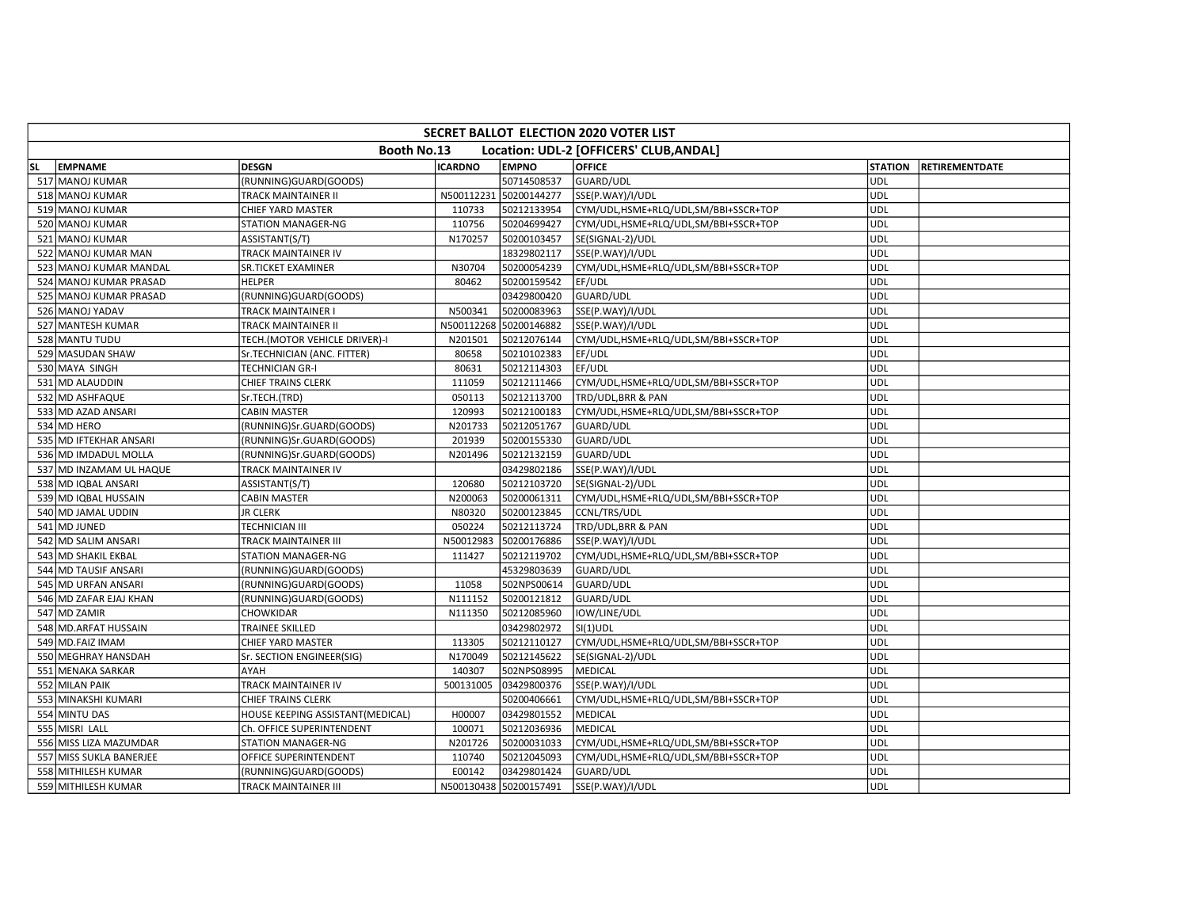|           | <b>SECRET BALLOT ELECTION 2020 VOTER LIST</b> |                                  |                |                        |                                         |                |                       |  |  |  |  |  |
|-----------|-----------------------------------------------|----------------------------------|----------------|------------------------|-----------------------------------------|----------------|-----------------------|--|--|--|--|--|
|           |                                               | Booth No.13                      |                |                        | Location: UDL-2 [OFFICERS' CLUB, ANDAL] |                |                       |  |  |  |  |  |
| <b>SL</b> | <b>EMPNAME</b>                                | <b>DESGN</b>                     | <b>ICARDNO</b> | <b>EMPNO</b>           | <b>OFFICE</b>                           | <b>STATION</b> | <b>RETIREMENTDATE</b> |  |  |  |  |  |
|           | 517 MANOJ KUMAR                               | (RUNNING)GUARD(GOODS)            |                | 50714508537            | GUARD/UDL                               | UDL            |                       |  |  |  |  |  |
|           | 518 MANOJ KUMAR                               | TRACK MAINTAINER II              | N500112231     | 50200144277            | SSE(P.WAY)/I/UDL                        | <b>UDL</b>     |                       |  |  |  |  |  |
|           | 519 MANOJ KUMAR                               | CHIEF YARD MASTER                | 110733         | 50212133954            | CYM/UDL,HSME+RLQ/UDL,SM/BBI+SSCR+TOP    | <b>UDL</b>     |                       |  |  |  |  |  |
|           | 520 MANOJ KUMAR                               | STATION MANAGER-NG               | 110756         | 50204699427            | CYM/UDL,HSME+RLQ/UDL,SM/BBI+SSCR+TOP    | <b>UDL</b>     |                       |  |  |  |  |  |
|           | 521 MANOJ KUMAR                               | ASSISTANT(S/T)                   | N170257        | 50200103457            | SE(SIGNAL-2)/UDL                        | UDL            |                       |  |  |  |  |  |
|           | 522 MANOJ KUMAR MAN                           | TRACK MAINTAINER IV              |                | 18329802117            | SSE(P.WAY)/I/UDL                        | UDL            |                       |  |  |  |  |  |
|           | 523 MANOJ KUMAR MANDAL                        | SR.TICKET EXAMINER               | N30704         | 50200054239            | CYM/UDL,HSME+RLQ/UDL,SM/BBI+SSCR+TOP    | <b>UDL</b>     |                       |  |  |  |  |  |
|           | 524 MANOJ KUMAR PRASAD                        | HELPER                           | 80462          | 50200159542            | EF/UDL                                  | <b>UDL</b>     |                       |  |  |  |  |  |
|           | 525 MANOJ KUMAR PRASAD                        | (RUNNING)GUARD(GOODS)            |                | 03429800420            | GUARD/UDL                               | <b>UDL</b>     |                       |  |  |  |  |  |
|           | 526 MANOJ YADAV                               | TRACK MAINTAINER I               | N500341        | 50200083963            | SSE(P.WAY)/I/UDL                        | UDL            |                       |  |  |  |  |  |
|           | 527 MANTESH KUMAR                             | TRACK MAINTAINER II              |                | N500112268 50200146882 | SSE(P.WAY)/I/UDL                        | UDL            |                       |  |  |  |  |  |
|           | 528 MANTU TUDU                                | TECH.(MOTOR VEHICLE DRIVER)-I    | N201501        | 50212076144            | CYM/UDL,HSME+RLQ/UDL,SM/BBI+SSCR+TOP    | <b>UDL</b>     |                       |  |  |  |  |  |
|           | 529 MASUDAN SHAW                              | Sr.TECHNICIAN (ANC. FITTER)      | 80658          | 50210102383            | EF/UDL                                  | <b>UDL</b>     |                       |  |  |  |  |  |
|           | 530 MAYA SINGH                                | TECHNICIAN GR-I                  | 80631          | 50212114303            | EF/UDL                                  | UDL            |                       |  |  |  |  |  |
|           | 531 MD ALAUDDIN                               | CHIEF TRAINS CLERK               | 111059         | 50212111466            | CYM/UDL,HSME+RLQ/UDL,SM/BBI+SSCR+TOP    | <b>UDL</b>     |                       |  |  |  |  |  |
|           | 532 MD ASHFAQUE                               | Sr.TECH.(TRD)                    | 050113         | 50212113700            | TRD/UDL, BRR & PAN                      | UDL            |                       |  |  |  |  |  |
|           | 533 MD AZAD ANSARI                            | CABIN MASTER                     | 120993         | 50212100183            | CYM/UDL,HSME+RLQ/UDL,SM/BBI+SSCR+TOP    | <b>UDL</b>     |                       |  |  |  |  |  |
|           | 534 MD HERO                                   | (RUNNING)Sr.GUARD(GOODS)         | N201733        | 50212051767            | GUARD/UDL                               | UDL            |                       |  |  |  |  |  |
|           | 535 MD IFTEKHAR ANSARI                        | (RUNNING)Sr.GUARD(GOODS)         | 201939         | 50200155330            | GUARD/UDL                               | <b>UDL</b>     |                       |  |  |  |  |  |
|           | 536 MD IMDADUL MOLLA                          | (RUNNING)Sr.GUARD(GOODS)         | N201496        | 50212132159            | GUARD/UDL                               | UDL            |                       |  |  |  |  |  |
|           | 537 MD INZAMAM UL HAQUE                       | TRACK MAINTAINER IV              |                | 03429802186            | SSE(P.WAY)/I/UDL                        | UDL            |                       |  |  |  |  |  |
|           | 538 MD IQBAL ANSARI                           | ASSISTANT(S/T)                   | 120680         | 50212103720            | SE(SIGNAL-2)/UDL                        | <b>UDL</b>     |                       |  |  |  |  |  |
|           | 539 MD IQBAL HUSSAIN                          | <b>CABIN MASTER</b>              | N200063        | 50200061311            | CYM/UDL,HSME+RLQ/UDL,SM/BBI+SSCR+TOP    | UDL            |                       |  |  |  |  |  |
|           | 540 MD JAMAL UDDIN                            | <b>JR CLERK</b>                  | N80320         | 50200123845            | CCNL/TRS/UDL                            | UDL            |                       |  |  |  |  |  |
|           | 541 MD JUNED                                  | <b>TECHNICIAN III</b>            | 050224         | 50212113724            | TRD/UDL, BRR & PAN                      | UDL            |                       |  |  |  |  |  |
|           | 542 MD SALIM ANSARI                           | TRACK MAINTAINER III             | N50012983      | 50200176886            | SSE(P.WAY)/I/UDL                        | UDL            |                       |  |  |  |  |  |
|           | 543 MD SHAKIL EKBAL                           | STATION MANAGER-NG               | 111427         | 50212119702            | CYM/UDL,HSME+RLQ/UDL,SM/BBI+SSCR+TOP    | <b>UDL</b>     |                       |  |  |  |  |  |
|           | 544 MD TAUSIF ANSARI                          | (RUNNING)GUARD(GOODS)            |                | 45329803639            | GUARD/UDL                               | <b>UDL</b>     |                       |  |  |  |  |  |
|           | 545 MD URFAN ANSARI                           | (RUNNING)GUARD(GOODS)            | 11058          | 502NPS00614            | GUARD/UDL                               | <b>UDL</b>     |                       |  |  |  |  |  |
|           | 546 MD ZAFAR EJAJ KHAN                        | (RUNNING)GUARD(GOODS)            | N111152        | 50200121812            | GUARD/UDL                               | UDL            |                       |  |  |  |  |  |
|           | 547 MD ZAMIR                                  | CHOWKIDAR                        | N111350        | 50212085960            | IOW/LINE/UDL                            | UDL            |                       |  |  |  |  |  |
|           | 548 MD.ARFAT HUSSAIN                          | TRAINEE SKILLED                  |                | 03429802972            | $SI(1)$ UDL                             | <b>UDL</b>     |                       |  |  |  |  |  |
|           | 549 MD.FAIZ IMAM                              | CHIEF YARD MASTER                | 113305         | 50212110127            | CYM/UDL,HSME+RLQ/UDL,SM/BBI+SSCR+TOP    | <b>UDL</b>     |                       |  |  |  |  |  |
|           | 550 MEGHRAY HANSDAH                           | Sr. SECTION ENGINEER(SIG)        | N170049        | 50212145622            | SE(SIGNAL-2)/UDL                        | UDL            |                       |  |  |  |  |  |
|           | 551 MENAKA SARKAR                             | AYAH                             | 140307         | 502NPS08995            | MEDICAL                                 | UDL            |                       |  |  |  |  |  |
|           | 552 MILAN PAIK                                | TRACK MAINTAINER IV              | 500131005      | 03429800376            | SSE(P.WAY)/I/UDL                        | UDL            |                       |  |  |  |  |  |
|           | 553 MINAKSHI KUMARI                           | CHIEF TRAINS CLERK               |                | 50200406661            | CYM/UDL,HSME+RLQ/UDL,SM/BBI+SSCR+TOP    | <b>UDL</b>     |                       |  |  |  |  |  |
|           | 554 MINTU DAS                                 | HOUSE KEEPING ASSISTANT(MEDICAL) | H00007         | 03429801552            | MEDICAL                                 | <b>UDL</b>     |                       |  |  |  |  |  |
|           | 555 MISRI LALL                                | Ch. OFFICE SUPERINTENDENT        | 100071         | 50212036936            | MEDICAL                                 | <b>UDL</b>     |                       |  |  |  |  |  |
|           | 556 MISS LIZA MAZUMDAR                        | STATION MANAGER-NG               | N201726        | 50200031033            | CYM/UDL,HSME+RLQ/UDL,SM/BBI+SSCR+TOP    | UDL            |                       |  |  |  |  |  |
|           | 557 MISS SUKLA BANERJEE                       | OFFICE SUPERINTENDENT            | 110740         | 50212045093            | CYM/UDL,HSME+RLQ/UDL,SM/BBI+SSCR+TOP    | UDL            |                       |  |  |  |  |  |
|           | 558 MITHILESH KUMAR                           | (RUNNING)GUARD(GOODS)            | E00142         | 03429801424            | GUARD/UDL                               | <b>UDL</b>     |                       |  |  |  |  |  |
|           | 559 MITHILESH KUMAR                           | TRACK MAINTAINER III             |                | N500130438 50200157491 | SSE(P.WAY)/I/UDL                        | <b>UDL</b>     |                       |  |  |  |  |  |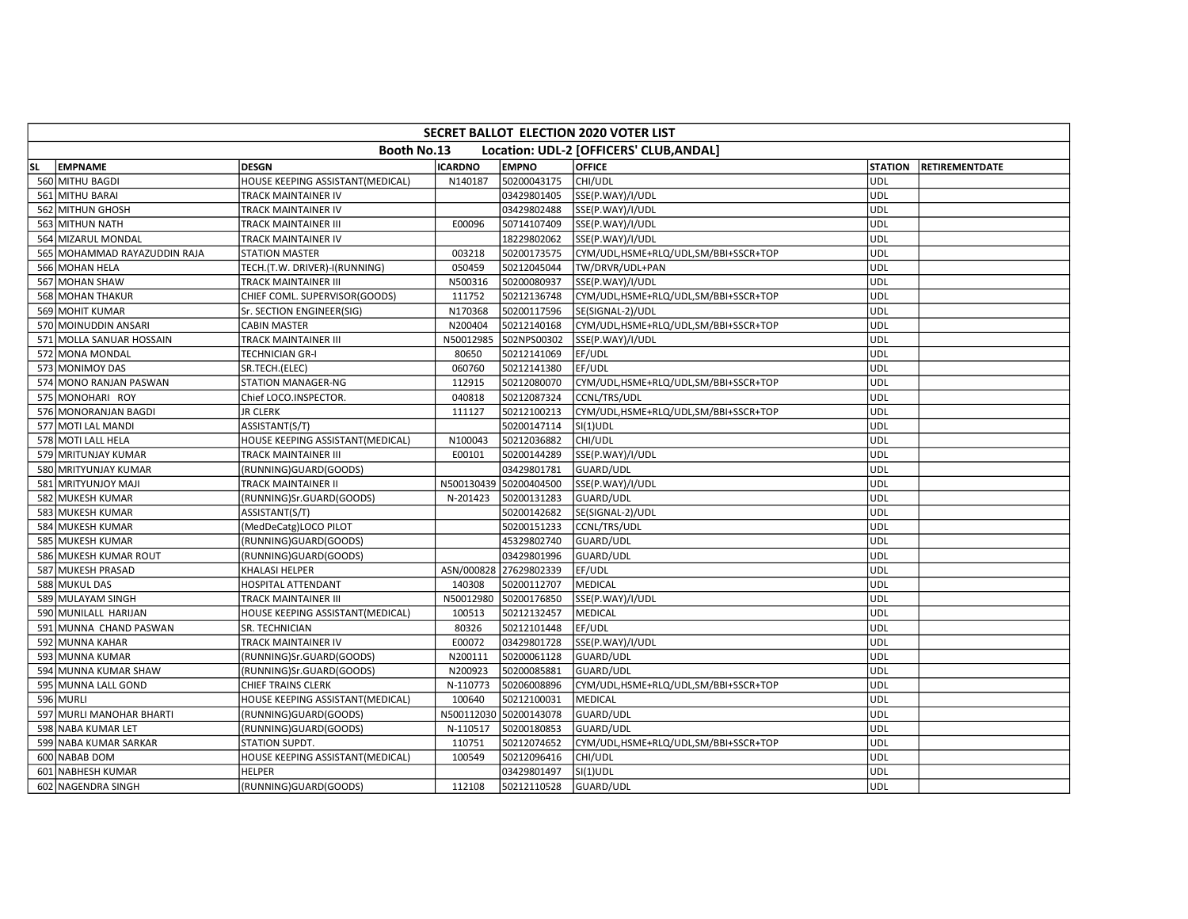|           | <b>SECRET BALLOT ELECTION 2020 VOTER LIST</b> |                                  |                |                        |                                         |                |                       |  |  |  |  |  |
|-----------|-----------------------------------------------|----------------------------------|----------------|------------------------|-----------------------------------------|----------------|-----------------------|--|--|--|--|--|
|           |                                               | Booth No.13                      |                |                        | Location: UDL-2 [OFFICERS' CLUB, ANDAL] |                |                       |  |  |  |  |  |
| <b>SL</b> | <b>EMPNAME</b>                                | <b>DESGN</b>                     | <b>ICARDNO</b> | <b>EMPNO</b>           | <b>OFFICE</b>                           | <b>STATION</b> | <b>RETIREMENTDATE</b> |  |  |  |  |  |
|           | 560 MITHU BAGDI                               | HOUSE KEEPING ASSISTANT(MEDICAL) | N140187        | 50200043175            | CHI/UDL                                 | UDL            |                       |  |  |  |  |  |
|           | 561 MITHU BARAI                               | TRACK MAINTAINER IV              |                | 03429801405            | SSE(P.WAY)/I/UDL                        | UDL            |                       |  |  |  |  |  |
|           | 562 MITHUN GHOSH                              | TRACK MAINTAINER IV              |                | 03429802488            | SSE(P.WAY)/I/UDL                        | UDL            |                       |  |  |  |  |  |
|           | 563 MITHUN NATH                               | TRACK MAINTAINER III             | E00096         | 50714107409            | SSE(P.WAY)/I/UDL                        | <b>UDL</b>     |                       |  |  |  |  |  |
|           | 564 MIZARUL MONDAL                            | TRACK MAINTAINER IV              |                | 18229802062            | SSE(P.WAY)/I/UDL                        | <b>UDL</b>     |                       |  |  |  |  |  |
|           | 565 MOHAMMAD RAYAZUDDIN RAJA                  | <b>STATION MASTER</b>            | 003218         | 50200173575            | CYM/UDL,HSME+RLQ/UDL,SM/BBI+SSCR+TOP    | <b>UDL</b>     |                       |  |  |  |  |  |
|           | 566 MOHAN HELA                                | TECH.(T.W. DRIVER)-I(RUNNING)    | 050459         | 50212045044            | TW/DRVR/UDL+PAN                         | UDL            |                       |  |  |  |  |  |
|           | 567 MOHAN SHAW                                | TRACK MAINTAINER III             | N500316        | 50200080937            | SSE(P.WAY)/I/UDL                        | UDL            |                       |  |  |  |  |  |
|           | 568 MOHAN THAKUR                              | CHIEF COML. SUPERVISOR(GOODS)    | 111752         | 50212136748            | CYM/UDL,HSME+RLQ/UDL,SM/BBI+SSCR+TOP    | <b>UDL</b>     |                       |  |  |  |  |  |
|           | 569 MOHIT KUMAR                               | Sr. SECTION ENGINEER(SIG)        | N170368        | 50200117596            | SE(SIGNAL-2)/UDL                        | <b>UDL</b>     |                       |  |  |  |  |  |
|           | 570 MOINUDDIN ANSARI                          | <b>CABIN MASTER</b>              | N200404        | 50212140168            | CYM/UDL,HSME+RLQ/UDL,SM/BBI+SSCR+TOP    | <b>UDL</b>     |                       |  |  |  |  |  |
|           | 571 MOLLA SANUAR HOSSAIN                      | TRACK MAINTAINER III             | N50012985      | 502NPS00302            | SSE(P.WAY)/I/UDL                        | UDL            |                       |  |  |  |  |  |
|           | 572 MONA MONDAL                               | TECHNICIAN GR-I                  | 80650          | 50212141069            | EF/UDL                                  | <b>UDL</b>     |                       |  |  |  |  |  |
|           | 573 MONIMOY DAS                               | SR.TECH.(ELEC)                   | 060760         | 50212141380            | EF/UDL                                  | <b>UDL</b>     |                       |  |  |  |  |  |
|           | 574 MONO RANJAN PASWAN                        | STATION MANAGER-NG               | 112915         | 50212080070            | CYM/UDL,HSME+RLQ/UDL,SM/BBI+SSCR+TOP    | UDL            |                       |  |  |  |  |  |
|           | 575 MONOHARI ROY                              | Chief LOCO.INSPECTOR.            | 040818         | 50212087324            | CCNL/TRS/UDL                            | UDL            |                       |  |  |  |  |  |
|           | 576 MONORANJAN BAGDI                          | <b>JR CLERK</b>                  | 111127         | 50212100213            | CYM/UDL,HSME+RLQ/UDL,SM/BBI+SSCR+TOP    | <b>UDL</b>     |                       |  |  |  |  |  |
|           | 577 MOTI LAL MANDI                            | ASSISTANT(S/T)                   |                | 50200147114            | $SI(1)$ UDL                             | <b>UDL</b>     |                       |  |  |  |  |  |
|           | 578 MOTI LALL HELA                            | HOUSE KEEPING ASSISTANT(MEDICAL) | N100043        | 50212036882            | CHI/UDL                                 | <b>UDL</b>     |                       |  |  |  |  |  |
|           | 579 MRITUNJAY KUMAR                           | TRACK MAINTAINER III             | E00101         | 50200144289            | SSE(P.WAY)/I/UDL                        | <b>UDL</b>     |                       |  |  |  |  |  |
|           | 580 MRITYUNJAY KUMAR                          | (RUNNING)GUARD(GOODS)            |                | 03429801781            | GUARD/UDL                               | UDL            |                       |  |  |  |  |  |
|           | 581 MRITYUNJOY MAJI                           | TRACK MAINTAINER II              |                | N500130439 50200404500 | SSE(P.WAY)/I/UDL                        | <b>UDL</b>     |                       |  |  |  |  |  |
|           | 582 MUKESH KUMAR                              | (RUNNING)Sr.GUARD(GOODS)         | N-201423       | 50200131283            | GUARD/UDL                               | UDL            |                       |  |  |  |  |  |
|           | 583 MUKESH KUMAR                              | ASSISTANT(S/T)                   |                | 50200142682            | SE(SIGNAL-2)/UDL                        | <b>UDL</b>     |                       |  |  |  |  |  |
|           | 584 MUKESH KUMAR                              | (MedDeCatg)LOCO PILOT            |                | 50200151233            | CCNL/TRS/UDL                            | UDL            |                       |  |  |  |  |  |
|           | 585 MUKESH KUMAR                              | (RUNNING)GUARD(GOODS)            |                | 45329802740            | GUARD/UDL                               | <b>UDL</b>     |                       |  |  |  |  |  |
|           | 586 MUKESH KUMAR ROUT                         | (RUNNING)GUARD(GOODS)            |                | 03429801996            | GUARD/UDL                               | UDL            |                       |  |  |  |  |  |
|           | 587 MUKESH PRASAD                             | KHALASI HELPER                   |                | ASN/000828 27629802339 | EF/UDL                                  | <b>UDL</b>     |                       |  |  |  |  |  |
|           | 588 MUKUL DAS                                 | HOSPITAL ATTENDANT               | 140308         | 50200112707            | MEDICAL                                 | <b>UDL</b>     |                       |  |  |  |  |  |
|           | 589 MULAYAM SINGH                             | TRACK MAINTAINER III             | N50012980      | 50200176850            | SSE(P.WAY)/I/UDL                        | <b>UDL</b>     |                       |  |  |  |  |  |
|           | 590 MUNILALL HARIJAN                          | HOUSE KEEPING ASSISTANT(MEDICAL) | 100513         | 50212132457            | MEDICAL                                 | <b>UDL</b>     |                       |  |  |  |  |  |
|           | 591 MUNNA CHAND PASWAN                        | SR. TECHNICIAN                   | 80326          | 50212101448            | EF/UDL                                  | <b>UDL</b>     |                       |  |  |  |  |  |
|           | 592 MUNNA KAHAR                               | TRACK MAINTAINER IV              | E00072         | 03429801728            | SSE(P.WAY)/I/UDL                        | <b>UDL</b>     |                       |  |  |  |  |  |
|           | 593 MUNNA KUMAR                               | (RUNNING)Sr.GUARD(GOODS)         | N200111        | 50200061128            | GUARD/UDL                               | UDL            |                       |  |  |  |  |  |
|           | 594 MUNNA KUMAR SHAW                          | (RUNNING)Sr.GUARD(GOODS)         | N200923        | 50200085881            | GUARD/UDL                               | UDL            |                       |  |  |  |  |  |
|           | 595 MUNNA LALL GOND                           | CHIEF TRAINS CLERK               | N-110773       | 50206008896            | CYM/UDL,HSME+RLQ/UDL,SM/BBI+SSCR+TOP    | UDL            |                       |  |  |  |  |  |
|           | 596 MURLI                                     | HOUSE KEEPING ASSISTANT(MEDICAL) | 100640         | 50212100031            | MEDICAL                                 | <b>UDL</b>     |                       |  |  |  |  |  |
|           | 597 MURLI MANOHAR BHARTI                      | (RUNNING)GUARD(GOODS)            |                | N500112030 50200143078 | GUARD/UDL                               | UDL            |                       |  |  |  |  |  |
|           | 598 NABA KUMAR LET                            | (RUNNING)GUARD(GOODS)            | N-110517       | 50200180853            | GUARD/UDL                               | UDL            |                       |  |  |  |  |  |
|           | 599 NABA KUMAR SARKAR                         | STATION SUPDT.                   | 110751         | 50212074652            | CYM/UDL,HSME+RLQ/UDL,SM/BBI+SSCR+TOP    | UDL            |                       |  |  |  |  |  |
|           | 600 NABAB DOM                                 | HOUSE KEEPING ASSISTANT(MEDICAL) | 100549         | 50212096416            | CHI/UDL                                 | UDL            |                       |  |  |  |  |  |
|           | 601 NABHESH KUMAR                             | HELPER                           |                | 03429801497            | $SI(1)$ UDL                             | <b>UDL</b>     |                       |  |  |  |  |  |
|           | 602 NAGENDRA SINGH                            | (RUNNING)GUARD(GOODS)            | 112108         | 50212110528            | GUARD/UDL                               | UDL            |                       |  |  |  |  |  |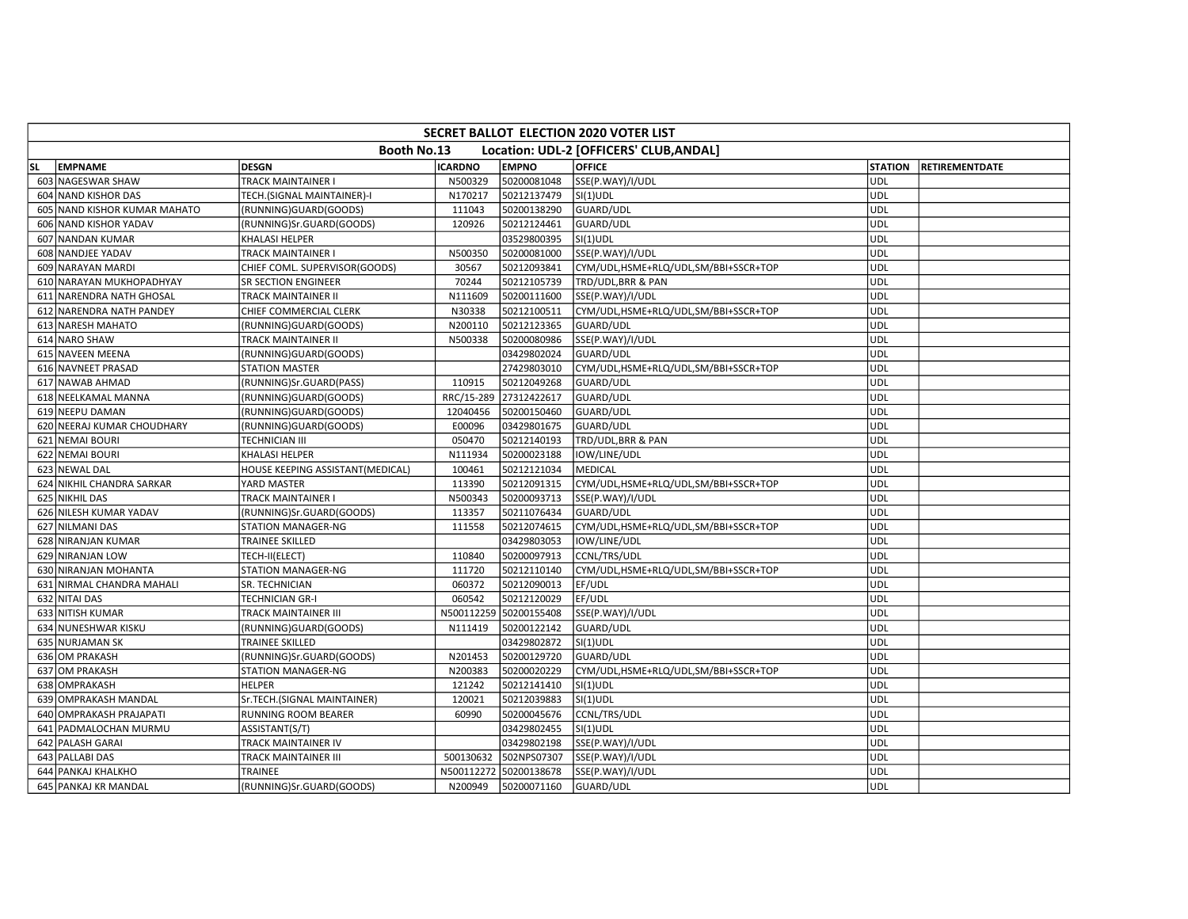|     | SECRET BALLOT ELECTION 2020 VOTER LIST                 |                                  |                |                        |                                      |                |                       |  |  |  |  |  |
|-----|--------------------------------------------------------|----------------------------------|----------------|------------------------|--------------------------------------|----------------|-----------------------|--|--|--|--|--|
|     | Booth No.13<br>Location: UDL-2 [OFFICERS' CLUB, ANDAL] |                                  |                |                        |                                      |                |                       |  |  |  |  |  |
| SL. | <b>EMPNAME</b>                                         | <b>DESGN</b>                     | <b>ICARDNO</b> | <b>EMPNO</b>           | <b>OFFICE</b>                        | <b>STATION</b> | <b>RETIREMENTDATE</b> |  |  |  |  |  |
|     | 603 NAGESWAR SHAW                                      | <b>TRACK MAINTAINER I</b>        | N500329        | 50200081048            | SSE(P.WAY)/I/UDL                     | UDL            |                       |  |  |  |  |  |
|     | 604 NAND KISHOR DAS                                    | TECH.(SIGNAL MAINTAINER)-I       | N170217        | 50212137479            | $SI(1)$ UDL                          | <b>UDL</b>     |                       |  |  |  |  |  |
|     | 605 NAND KISHOR KUMAR MAHATO                           | (RUNNING)GUARD(GOODS)            | 111043         | 50200138290            | GUARD/UDL                            | <b>UDL</b>     |                       |  |  |  |  |  |
|     | 606 NAND KISHOR YADAV                                  | (RUNNING)Sr.GUARD(GOODS)         | 120926         | 50212124461            | GUARD/UDL                            | UDL            |                       |  |  |  |  |  |
|     | 607 NANDAN KUMAR                                       | KHALASI HELPER                   |                | 03529800395            | $SI(1)$ UDL                          | <b>UDL</b>     |                       |  |  |  |  |  |
|     | 608 NANDJEE YADAV                                      | TRACK MAINTAINER I               | N500350        | 50200081000            | SSE(P.WAY)/I/UDL                     | <b>UDL</b>     |                       |  |  |  |  |  |
|     | 609 NARAYAN MARDI                                      | CHIEF COML. SUPERVISOR(GOODS)    | 30567          | 50212093841            | CYM/UDL,HSME+RLQ/UDL,SM/BBI+SSCR+TOP | <b>UDL</b>     |                       |  |  |  |  |  |
|     | 610 NARAYAN MUKHOPADHYAY                               | SR SECTION ENGINEER              | 70244          | 50212105739            | TRD/UDL, BRR & PAN                   | <b>UDL</b>     |                       |  |  |  |  |  |
|     | 611 NARENDRA NATH GHOSAL                               | TRACK MAINTAINER II              | N111609        | 50200111600            | SSE(P.WAY)/I/UDL                     | UDL            |                       |  |  |  |  |  |
|     | 612 NARENDRA NATH PANDEY                               | CHIEF COMMERCIAL CLERK           | N30338         | 50212100511            | CYM/UDL,HSME+RLQ/UDL,SM/BBI+SSCR+TOP | <b>UDL</b>     |                       |  |  |  |  |  |
|     | 613 NARESH MAHATO                                      | (RUNNING)GUARD(GOODS)            | N200110        | 50212123365            | GUARD/UDL                            | UDL            |                       |  |  |  |  |  |
|     | 614 NARO SHAW                                          | TRACK MAINTAINER II              | N500338        | 50200080986            | SSE(P.WAY)/I/UDL                     | <b>UDL</b>     |                       |  |  |  |  |  |
|     | 615 NAVEEN MEENA                                       | (RUNNING)GUARD(GOODS)            |                | 03429802024            | GUARD/UDL                            | <b>UDL</b>     |                       |  |  |  |  |  |
|     | 616 NAVNEET PRASAD                                     | <b>STATION MASTER</b>            |                | 27429803010            | CYM/UDL,HSME+RLQ/UDL,SM/BBI+SSCR+TOP | UDL            |                       |  |  |  |  |  |
|     | 617 NAWAB AHMAD                                        | (RUNNING)Sr.GUARD(PASS)          | 110915         | 50212049268            | GUARD/UDL                            | <b>UDL</b>     |                       |  |  |  |  |  |
|     | 618 NEELKAMAL MANNA                                    | (RUNNING)GUARD(GOODS)            | RRC/15-289     | 27312422617            | GUARD/UDL                            | <b>UDL</b>     |                       |  |  |  |  |  |
|     | 619 NEEPU DAMAN                                        | (RUNNING)GUARD(GOODS)            | 12040456       | 50200150460            | GUARD/UDL                            | <b>UDL</b>     |                       |  |  |  |  |  |
|     | 620 NEERAJ KUMAR CHOUDHARY                             | (RUNNING)GUARD(GOODS)            | E00096         | 03429801675            | GUARD/UDL                            | <b>UDL</b>     |                       |  |  |  |  |  |
|     | 621 NEMAI BOURI                                        | TECHNICIAN III                   | 050470         | 50212140193            | TRD/UDL, BRR & PAN                   | UDL            |                       |  |  |  |  |  |
|     | 622 NEMAI BOURI                                        | KHALASI HELPER                   | N111934        | 50200023188            | IOW/LINE/UDL                         | <b>UDL</b>     |                       |  |  |  |  |  |
|     | 623 NEWAL DAL                                          | HOUSE KEEPING ASSISTANT(MEDICAL) | 100461         | 50212121034            | <b>MEDICAL</b>                       | <b>UDL</b>     |                       |  |  |  |  |  |
|     | 624 NIKHIL CHANDRA SARKAR                              | YARD MASTER                      | 113390         | 50212091315            | CYM/UDL,HSME+RLQ/UDL,SM/BBI+SSCR+TOP | UDL            |                       |  |  |  |  |  |
|     | 625 NIKHIL DAS                                         | TRACK MAINTAINER I               | N500343        | 50200093713            | SSE(P.WAY)/I/UDL                     | <b>UDL</b>     |                       |  |  |  |  |  |
|     | 626 NILESH KUMAR YADAV                                 | (RUNNING)Sr.GUARD(GOODS)         | 113357         | 50211076434            | <b>GUARD/UDL</b>                     | <b>UDL</b>     |                       |  |  |  |  |  |
|     | 627 NILMANI DAS                                        | STATION MANAGER-NG               | 111558         | 50212074615            | CYM/UDL,HSME+RLQ/UDL,SM/BBI+SSCR+TOP | <b>UDL</b>     |                       |  |  |  |  |  |
|     | 628 NIRANJAN KUMAR                                     | <b>TRAINEE SKILLED</b>           |                | 03429803053            | IOW/LINE/UDL                         | UDL            |                       |  |  |  |  |  |
|     | 629 NIRANJAN LOW                                       | TECH-II(ELECT)                   | 110840         | 50200097913            | CCNL/TRS/UDL                         | <b>UDL</b>     |                       |  |  |  |  |  |
|     | 630 NIRANJAN MOHANTA                                   | STATION MANAGER-NG               | 111720         | 50212110140            | CYM/UDL,HSME+RLQ/UDL,SM/BBI+SSCR+TOP | <b>UDL</b>     |                       |  |  |  |  |  |
|     | 631 NIRMAL CHANDRA MAHALI                              | SR. TECHNICIAN                   | 060372         | 50212090013            | EF/UDL                               | <b>UDL</b>     |                       |  |  |  |  |  |
|     | 632 NITAI DAS                                          | TECHNICIAN GR-I                  | 060542         | 50212120029            | EF/UDL                               | UDL            |                       |  |  |  |  |  |
|     | 633 NITISH KUMAR                                       | TRACK MAINTAINER III             |                | N500112259 50200155408 | SSE(P.WAY)/I/UDL                     | <b>UDL</b>     |                       |  |  |  |  |  |
|     | 634 NUNESHWAR KISKU                                    | (RUNNING)GUARD(GOODS)            | N111419        | 50200122142            | GUARD/UDL                            | UDL            |                       |  |  |  |  |  |
|     | 635 NURJAMAN SK                                        | <b>TRAINEE SKILLED</b>           |                | 03429802872            | $SI(1)$ UDL                          | UDL            |                       |  |  |  |  |  |
|     | 636 OM PRAKASH                                         | (RUNNING)Sr.GUARD(GOODS)         | N201453        | 50200129720            | <b>GUARD/UDL</b>                     | UDL            |                       |  |  |  |  |  |
|     | 637 OM PRAKASH                                         | STATION MANAGER-NG               | N200383        | 50200020229            | CYM/UDL,HSME+RLQ/UDL,SM/BBI+SSCR+TOP | <b>UDL</b>     |                       |  |  |  |  |  |
|     | 638 OMPRAKASH                                          | <b>HELPER</b>                    | 121242         | 50212141410            | SI(1)UDL                             | <b>UDL</b>     |                       |  |  |  |  |  |
|     | 639 OMPRAKASH MANDAL                                   | Sr.TECH.(SIGNAL MAINTAINER)      | 120021         | 50212039883            | $SI(1)$ UDL                          | UDL            |                       |  |  |  |  |  |
|     | 640 OMPRAKASH PRAJAPATI                                | RUNNING ROOM BEARER              | 60990          | 50200045676            | CCNL/TRS/UDL                         | <b>UDL</b>     |                       |  |  |  |  |  |
|     | 641 PADMALOCHAN MURMU                                  | ASSISTANT(S/T)                   |                | 03429802455            | $SI(1)$ UDL                          | UDL            |                       |  |  |  |  |  |
|     | 642 PALASH GARAI                                       | TRACK MAINTAINER IV              |                | 03429802198            | SSE(P.WAY)/I/UDL                     | <b>UDL</b>     |                       |  |  |  |  |  |
|     | 643 PALLABI DAS                                        | TRACK MAINTAINER III             | 500130632      | 502NPS07307            | SSE(P.WAY)/I/UDL                     | UDL            |                       |  |  |  |  |  |
|     | 644 PANKAJ KHALKHO                                     | TRAINEE                          |                | N500112272 50200138678 | SSE(P.WAY)/I/UDL                     | <b>UDL</b>     |                       |  |  |  |  |  |
|     | 645 PANKAJ KR MANDAL                                   | (RUNNING)Sr.GUARD(GOODS)         | N200949        | 50200071160            | GUARD/UDL                            | UDL            |                       |  |  |  |  |  |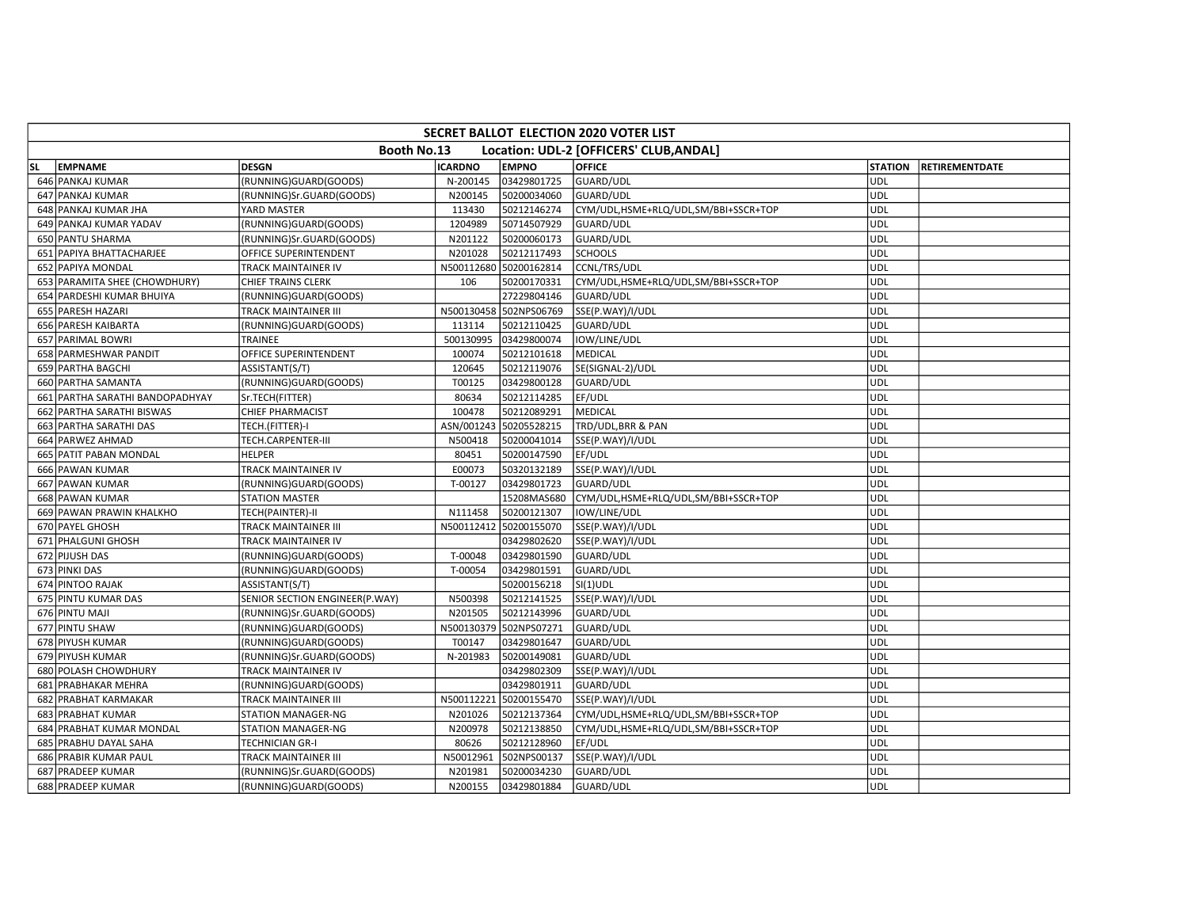|     | <b>SECRET BALLOT ELECTION 2020 VOTER LIST</b> |                                |                |                        |                                         |                |                       |  |  |  |  |  |
|-----|-----------------------------------------------|--------------------------------|----------------|------------------------|-----------------------------------------|----------------|-----------------------|--|--|--|--|--|
|     |                                               | Booth No.13                    |                |                        | Location: UDL-2 [OFFICERS' CLUB, ANDAL] |                |                       |  |  |  |  |  |
| SL. | <b>EMPNAME</b>                                | <b>DESGN</b>                   | <b>ICARDNO</b> | <b>EMPNO</b>           | <b>OFFICE</b>                           | <b>STATION</b> | <b>RETIREMENTDATE</b> |  |  |  |  |  |
|     | 646 PANKAJ KUMAR                              | (RUNNING)GUARD(GOODS)          | N-200145       | 03429801725            | GUARD/UDL                               | UDL            |                       |  |  |  |  |  |
|     | 647 PANKAJ KUMAR                              | (RUNNING)Sr.GUARD(GOODS)       | N200145        | 50200034060            | GUARD/UDL                               | <b>UDL</b>     |                       |  |  |  |  |  |
|     | 648 PANKAJ KUMAR JHA                          | YARD MASTER                    | 113430         | 50212146274            | CYM/UDL,HSME+RLQ/UDL,SM/BBI+SSCR+TOP    | UDL            |                       |  |  |  |  |  |
|     | 649 PANKAJ KUMAR YADAV                        | (RUNNING)GUARD(GOODS)          | 1204989        | 50714507929            | GUARD/UDL                               | <b>UDL</b>     |                       |  |  |  |  |  |
|     | 650 PANTU SHARMA                              | (RUNNING)Sr.GUARD(GOODS)       | N201122        | 50200060173            | GUARD/UDL                               | UDL            |                       |  |  |  |  |  |
|     | 651 PAPIYA BHATTACHARJEE                      | OFFICE SUPERINTENDENT          | N201028        | 50212117493            | <b>SCHOOLS</b>                          | <b>UDL</b>     |                       |  |  |  |  |  |
|     | 652 PAPIYA MONDAL                             | TRACK MAINTAINER IV            |                | N500112680 50200162814 | CCNL/TRS/UDL                            | UDL            |                       |  |  |  |  |  |
|     | 653 PARAMITA SHEE (CHOWDHURY)                 | CHIEF TRAINS CLERK             | 106            | 50200170331            | CYM/UDL,HSME+RLQ/UDL,SM/BBI+SSCR+TOP    | UDL            |                       |  |  |  |  |  |
|     | 654 PARDESHI KUMAR BHUIYA                     | (RUNNING)GUARD(GOODS)          |                | 27229804146            | GUARD/UDL                               | <b>UDL</b>     |                       |  |  |  |  |  |
|     | 655 PARESH HAZARI                             | TRACK MAINTAINER III           |                | N500130458 502NPS06769 | SSE(P.WAY)/I/UDL                        | <b>UDL</b>     |                       |  |  |  |  |  |
|     | 656 PARESH KAIBARTA                           | (RUNNING)GUARD(GOODS)          | 113114         | 50212110425            | GUARD/UDL                               | <b>UDL</b>     |                       |  |  |  |  |  |
|     | 657 PARIMAL BOWRI                             | TRAINEE                        | 500130995      | 03429800074            | IOW/LINE/UDL                            | UDL            |                       |  |  |  |  |  |
|     | 658 PARMESHWAR PANDIT                         | OFFICE SUPERINTENDENT          | 100074         | 50212101618            | MEDICAL                                 | UDL            |                       |  |  |  |  |  |
|     | 659 PARTHA BAGCHI                             | ASSISTANT(S/T)                 | 120645         | 50212119076            | SE(SIGNAL-2)/UDL                        | <b>UDL</b>     |                       |  |  |  |  |  |
|     | 660 PARTHA SAMANTA                            | (RUNNING)GUARD(GOODS)          | T00125         | 03429800128            | GUARD/UDL                               | <b>UDL</b>     |                       |  |  |  |  |  |
|     | 661 PARTHA SARATHI BANDOPADHYAY               | Sr.TECH(FITTER)                | 80634          | 50212114285            | EF/UDL                                  | <b>UDL</b>     |                       |  |  |  |  |  |
|     | 662 PARTHA SARATHI BISWAS                     | <b>CHIEF PHARMACIST</b>        | 100478         | 50212089291            | MEDICAL                                 | UDL            |                       |  |  |  |  |  |
|     | 663 PARTHA SARATHI DAS                        | TECH.(FITTER)-I                | ASN/001243     | 50205528215            | TRD/UDL, BRR & PAN                      | UDL            |                       |  |  |  |  |  |
|     | 664 PARWEZ AHMAD                              | TECH.CARPENTER-III             | N500418        | 50200041014            | SSE(P.WAY)/I/UDL                        | <b>UDL</b>     |                       |  |  |  |  |  |
|     | 665 PATIT PABAN MONDAL                        | <b>HELPER</b>                  | 80451          | 50200147590            | EF/UDL                                  | UDL            |                       |  |  |  |  |  |
|     | 666 PAWAN KUMAR                               | TRACK MAINTAINER IV            | E00073         | 50320132189            | SSE(P.WAY)/I/UDL                        | UDL            |                       |  |  |  |  |  |
|     | 667 PAWAN KUMAR                               | (RUNNING)GUARD(GOODS)          | T-00127        | 03429801723            | GUARD/UDL                               | UDL            |                       |  |  |  |  |  |
|     | 668 PAWAN KUMAR                               | <b>STATION MASTER</b>          |                | 15208MAS680            | CYM/UDL,HSME+RLQ/UDL,SM/BBI+SSCR+TOP    | <b>UDL</b>     |                       |  |  |  |  |  |
|     | 669 PAWAN PRAWIN KHALKHO                      | TECH(PAINTER)-II               | N111458        | 50200121307            | IOW/LINE/UDL                            | <b>UDL</b>     |                       |  |  |  |  |  |
|     | 670 PAYEL GHOSH                               | TRACK MAINTAINER III           |                | N500112412 50200155070 | SSE(P.WAY)/I/UDL                        | UDL            |                       |  |  |  |  |  |
|     | 671 PHALGUNI GHOSH                            | TRACK MAINTAINER IV            |                | 03429802620            | SSE(P.WAY)/I/UDL                        | UDL            |                       |  |  |  |  |  |
|     | 672 PIJUSH DAS                                | (RUNNING)GUARD(GOODS)          | T-00048        | 03429801590            | GUARD/UDL                               | <b>UDL</b>     |                       |  |  |  |  |  |
|     | 673 PINKI DAS                                 | (RUNNING)GUARD(GOODS)          | T-00054        | 03429801591            | GUARD/UDL                               | <b>UDL</b>     |                       |  |  |  |  |  |
|     | 674 PINTOO RAJAK                              | ASSISTANT(S/T)                 |                | 50200156218            | $SI(1)$ UDL                             | <b>UDL</b>     |                       |  |  |  |  |  |
|     | 675 PINTU KUMAR DAS                           | SENIOR SECTION ENGINEER(P.WAY) | N500398        | 50212141525            | SSE(P.WAY)/I/UDL                        | <b>UDL</b>     |                       |  |  |  |  |  |
|     | 676 PINTU MAJI                                | (RUNNING)Sr.GUARD(GOODS)       | N201505        | 50212143996            | <b>GUARD/UDL</b>                        | UDL            |                       |  |  |  |  |  |
|     | 677 PINTU SHAW                                | (RUNNING)GUARD(GOODS)          | N500130379     | 502NPS07271            | GUARD/UDL                               | <b>UDL</b>     |                       |  |  |  |  |  |
|     | 678 PIYUSH KUMAR                              | (RUNNING)GUARD(GOODS)          | T00147         | 03429801647            | GUARD/UDL                               | <b>UDL</b>     |                       |  |  |  |  |  |
|     | 679 PIYUSH KUMAR                              | (RUNNING)Sr.GUARD(GOODS)       | N-201983       | 50200149081            | GUARD/UDL                               | <b>UDL</b>     |                       |  |  |  |  |  |
|     | 680 POLASH CHOWDHURY                          | TRACK MAINTAINER IV            |                | 03429802309            | SSE(P.WAY)/I/UDL                        | <b>UDL</b>     |                       |  |  |  |  |  |
|     | 681 PRABHAKAR MEHRA                           | (RUNNING)GUARD(GOODS)          |                | 03429801911            | GUARD/UDL                               | UDL            |                       |  |  |  |  |  |
|     | 682 PRABHAT KARMAKAR                          | TRACK MAINTAINER III           | N500112221     | 50200155470            | SSE(P.WAY)/I/UDL                        | <b>UDL</b>     |                       |  |  |  |  |  |
|     | 683 PRABHAT KUMAR                             | STATION MANAGER-NG             | N201026        | 50212137364            | CYM/UDL,HSME+RLQ/UDL,SM/BBI+SSCR+TOP    | UDL            |                       |  |  |  |  |  |
|     | 684 PRABHAT KUMAR MONDAL                      | STATION MANAGER-NG             | N200978        | 50212138850            | CYM/UDL,HSME+RLQ/UDL,SM/BBI+SSCR+TOP    | <b>UDL</b>     |                       |  |  |  |  |  |
|     | 685 PRABHU DAYAL SAHA                         | TECHNICIAN GR-I                | 80626          | 50212128960            | EF/UDL                                  | <b>UDL</b>     |                       |  |  |  |  |  |
|     | 686 PRABIR KUMAR PAUL                         | TRACK MAINTAINER III           | N50012961      | 502NPS00137            | SSE(P.WAY)/I/UDL                        | UDL            |                       |  |  |  |  |  |
|     | 687 PRADEEP KUMAR                             | (RUNNING)Sr.GUARD(GOODS)       | N201981        | 50200034230            | GUARD/UDL                               | UDL            |                       |  |  |  |  |  |
|     | 688 PRADEEP KUMAR                             | (RUNNING)GUARD(GOODS)          | N200155        | 03429801884            | GUARD/UDL                               | <b>UDL</b>     |                       |  |  |  |  |  |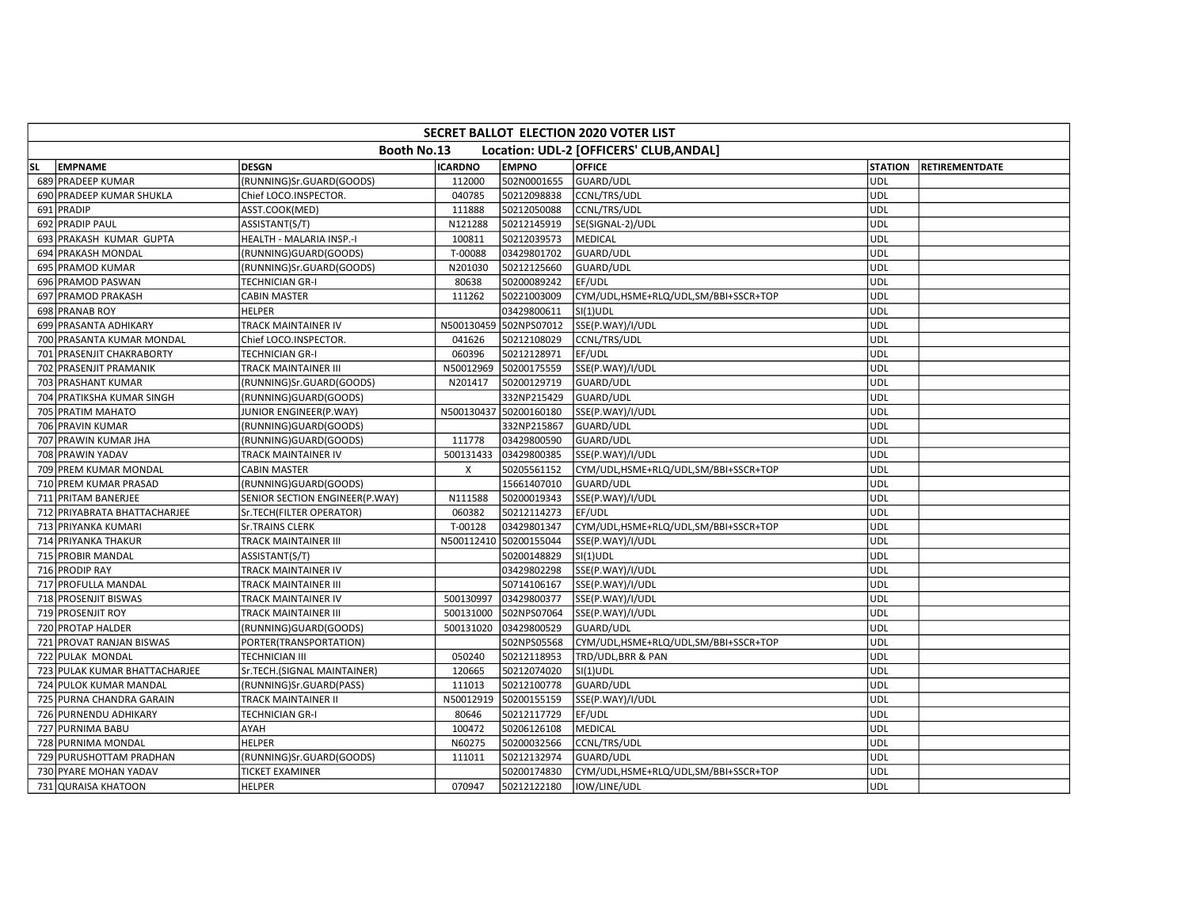|     | SECRET BALLOT ELECTION 2020 VOTER LIST |                                |                |                        |                                         |                |                       |  |  |  |  |  |
|-----|----------------------------------------|--------------------------------|----------------|------------------------|-----------------------------------------|----------------|-----------------------|--|--|--|--|--|
|     |                                        | <b>Booth No.13</b>             |                |                        | Location: UDL-2 [OFFICERS' CLUB, ANDAL] |                |                       |  |  |  |  |  |
| SL. | <b>EMPNAME</b>                         | <b>DESGN</b>                   | <b>ICARDNO</b> | <b>EMPNO</b>           | <b>OFFICE</b>                           | <b>STATION</b> | <b>RETIREMENTDATE</b> |  |  |  |  |  |
|     | 689 PRADEEP KUMAR                      | (RUNNING)Sr.GUARD(GOODS)       | 112000         | 502N0001655            | GUARD/UDL                               | <b>UDL</b>     |                       |  |  |  |  |  |
|     | 690 PRADEEP KUMAR SHUKLA               | Chief LOCO.INSPECTOR.          | 040785         | 50212098838            | CCNL/TRS/UDL                            | <b>UDL</b>     |                       |  |  |  |  |  |
|     | 691 PRADIP                             | ASST.COOK(MED)                 | 111888         | 50212050088            | CCNL/TRS/UDL                            | <b>UDL</b>     |                       |  |  |  |  |  |
|     | 692 PRADIP PAUL                        | ASSISTANT(S/T)                 | N121288        | 50212145919            | SE(SIGNAL-2)/UDL                        | <b>UDL</b>     |                       |  |  |  |  |  |
|     | 693 PRAKASH KUMAR GUPTA                | HEALTH - MALARIA INSP.-I       | 100811         | 50212039573            | MEDICAL                                 | <b>UDL</b>     |                       |  |  |  |  |  |
|     | 694 PRAKASH MONDAL                     | (RUNNING)GUARD(GOODS)          | T-00088        | 03429801702            | GUARD/UDL                               | UDL            |                       |  |  |  |  |  |
|     | 695 PRAMOD KUMAR                       | (RUNNING)Sr.GUARD(GOODS)       | N201030        | 50212125660            | GUARD/UDL                               | <b>UDL</b>     |                       |  |  |  |  |  |
|     | 696 PRAMOD PASWAN                      | TECHNICIAN GR-I                | 80638          | 50200089242            | EF/UDL                                  | <b>UDL</b>     |                       |  |  |  |  |  |
|     | 697 PRAMOD PRAKASH                     | <b>CABIN MASTER</b>            | 111262         | 50221003009            | CYM/UDL,HSME+RLQ/UDL,SM/BBI+SSCR+TOP    | <b>UDL</b>     |                       |  |  |  |  |  |
|     | 698 PRANAB ROY                         | <b>HELPER</b>                  |                | 03429800611            | $SI(1)$ UDL                             | <b>UDL</b>     |                       |  |  |  |  |  |
|     | 699 PRASANTA ADHIKARY                  | TRACK MAINTAINER IV            |                | N500130459 502NPS07012 | SSE(P.WAY)/I/UDL                        | <b>UDL</b>     |                       |  |  |  |  |  |
|     | 700 PRASANTA KUMAR MONDAL              | Chief LOCO.INSPECTOR.          | 041626         | 50212108029            | CCNL/TRS/UDL                            | UDL            |                       |  |  |  |  |  |
|     | 701 PRASENJIT CHAKRABORTY              | TECHNICIAN GR-I                | 060396         | 50212128971            | EF/UDL                                  | <b>UDL</b>     |                       |  |  |  |  |  |
|     | 702 PRASENJIT PRAMANIK                 | TRACK MAINTAINER III           | N50012969      | 50200175559            | SSE(P.WAY)/I/UDL                        | <b>UDL</b>     |                       |  |  |  |  |  |
|     | 703 PRASHANT KUMAR                     | (RUNNING)Sr.GUARD(GOODS)       | N201417        | 50200129719            | GUARD/UDL                               | <b>UDL</b>     |                       |  |  |  |  |  |
|     | 704 PRATIKSHA KUMAR SINGH              | (RUNNING)GUARD(GOODS)          |                | 332NP215429            | GUARD/UDL                               | <b>UDL</b>     |                       |  |  |  |  |  |
|     | 705 PRATIM MAHATO                      | JUNIOR ENGINEER(P.WAY)         |                | N500130437 50200160180 | SSE(P.WAY)/I/UDL                        | <b>UDL</b>     |                       |  |  |  |  |  |
|     | 706 PRAVIN KUMAR                       | (RUNNING)GUARD(GOODS)          |                | 332NP215867            | GUARD/UDL                               | <b>UDL</b>     |                       |  |  |  |  |  |
|     | 707 PRAWIN KUMAR JHA                   | (RUNNING)GUARD(GOODS)          | 111778         | 03429800590            | GUARD/UDL                               | <b>UDL</b>     |                       |  |  |  |  |  |
|     | 708 PRAWIN YADAV                       | TRACK MAINTAINER IV            | 500131433      | 03429800385            | SSE(P.WAY)/I/UDL                        | <b>UDL</b>     |                       |  |  |  |  |  |
|     | 709 PREM KUMAR MONDAL                  | <b>CABIN MASTER</b>            | X              | 50205561152            | CYM/UDL,HSME+RLQ/UDL,SM/BBI+SSCR+TOP    | UDL            |                       |  |  |  |  |  |
|     | 710 PREM KUMAR PRASAD                  | (RUNNING)GUARD(GOODS)          |                | 15661407010            | GUARD/UDL                               | <b>UDL</b>     |                       |  |  |  |  |  |
|     | 711 PRITAM BANERJEE                    | SENIOR SECTION ENGINEER(P.WAY) | N111588        | 50200019343            | SSE(P.WAY)/I/UDL                        | <b>UDL</b>     |                       |  |  |  |  |  |
|     | 712 PRIYABRATA BHATTACHARJEE           | Sr.TECH(FILTER OPERATOR)       | 060382         | 50212114273            | EF/UDL                                  | <b>UDL</b>     |                       |  |  |  |  |  |
|     | 713 PRIYANKA KUMARI                    | <b>Sr.TRAINS CLERK</b>         | T-00128        | 03429801347            | CYM/UDL,HSME+RLQ/UDL,SM/BBI+SSCR+TOP    | UDL            |                       |  |  |  |  |  |
|     | 714 PRIYANKA THAKUR                    | TRACK MAINTAINER III           |                | N500112410 50200155044 | SSE(P.WAY)/I/UDL                        | UDL            |                       |  |  |  |  |  |
|     | 715 PROBIR MANDAL                      | ASSISTANT(S/T)                 |                | 50200148829            | $SI(1)$ UDL                             | <b>UDL</b>     |                       |  |  |  |  |  |
|     | 716 PRODIP RAY                         | TRACK MAINTAINER IV            |                | 03429802298            | SSE(P.WAY)/I/UDL                        | <b>UDL</b>     |                       |  |  |  |  |  |
|     | 717 PROFULLA MANDAL                    | TRACK MAINTAINER III           |                | 50714106167            | SSE(P.WAY)/I/UDL                        | <b>UDL</b>     |                       |  |  |  |  |  |
|     | 718 PROSENJIT BISWAS                   | TRACK MAINTAINER IV            | 500130997      | 03429800377            | SSE(P.WAY)/I/UDL                        | <b>UDL</b>     |                       |  |  |  |  |  |
|     | 719 PROSENJIT ROY                      | TRACK MAINTAINER III           | 500131000      | 502NPS07064            | SSE(P.WAY)/I/UDL                        | <b>UDL</b>     |                       |  |  |  |  |  |
|     | 720 PROTAP HALDER                      | (RUNNING)GUARD(GOODS)          | 500131020      | 03429800529            | GUARD/UDL                               | <b>UDL</b>     |                       |  |  |  |  |  |
|     | 721 PROVAT RANJAN BISWAS               | PORTER(TRANSPORTATION)         |                | 502NPS05568            | CYM/UDL,HSME+RLQ/UDL,SM/BBI+SSCR+TOP    | <b>UDL</b>     |                       |  |  |  |  |  |
|     | 722 PULAK MONDAL                       | <b>TECHNICIAN III</b>          | 050240         | 50212118953            | TRD/UDL, BRR & PAN                      | <b>UDL</b>     |                       |  |  |  |  |  |
|     | 723 PULAK KUMAR BHATTACHARJEE          | Sr.TECH.(SIGNAL MAINTAINER)    | 120665         | 50212074020            | $SI(1)$ UDL                             | <b>UDL</b>     |                       |  |  |  |  |  |
|     | 724 PULOK KUMAR MANDAL                 | (RUNNING)Sr.GUARD(PASS)        | 111013         | 50212100778            | GUARD/UDL                               | UDL            |                       |  |  |  |  |  |
|     | 725 PURNA CHANDRA GARAIN               | TRACK MAINTAINER II            | N50012919      | 50200155159            | SSE(P.WAY)/I/UDL                        | <b>UDL</b>     |                       |  |  |  |  |  |
|     | 726 PURNENDU ADHIKARY                  | TECHNICIAN GR-I                | 80646          | 50212117729            | EF/UDL                                  | <b>UDL</b>     |                       |  |  |  |  |  |
|     | 727 PURNIMA BABU                       | AYAH                           | 100472         | 50206126108            | MEDICAL                                 | <b>UDL</b>     |                       |  |  |  |  |  |
|     | 728 PURNIMA MONDAL                     | <b>HELPER</b>                  | N60275         | 50200032566            | CCNL/TRS/UDL                            | <b>UDL</b>     |                       |  |  |  |  |  |
|     | 729 PURUSHOTTAM PRADHAN                | (RUNNING)Sr.GUARD(GOODS)       | 111011         | 50212132974            | GUARD/UDL                               | UDL            |                       |  |  |  |  |  |
|     | 730 PYARE MOHAN YADAV                  | <b>TICKET EXAMINER</b>         |                | 50200174830            | CYM/UDL,HSME+RLQ/UDL,SM/BBI+SSCR+TOP    | UDL            |                       |  |  |  |  |  |
|     | 731 QURAISA KHATOON                    | <b>HELPER</b>                  | 070947         | 50212122180            | IOW/LINE/UDL                            | <b>UDL</b>     |                       |  |  |  |  |  |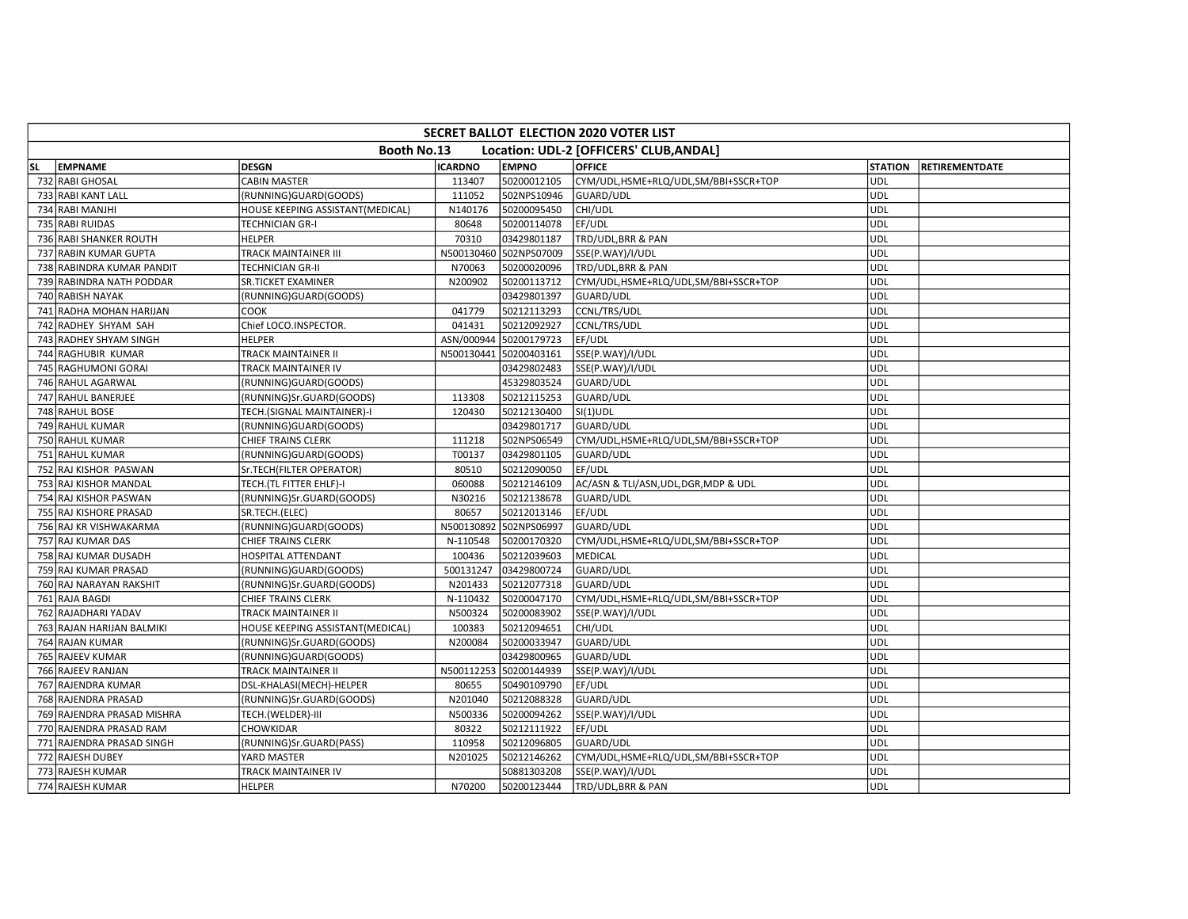|           | <b>SECRET BALLOT ELECTION 2020 VOTER LIST</b> |                                  |                |                        |                                         |                |                |  |  |  |  |  |
|-----------|-----------------------------------------------|----------------------------------|----------------|------------------------|-----------------------------------------|----------------|----------------|--|--|--|--|--|
|           |                                               | Booth No.13                      |                |                        | Location: UDL-2 [OFFICERS' CLUB, ANDAL] |                |                |  |  |  |  |  |
| <b>SL</b> | <b>EMPNAME</b>                                | <b>DESGN</b>                     | <b>ICARDNO</b> | <b>EMPNO</b>           | <b>OFFICE</b>                           | <b>STATION</b> | RETIREMENTDATE |  |  |  |  |  |
|           | 732 RABI GHOSAL                               | <b>CABIN MASTER</b>              | 113407         | 50200012105            | CYM/UDL,HSME+RLQ/UDL,SM/BBI+SSCR+TOP    | <b>UDL</b>     |                |  |  |  |  |  |
|           | 733 RABI KANT LALL                            | (RUNNING)GUARD(GOODS)            | 111052         | 502NPS10946            | <b>GUARD/UDL</b>                        | <b>UDL</b>     |                |  |  |  |  |  |
|           | 734 RABI MANJHI                               | HOUSE KEEPING ASSISTANT(MEDICAL) | N140176        | 50200095450            | CHI/UDL                                 | <b>UDL</b>     |                |  |  |  |  |  |
|           | 735 RABI RUIDAS                               | TECHNICIAN GR-I                  | 80648          | 50200114078            | EF/UDL                                  | UDL            |                |  |  |  |  |  |
|           | 736 RABI SHANKER ROUTH                        | <b>HELPER</b>                    | 70310          | 03429801187            | TRD/UDL, BRR & PAN                      | <b>UDL</b>     |                |  |  |  |  |  |
|           | 737 RABIN KUMAR GUPTA                         | TRACK MAINTAINER III             |                | N500130460 502NPS07009 | SSE(P.WAY)/I/UDL                        | <b>UDL</b>     |                |  |  |  |  |  |
|           | 738 RABINDRA KUMAR PANDIT                     | <b>TECHNICIAN GR-II</b>          | N70063         | 50200020096            | TRD/UDL, BRR & PAN                      | <b>UDL</b>     |                |  |  |  |  |  |
|           | 739 RABINDRA NATH PODDAR                      | SR.TICKET EXAMINER               | N200902        | 50200113712            | CYM/UDL,HSME+RLQ/UDL,SM/BBI+SSCR+TOP    | <b>UDL</b>     |                |  |  |  |  |  |
|           | 740 RABISH NAYAK                              | (RUNNING)GUARD(GOODS)            |                | 03429801397            | GUARD/UDL                               | <b>UDL</b>     |                |  |  |  |  |  |
|           | 741 RADHA MOHAN HARIJAN                       | COOK                             | 041779         | 50212113293            | CCNL/TRS/UDL                            | <b>UDL</b>     |                |  |  |  |  |  |
|           | 742 RADHEY SHYAM SAH                          | Chief LOCO.INSPECTOR.            | 041431         | 50212092927            | CCNL/TRS/UDL                            | <b>UDL</b>     |                |  |  |  |  |  |
|           | 743 RADHEY SHYAM SINGH                        | <b>HELPER</b>                    | ASN/000944     | 50200179723            | EF/UDL                                  | <b>UDL</b>     |                |  |  |  |  |  |
|           | 744 RAGHUBIR KUMAR                            | TRACK MAINTAINER II              |                | N500130441 50200403161 | SSE(P.WAY)/I/UDL                        | <b>UDL</b>     |                |  |  |  |  |  |
|           | 745 RAGHUMONI GORAI                           | TRACK MAINTAINER IV              |                | 03429802483            | SSE(P.WAY)/I/UDL                        | UDL            |                |  |  |  |  |  |
|           | 746 RAHUL AGARWAL                             | (RUNNING)GUARD(GOODS)            |                | 45329803524            | GUARD/UDL                               | <b>UDL</b>     |                |  |  |  |  |  |
|           | 747 RAHUL BANERJEE                            | (RUNNING)Sr.GUARD(GOODS)         | 113308         | 50212115253            | GUARD/UDL                               | <b>UDL</b>     |                |  |  |  |  |  |
|           | 748 RAHUL BOSE                                | TECH.(SIGNAL MAINTAINER)-I       | 120430         | 50212130400            | $SI(1)$ UDL                             | UDL            |                |  |  |  |  |  |
|           | 749 RAHUL KUMAR                               | (RUNNING)GUARD(GOODS)            |                | 03429801717            | GUARD/UDL                               | <b>UDL</b>     |                |  |  |  |  |  |
|           | 750 RAHUL KUMAR                               | CHIEF TRAINS CLERK               | 111218         | 502NPS06549            | CYM/UDL,HSME+RLQ/UDL,SM/BBI+SSCR+TOP    | UDL            |                |  |  |  |  |  |
|           | 751 RAHUL KUMAR                               | (RUNNING)GUARD(GOODS)            | T00137         | 03429801105            | GUARD/UDL                               | <b>UDL</b>     |                |  |  |  |  |  |
|           | 752 RAJ KISHOR PASWAN                         | Sr.TECH(FILTER OPERATOR)         | 80510          | 50212090050            | EF/UDL                                  | <b>UDL</b>     |                |  |  |  |  |  |
|           | 753 RAJ KISHOR MANDAL                         | TECH.(TL FITTER EHLF)-I          | 060088         | 50212146109            | AC/ASN & TLI/ASN, UDL, DGR, MDP & UDL   | <b>UDL</b>     |                |  |  |  |  |  |
|           | 754 RAJ KISHOR PASWAN                         | (RUNNING)Sr.GUARD(GOODS)         | N30216         | 50212138678            | GUARD/UDL                               | <b>UDL</b>     |                |  |  |  |  |  |
|           | 755 RAJ KISHORE PRASAD                        | SR.TECH.(ELEC)                   | 80657          | 50212013146            | EF/UDL                                  | UDL            |                |  |  |  |  |  |
|           | 756 RAJ KR VISHWAKARMA                        | (RUNNING)GUARD(GOODS)            |                | N500130892 502NPS06997 | GUARD/UDL                               | <b>UDL</b>     |                |  |  |  |  |  |
|           | 757 RAJ KUMAR DAS                             | <b>CHIEF TRAINS CLERK</b>        | N-110548       | 50200170320            | CYM/UDL,HSME+RLQ/UDL,SM/BBI+SSCR+TOP    | <b>UDL</b>     |                |  |  |  |  |  |
|           | 758 RAJ KUMAR DUSADH                          | HOSPITAL ATTENDANT               | 100436         | 50212039603            | MEDICAL                                 | <b>UDL</b>     |                |  |  |  |  |  |
|           | 759 RAJ KUMAR PRASAD                          | (RUNNING)GUARD(GOODS)            | 500131247      | 03429800724            | <b>GUARD/UDL</b>                        | UDL            |                |  |  |  |  |  |
|           | 760 RAJ NARAYAN RAKSHIT                       | (RUNNING)Sr.GUARD(GOODS)         | N201433        | 50212077318            | GUARD/UDL                               | UDL            |                |  |  |  |  |  |
|           | 761 RAJA BAGDI                                | CHIEF TRAINS CLERK               | N-110432       | 50200047170            | CYM/UDL,HSME+RLQ/UDL,SM/BBI+SSCR+TOP    | <b>UDL</b>     |                |  |  |  |  |  |
|           | 762 RAJADHARI YADAV                           | TRACK MAINTAINER II              | N500324        | 50200083902            | SSE(P.WAY)/I/UDL                        | <b>UDL</b>     |                |  |  |  |  |  |
|           | 763 RAJAN HARIJAN BALMIKI                     | HOUSE KEEPING ASSISTANT(MEDICAL) | 100383         | 50212094651            | CHI/UDL                                 | UDL            |                |  |  |  |  |  |
|           | 764 RAJAN KUMAR                               | (RUNNING)Sr.GUARD(GOODS)         | N200084        | 50200033947            | GUARD/UDL                               | <b>UDL</b>     |                |  |  |  |  |  |
|           | 765 RAJEEV KUMAR                              | (RUNNING)GUARD(GOODS)            |                | 03429800965            | GUARD/UDL                               | UDL            |                |  |  |  |  |  |
|           | 766 RAJEEV RANJAN                             | TRACK MAINTAINER II              |                | N500112253 50200144939 | SSE(P.WAY)/I/UDL                        | <b>UDL</b>     |                |  |  |  |  |  |
|           | 767 RAJENDRA KUMAR                            | DSL-KHALASI(MECH)-HELPER         | 80655          | 50490109790            | EF/UDL                                  | <b>UDL</b>     |                |  |  |  |  |  |
|           | 768 RAJENDRA PRASAD                           | (RUNNING)Sr.GUARD(GOODS)         | N201040        | 50212088328            | GUARD/UDL                               | <b>UDL</b>     |                |  |  |  |  |  |
|           | 769 RAJENDRA PRASAD MISHRA                    | TECH.(WELDER)-III                | N500336        | 50200094262            | SSE(P.WAY)/I/UDL                        | UDL            |                |  |  |  |  |  |
|           | 770 RAJENDRA PRASAD RAM                       | CHOWKIDAR                        | 80322          | 50212111922            | EF/UDL                                  | <b>UDL</b>     |                |  |  |  |  |  |
|           | 771 RAJENDRA PRASAD SINGH                     | (RUNNING)Sr.GUARD(PASS)          | 110958         | 50212096805            | GUARD/UDL                               | <b>UDL</b>     |                |  |  |  |  |  |
|           | 772 RAJESH DUBEY                              | YARD MASTER                      | N201025        | 50212146262            | CYM/UDL,HSME+RLQ/UDL,SM/BBI+SSCR+TOP    | UDL            |                |  |  |  |  |  |
|           | 773 RAJESH KUMAR                              | TRACK MAINTAINER IV              |                | 50881303208            | SSE(P.WAY)/I/UDL                        | <b>UDL</b>     |                |  |  |  |  |  |
|           | 774 RAJESH KUMAR                              | <b>HELPER</b>                    | N70200         | 50200123444            | TRD/UDL, BRR & PAN                      | <b>UDL</b>     |                |  |  |  |  |  |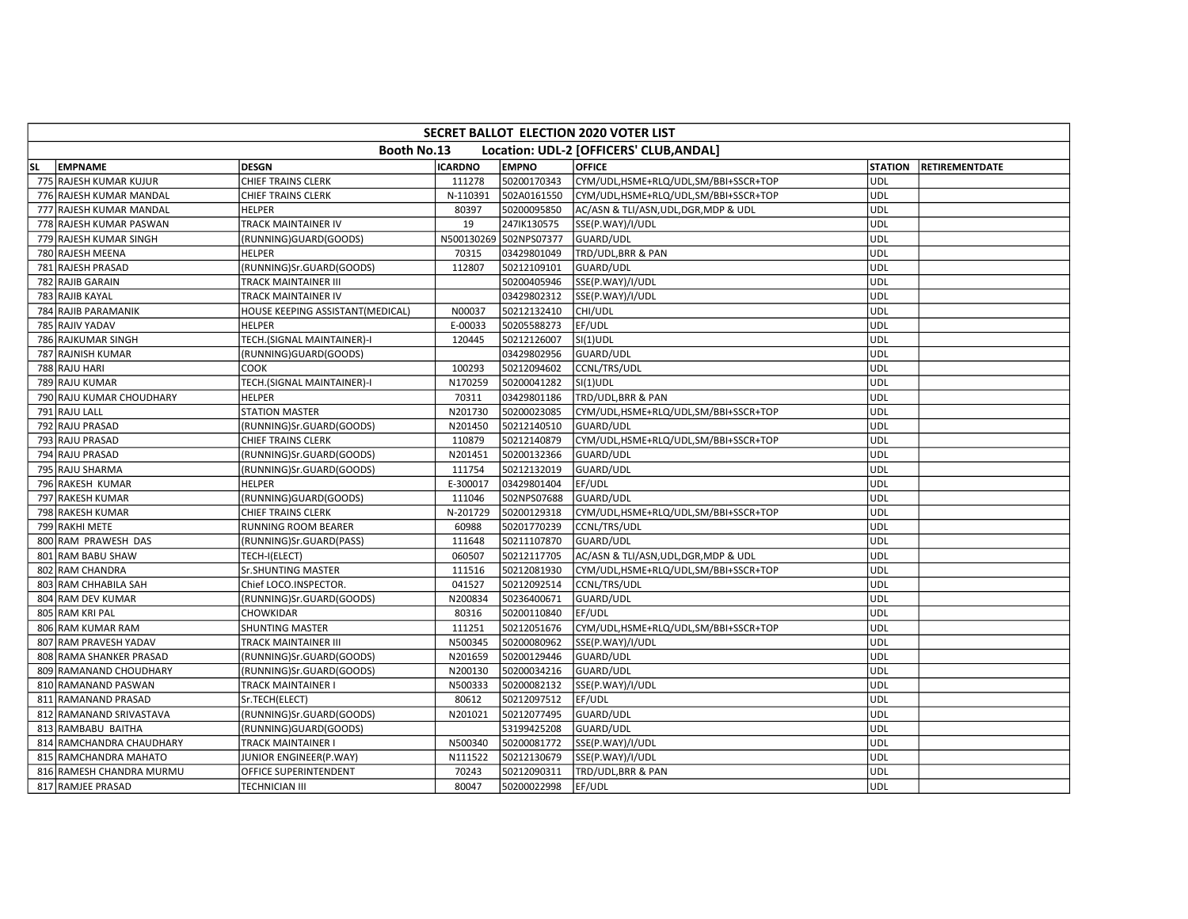|           | <b>SECRET BALLOT ELECTION 2020 VOTER LIST</b> |                                  |                |                        |                                         |                |                       |  |  |  |  |  |
|-----------|-----------------------------------------------|----------------------------------|----------------|------------------------|-----------------------------------------|----------------|-----------------------|--|--|--|--|--|
|           |                                               | Booth No.13                      |                |                        | Location: UDL-2 [OFFICERS' CLUB, ANDAL] |                |                       |  |  |  |  |  |
| <b>SL</b> | <b>EMPNAME</b>                                | <b>DESGN</b>                     | <b>ICARDNO</b> | <b>EMPNO</b>           | <b>OFFICE</b>                           | <b>STATION</b> | <b>RETIREMENTDATE</b> |  |  |  |  |  |
|           | 775 RAJESH KUMAR KUJUR                        | <b>CHIEF TRAINS CLERK</b>        | 111278         | 50200170343            | CYM/UDL, HSME+RLQ/UDL, SM/BBI+SSCR+TOP  | <b>UDL</b>     |                       |  |  |  |  |  |
|           | 776 RAJESH KUMAR MANDAL                       | <b>CHIEF TRAINS CLERK</b>        | N-110391       | 502A0161550            | CYM/UDL,HSME+RLQ/UDL,SM/BBI+SSCR+TOP    | <b>UDL</b>     |                       |  |  |  |  |  |
|           | 777 RAJESH KUMAR MANDAL                       | <b>HELPER</b>                    | 80397          | 50200095850            | AC/ASN & TLI/ASN, UDL, DGR, MDP & UDL   | UDL            |                       |  |  |  |  |  |
|           | 778 RAJESH KUMAR PASWAN                       | TRACK MAINTAINER IV              | 19             | 247IK130575            | SSE(P.WAY)/I/UDL                        | UDL            |                       |  |  |  |  |  |
|           | 779 RAJESH KUMAR SINGH                        | (RUNNING)GUARD(GOODS)            |                | N500130269 502NPS07377 | <b>GUARD/UDL</b>                        | <b>UDL</b>     |                       |  |  |  |  |  |
|           | 780 RAJESH MEENA                              | <b>HELPER</b>                    | 70315          | 03429801049            | TRD/UDL, BRR & PAN                      | <b>UDL</b>     |                       |  |  |  |  |  |
|           | 781 RAJESH PRASAD                             | (RUNNING)Sr.GUARD(GOODS)         | 112807         | 50212109101            | <b>GUARD/UDL</b>                        | <b>UDL</b>     |                       |  |  |  |  |  |
|           | 782 RAJIB GARAIN                              | TRACK MAINTAINER III             |                | 50200405946            | SSE(P.WAY)/I/UDL                        | <b>UDL</b>     |                       |  |  |  |  |  |
|           | 783 RAJIB KAYAL                               | TRACK MAINTAINER IV              |                | 03429802312            | SSE(P.WAY)/I/UDL                        | UDL            |                       |  |  |  |  |  |
|           | 784 RAJIB PARAMANIK                           | HOUSE KEEPING ASSISTANT(MEDICAL) | N00037         | 50212132410            | CHI/UDL                                 | <b>UDL</b>     |                       |  |  |  |  |  |
|           | 785 RAJIV YADAV                               | <b>HELPER</b>                    | E-00033        | 50205588273            | EF/UDL                                  | <b>UDL</b>     |                       |  |  |  |  |  |
|           | 786 RAJKUMAR SINGH                            | TECH.(SIGNAL MAINTAINER)-I       | 120445         | 50212126007            | $SI(1)$ UDL                             | UDL            |                       |  |  |  |  |  |
|           | 787 RAJNISH KUMAR                             | (RUNNING)GUARD(GOODS)            |                | 03429802956            | GUARD/UDL                               | <b>UDL</b>     |                       |  |  |  |  |  |
|           | 788 RAJU HARI                                 | COOK                             | 100293         | 50212094602            | CCNL/TRS/UDL                            | UDL            |                       |  |  |  |  |  |
|           | 789 RAJU KUMAR                                | TECH.(SIGNAL MAINTAINER)-I       | N170259        | 50200041282            | $SI(1)$ UDL                             | <b>UDL</b>     |                       |  |  |  |  |  |
|           | 790 RAJU KUMAR CHOUDHARY                      | <b>HELPER</b>                    | 70311          | 03429801186            | TRD/UDL, BRR & PAN                      | <b>UDL</b>     |                       |  |  |  |  |  |
|           | 791 RAJU LALL                                 | <b>STATION MASTER</b>            | N201730        | 50200023085            | CYM/UDL,HSME+RLQ/UDL,SM/BBI+SSCR+TOP    | UDL            |                       |  |  |  |  |  |
|           | 792 RAJU PRASAD                               | (RUNNING)Sr.GUARD(GOODS)         | N201450        | 50212140510            | GUARD/UDL                               | <b>UDL</b>     |                       |  |  |  |  |  |
|           | 793 RAJU PRASAD                               | CHIEF TRAINS CLERK               | 110879         | 50212140879            | CYM/UDL,HSME+RLQ/UDL,SM/BBI+SSCR+TOP    | UDL            |                       |  |  |  |  |  |
|           | 794 RAJU PRASAD                               | (RUNNING)Sr.GUARD(GOODS)         | N201451        | 50200132366            | GUARD/UDL                               | <b>UDL</b>     |                       |  |  |  |  |  |
|           | 795 RAJU SHARMA                               | (RUNNING)Sr.GUARD(GOODS)         | 111754         | 50212132019            | GUARD/UDL                               | <b>UDL</b>     |                       |  |  |  |  |  |
|           | 796 RAKESH KUMAR                              | <b>HELPER</b>                    | E-300017       | 03429801404            | EF/UDL                                  | <b>UDL</b>     |                       |  |  |  |  |  |
|           | 797 RAKESH KUMAR                              | (RUNNING)GUARD(GOODS)            | 111046         | 502NPS07688            | GUARD/UDL                               | UDL            |                       |  |  |  |  |  |
|           | 798 RAKESH KUMAR                              | CHIEF TRAINS CLERK               | N-201729       | 50200129318            | CYM/UDL,HSME+RLQ/UDL,SM/BBI+SSCR+TOP    | UDL            |                       |  |  |  |  |  |
|           | 799 RAKHI METE                                | RUNNING ROOM BEARER              | 60988          | 50201770239            | CCNL/TRS/UDL                            | <b>UDL</b>     |                       |  |  |  |  |  |
|           | 800 RAM PRAWESH DAS                           | (RUNNING)Sr.GUARD(PASS)          | 111648         | 50211107870            | <b>GUARD/UDL</b>                        | UDL            |                       |  |  |  |  |  |
|           | 801 RAM BABU SHAW                             | TECH-I(ELECT)                    | 060507         | 50212117705            | AC/ASN & TLI/ASN, UDL, DGR, MDP & UDL   | <b>UDL</b>     |                       |  |  |  |  |  |
|           | 802 RAM CHANDRA                               | Sr.SHUNTING MASTER               | 111516         | 50212081930            | CYM/UDL,HSME+RLQ/UDL,SM/BBI+SSCR+TOP    | UDL            |                       |  |  |  |  |  |
|           | 803 RAM CHHABILA SAH                          | Chief LOCO.INSPECTOR.            | 041527         | 50212092514            | CCNL/TRS/UDL                            | <b>UDL</b>     |                       |  |  |  |  |  |
|           | 804 RAM DEV KUMAR                             | (RUNNING)Sr.GUARD(GOODS)         | N200834        | 50236400671            | GUARD/UDL                               | UDL            |                       |  |  |  |  |  |
|           | 805 RAM KRI PAL                               | CHOWKIDAR                        | 80316          | 50200110840            | EF/UDL                                  | <b>UDL</b>     |                       |  |  |  |  |  |
|           | 806 RAM KUMAR RAM                             | <b>SHUNTING MASTER</b>           | 111251         | 50212051676            | CYM/UDL,HSME+RLQ/UDL,SM/BBI+SSCR+TOP    | <b>UDL</b>     |                       |  |  |  |  |  |
|           | 807 RAM PRAVESH YADAV                         | TRACK MAINTAINER III             | N500345        | 50200080962            | SSE(P.WAY)/I/UDL                        | <b>UDL</b>     |                       |  |  |  |  |  |
|           | 808 RAMA SHANKER PRASAD                       | (RUNNING)Sr.GUARD(GOODS)         | N201659        | 50200129446            | GUARD/UDL                               | <b>UDL</b>     |                       |  |  |  |  |  |
|           | 809 RAMANAND CHOUDHARY                        | (RUNNING)Sr.GUARD(GOODS)         | N200130        | 50200034216            | GUARD/UDL                               | <b>UDL</b>     |                       |  |  |  |  |  |
|           | 810 RAMANAND PASWAN                           | TRACK MAINTAINER I               | N500333        | 50200082132            | SSE(P.WAY)/I/UDL                        | <b>UDL</b>     |                       |  |  |  |  |  |
|           | 811 RAMANAND PRASAD                           | Sr.TECH(ELECT)                   | 80612          | 50212097512            | EF/UDL                                  | <b>UDL</b>     |                       |  |  |  |  |  |
|           | 812 RAMANAND SRIVASTAVA                       | (RUNNING)Sr.GUARD(GOODS)         | N201021        | 50212077495            | GUARD/UDL                               | <b>UDL</b>     |                       |  |  |  |  |  |
|           | 813 RAMBABU BAITHA                            | (RUNNING)GUARD(GOODS)            |                | 53199425208            | GUARD/UDL                               | <b>UDL</b>     |                       |  |  |  |  |  |
|           | 814 RAMCHANDRA CHAUDHARY                      | TRACK MAINTAINER I               | N500340        | 50200081772            | SSE(P.WAY)/I/UDL                        | <b>UDL</b>     |                       |  |  |  |  |  |
|           | 815 RAMCHANDRA MAHATO                         | JUNIOR ENGINEER(P.WAY)           | N111522        | 50212130679            | SSE(P.WAY)/I/UDL                        | <b>UDL</b>     |                       |  |  |  |  |  |
|           | 816 RAMESH CHANDRA MURMU                      | OFFICE SUPERINTENDENT            | 70243          | 50212090311            | TRD/UDL, BRR & PAN                      | UDL            |                       |  |  |  |  |  |
|           | 817 RAMJEE PRASAD                             | TECHNICIAN III                   | 80047          | 50200022998            | EF/UDL                                  | <b>UDL</b>     |                       |  |  |  |  |  |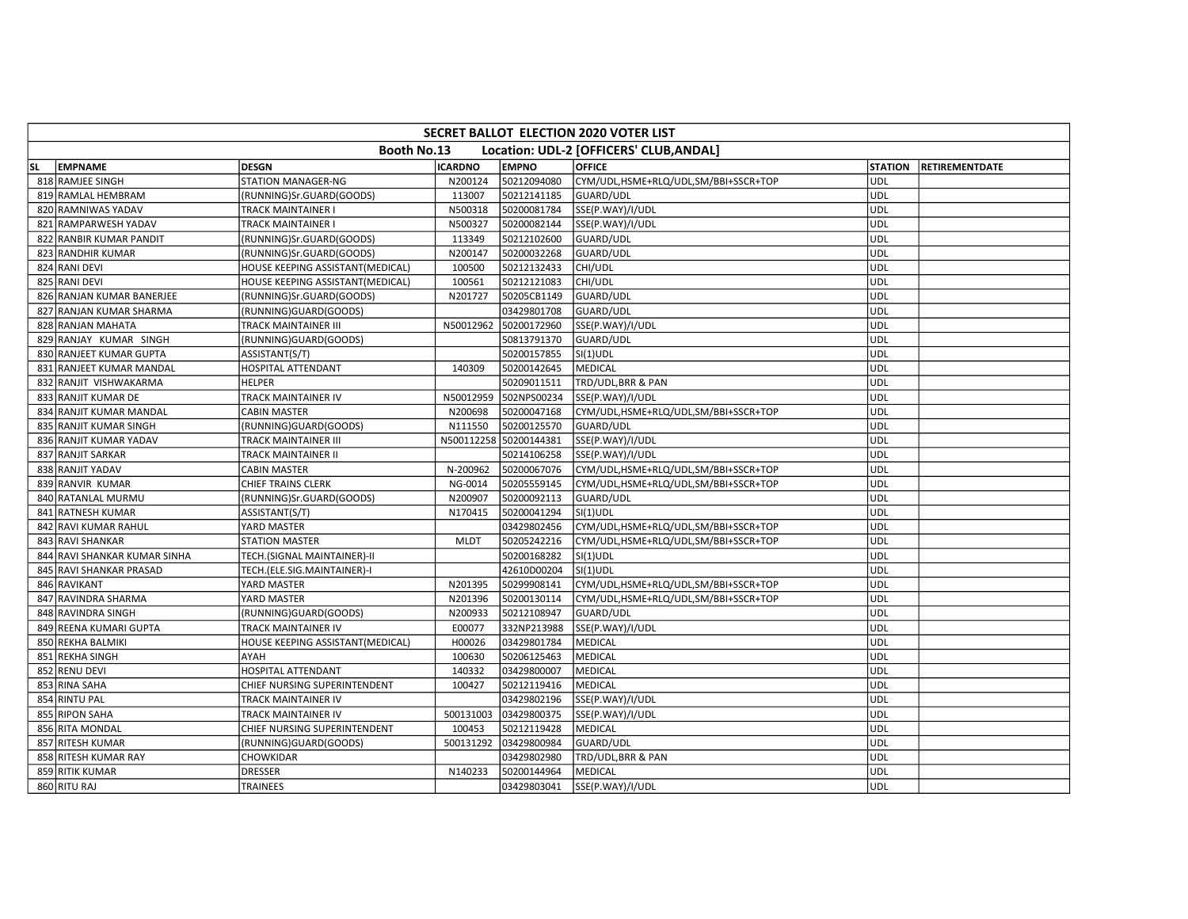|           | <b>SECRET BALLOT ELECTION 2020 VOTER LIST</b> |                                  |                |                        |                                         |                |                       |  |  |  |  |  |
|-----------|-----------------------------------------------|----------------------------------|----------------|------------------------|-----------------------------------------|----------------|-----------------------|--|--|--|--|--|
|           |                                               | Booth No.13                      |                |                        | Location: UDL-2 [OFFICERS' CLUB, ANDAL] |                |                       |  |  |  |  |  |
| <b>SL</b> | <b>EMPNAME</b>                                | <b>DESGN</b>                     | <b>ICARDNO</b> | <b>EMPNO</b>           | <b>OFFICE</b>                           | <b>STATION</b> | <b>RETIREMENTDATE</b> |  |  |  |  |  |
|           | 818 RAMJEE SINGH                              | <b>STATION MANAGER-NG</b>        | N200124        | 50212094080            | CYM/UDL,HSME+RLQ/UDL,SM/BBI+SSCR+TOP    | UDL            |                       |  |  |  |  |  |
|           | 819 RAMLAL HEMBRAM                            | (RUNNING)Sr.GUARD(GOODS)         | 113007         | 50212141185            | GUARD/UDL                               | UDL            |                       |  |  |  |  |  |
|           | 820 RAMNIWAS YADAV                            | <b>TRACK MAINTAINER I</b>        | N500318        | 50200081784            | SSE(P.WAY)/I/UDL                        | <b>UDL</b>     |                       |  |  |  |  |  |
|           | 821 RAMPARWESH YADAV                          | TRACK MAINTAINER I               | N500327        | 50200082144            | SSE(P.WAY)/I/UDL                        | <b>JUDL</b>    |                       |  |  |  |  |  |
|           | 822 RANBIR KUMAR PANDIT                       | (RUNNING)Sr.GUARD(GOODS)         | 113349         | 50212102600            | GUARD/UDL                               | UDL            |                       |  |  |  |  |  |
|           | 823 RANDHIR KUMAR                             | (RUNNING)Sr.GUARD(GOODS)         | N200147        | 50200032268            | GUARD/UDL                               | udl            |                       |  |  |  |  |  |
|           | 824 RANI DEVI                                 | HOUSE KEEPING ASSISTANT(MEDICAL) | 100500         | 50212132433            | CHI/UDL                                 | UDL            |                       |  |  |  |  |  |
|           | 825 RANI DEVI                                 | HOUSE KEEPING ASSISTANT(MEDICAL) | 100561         | 50212121083            | CHI/UDL                                 | <b>UDL</b>     |                       |  |  |  |  |  |
|           | 826 RANJAN KUMAR BANERJEE                     | (RUNNING)Sr.GUARD(GOODS)         | N201727        | 50205CB1149            | GUARD/UDL                               | ludl           |                       |  |  |  |  |  |
|           | 827 RANJAN KUMAR SHARMA                       | (RUNNING)GUARD(GOODS)            |                | 03429801708            | <b>GUARD/UDL</b>                        | UDL            |                       |  |  |  |  |  |
|           | 828 RANJAN MAHATA                             | <b>TRACK MAINTAINER III</b>      | N50012962      | 50200172960            | SSE(P.WAY)/I/UDL                        | UDL            |                       |  |  |  |  |  |
|           | 829 RANJAY KUMAR SINGH                        | (RUNNING)GUARD(GOODS)            |                | 50813791370            | GUARD/UDL                               | <b>UDL</b>     |                       |  |  |  |  |  |
|           | 830 RANJEET KUMAR GUPTA                       | ASSISTANT(S/T)                   |                | 50200157855            | $SI(1)$ UDL                             | UDL            |                       |  |  |  |  |  |
|           | 831 RANJEET KUMAR MANDAL                      | HOSPITAL ATTENDANT               | 140309         | 50200142645            | MEDICAL                                 | ludl           |                       |  |  |  |  |  |
|           | 832 RANJIT VISHWAKARMA                        | <b>HELPER</b>                    |                | 50209011511            | TRD/UDL, BRR & PAN                      | UDL            |                       |  |  |  |  |  |
|           | 833 RANJIT KUMAR DE                           | TRACK MAINTAINER IV              | N50012959      | 502NPS00234            | SSE(P.WAY)/I/UDL                        | UDL            |                       |  |  |  |  |  |
|           | 834 RANJIT KUMAR MANDAL                       | <b>CABIN MASTER</b>              | N200698        | 50200047168            | CYM/UDL,HSME+RLQ/UDL,SM/BBI+SSCR+TOP    | UDL            |                       |  |  |  |  |  |
|           | 835 RANJIT KUMAR SINGH                        | (RUNNING)GUARD(GOODS)            | N111550        | 50200125570            | GUARD/UDL                               | UDL            |                       |  |  |  |  |  |
|           | 836 RANJIT KUMAR YADAV                        | TRACK MAINTAINER III             |                | N500112258 50200144381 | SSE(P.WAY)/I/UDL                        | UDL            |                       |  |  |  |  |  |
|           | 837 RANJIT SARKAR                             | TRACK MAINTAINER II              |                | 50214106258            | SSE(P.WAY)/I/UDL                        | <b>UDL</b>     |                       |  |  |  |  |  |
|           | 838 RANJIT YADAV                              | <b>CABIN MASTER</b>              | N-200962       | 50200067076            | CYM/UDL,HSME+RLQ/UDL,SM/BBI+SSCR+TOP    | <b>UDL</b>     |                       |  |  |  |  |  |
|           | 839 RANVIR KUMAR                              | CHIEF TRAINS CLERK               | NG-0014        | 50205559145            | CYM/UDL,HSME+RLQ/UDL,SM/BBI+SSCR+TOP    | UDL            |                       |  |  |  |  |  |
|           | 840 RATANLAL MURMU                            | (RUNNING)Sr.GUARD(GOODS)         | N200907        | 50200092113            | GUARD/UDL                               | UDL            |                       |  |  |  |  |  |
|           | 841 RATNESH KUMAR                             | ASSISTANT(S/T)                   | N170415        | 50200041294            | $SI(1)$ UDL                             | ludl           |                       |  |  |  |  |  |
|           | 842 RAVI KUMAR RAHUL                          | YARD MASTER                      |                | 03429802456            | CYM/UDL,HSME+RLQ/UDL,SM/BBI+SSCR+TOP    | UDL            |                       |  |  |  |  |  |
|           | 843 RAVI SHANKAR                              | <b>STATION MASTER</b>            | <b>MLDT</b>    | 50205242216            | CYM/UDL,HSME+RLQ/UDL,SM/BBI+SSCR+TOP    | UDL            |                       |  |  |  |  |  |
|           | 844 RAVI SHANKAR KUMAR SINHA                  | TECH.(SIGNAL MAINTAINER)-II      |                | 50200168282            | $SI(1)$ UDL                             | UDL            |                       |  |  |  |  |  |
|           | 845 RAVI SHANKAR PRASAD                       | TECH.(ELE.SIG.MAINTAINER)-I      |                | 42610D00204            | SI(1)UDL                                | UDL            |                       |  |  |  |  |  |
|           | 846 RAVIKANT                                  | YARD MASTER                      | N201395        | 50299908141            | CYM/UDL,HSME+RLQ/UDL,SM/BBI+SSCR+TOP    | ludl           |                       |  |  |  |  |  |
|           | 847 RAVINDRA SHARMA                           | YARD MASTER                      | N201396        | 50200130114            | CYM/UDL,HSME+RLQ/UDL,SM/BBI+SSCR+TOP    | UDL            |                       |  |  |  |  |  |
|           | 848 RAVINDRA SINGH                            | (RUNNING)GUARD(GOODS)            | N200933        | 50212108947            | GUARD/UDL                               | UDL            |                       |  |  |  |  |  |
|           | 849 REENA KUMARI GUPTA                        | TRACK MAINTAINER IV              | E00077         | 332NP213988            | SSE(P.WAY)/I/UDL                        | ludl           |                       |  |  |  |  |  |
|           | 850 REKHA BALMIKI                             | HOUSE KEEPING ASSISTANT(MEDICAL) | H00026         | 03429801784            | MEDICAL                                 | UDL            |                       |  |  |  |  |  |
|           | 851 REKHA SINGH                               | <b>AYAH</b>                      | 100630         | 50206125463            | MEDICAL                                 | ludl           |                       |  |  |  |  |  |
|           | 852 RENU DEVI                                 | HOSPITAL ATTENDANT               | 140332         | 03429800007            | MEDICAL                                 | UDL            |                       |  |  |  |  |  |
|           | 853 RINA SAHA                                 | CHIEF NURSING SUPERINTENDENT     | 100427         | 50212119416            | MEDICAL                                 | UDL            |                       |  |  |  |  |  |
|           | 854 RINTU PAL                                 | TRACK MAINTAINER IV              |                | 03429802196            | SSE(P.WAY)/I/UDL                        | udl            |                       |  |  |  |  |  |
|           | 855 RIPON SAHA                                | TRACK MAINTAINER IV              | 500131003      | 03429800375            | SSE(P.WAY)/I/UDL                        | <b>UDL</b>     |                       |  |  |  |  |  |
|           | 856 RITA MONDAL                               | CHIEF NURSING SUPERINTENDENT     | 100453         | 50212119428            | <b>MEDICAL</b>                          | udl            |                       |  |  |  |  |  |
|           | 857 RITESH KUMAR                              | (RUNNING)GUARD(GOODS)            | 500131292      | 03429800984            | GUARD/UDL                               | UDL            |                       |  |  |  |  |  |
|           | 858 RITESH KUMAR RAY                          | CHOWKIDAR                        |                | 03429802980            | TRD/UDL,BRR & PAN                       | <b>UDL</b>     |                       |  |  |  |  |  |
|           | 859 RITIK KUMAR                               | <b>DRESSER</b>                   | N140233        | 50200144964            | MEDICAL                                 | UDL            |                       |  |  |  |  |  |
|           | 860 RITU RAJ                                  | <b>TRAINEES</b>                  |                | 03429803041            | SSE(P.WAY)/I/UDL                        | <b>UDL</b>     |                       |  |  |  |  |  |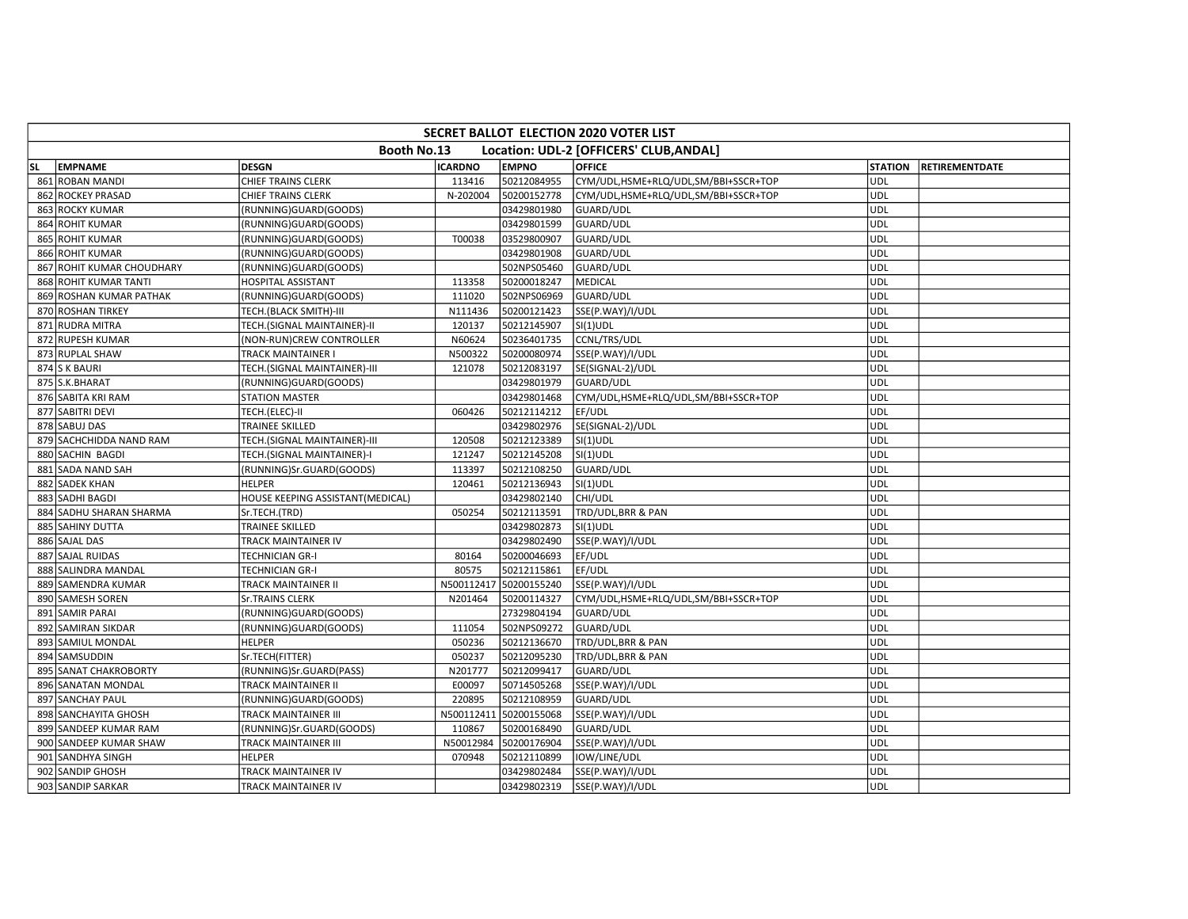|           | <b>SECRET BALLOT ELECTION 2020 VOTER LIST</b> |                                  |                |                        |                                         |                |                       |  |  |  |  |  |
|-----------|-----------------------------------------------|----------------------------------|----------------|------------------------|-----------------------------------------|----------------|-----------------------|--|--|--|--|--|
|           |                                               | Booth No.13                      |                |                        | Location: UDL-2 [OFFICERS' CLUB, ANDAL] |                |                       |  |  |  |  |  |
| <b>SL</b> | <b>EMPNAME</b>                                | <b>DESGN</b>                     | <b>ICARDNO</b> | <b>EMPNO</b>           | <b>OFFICE</b>                           | <b>STATION</b> | <b>RETIREMENTDATE</b> |  |  |  |  |  |
|           | 861 ROBAN MANDI                               | CHIEF TRAINS CLERK               | 113416         | 50212084955            | CYM/UDL,HSME+RLQ/UDL,SM/BBI+SSCR+TOP    | <b>UDL</b>     |                       |  |  |  |  |  |
|           | 862 ROCKEY PRASAD                             | CHIEF TRAINS CLERK               | N-202004       | 50200152778            | CYM/UDL,HSME+RLQ/UDL,SM/BBI+SSCR+TOP    | <b>UDL</b>     |                       |  |  |  |  |  |
|           | 863 ROCKY KUMAR                               | (RUNNING)GUARD(GOODS)            |                | 03429801980            | GUARD/UDL                               | <b>UDL</b>     |                       |  |  |  |  |  |
|           | 864 ROHIT KUMAR                               | (RUNNING)GUARD(GOODS)            |                | 03429801599            | GUARD/UDL                               | <b>UDL</b>     |                       |  |  |  |  |  |
|           | 865 ROHIT KUMAR                               | (RUNNING)GUARD(GOODS)            | T00038         | 03529800907            | GUARD/UDL                               | <b>UDL</b>     |                       |  |  |  |  |  |
|           | 866 ROHIT KUMAR                               | (RUNNING)GUARD(GOODS)            |                | 03429801908            | GUARD/UDL                               | <b>UDL</b>     |                       |  |  |  |  |  |
|           | 867 ROHIT KUMAR CHOUDHARY                     | (RUNNING)GUARD(GOODS)            |                | 502NPS05460            | GUARD/UDL                               | <b>UDL</b>     |                       |  |  |  |  |  |
|           | 868 ROHIT KUMAR TANTI                         | <b>HOSPITAL ASSISTANT</b>        | 113358         | 50200018247            | MEDICAL                                 | <b>UDL</b>     |                       |  |  |  |  |  |
|           | 869 ROSHAN KUMAR PATHAK                       | (RUNNING)GUARD(GOODS)            | 111020         | 502NPS06969            | <b>GUARD/UDL</b>                        | UDL            |                       |  |  |  |  |  |
|           | 870 ROSHAN TIRKEY                             | TECH.(BLACK SMITH)-III           | N111436        | 50200121423            | SSE(P.WAY)/I/UDL                        | <b>UDL</b>     |                       |  |  |  |  |  |
|           | 871 RUDRA MITRA                               | TECH.(SIGNAL MAINTAINER)-II      | 120137         | 50212145907            | $SI(1)$ UDL                             | <b>UDL</b>     |                       |  |  |  |  |  |
|           | 872 RUPESH KUMAR                              | (NON-RUN)CREW CONTROLLER         | N60624         | 50236401735            | CCNL/TRS/UDL                            | <b>UDL</b>     |                       |  |  |  |  |  |
|           | 873 RUPLAL SHAW                               | TRACK MAINTAINER I               | N500322        | 50200080974            | SSE(P.WAY)/I/UDL                        | <b>UDL</b>     |                       |  |  |  |  |  |
|           | 874 S K BAURI                                 | TECH.(SIGNAL MAINTAINER)-III     | 121078         | 50212083197            | SE(SIGNAL-2)/UDL                        | UDL            |                       |  |  |  |  |  |
|           | 875 S.K.BHARAT                                | (RUNNING)GUARD(GOODS)            |                | 03429801979            | GUARD/UDL                               | <b>UDL</b>     |                       |  |  |  |  |  |
|           | 876 SABITA KRI RAM                            | <b>STATION MASTER</b>            |                | 03429801468            | CYM/UDL,HSME+RLQ/UDL,SM/BBI+SSCR+TOP    | <b>UDL</b>     |                       |  |  |  |  |  |
|           | 877 SABITRI DEVI                              | TECH.(ELEC)-II                   | 060426         | 50212114212            | EF/UDL                                  | <b>UDL</b>     |                       |  |  |  |  |  |
|           | 878 SABUJ DAS                                 | TRAINEE SKILLED                  |                | 03429802976            | SE(SIGNAL-2)/UDL                        | <b>UDL</b>     |                       |  |  |  |  |  |
|           | 879 SACHCHIDDA NAND RAM                       | TECH.(SIGNAL MAINTAINER)-III     | 120508         | 50212123389            | $SI(1)$ UDL                             | <b>UDL</b>     |                       |  |  |  |  |  |
|           | 880 SACHIN BAGDI                              | TECH.(SIGNAL MAINTAINER)-I       | 121247         | 50212145208            | $SI(1)$ UDL                             | UDL            |                       |  |  |  |  |  |
|           | 881 SADA NAND SAH                             | (RUNNING)Sr.GUARD(GOODS)         | 113397         | 50212108250            | GUARD/UDL                               | UDL            |                       |  |  |  |  |  |
|           | 882 SADEK KHAN                                | <b>HELPER</b>                    | 120461         | 50212136943            | $SI(1)$ UDL                             | UDL            |                       |  |  |  |  |  |
|           | 883 SADHI BAGDI                               | HOUSE KEEPING ASSISTANT(MEDICAL) |                | 03429802140            | CHI/UDL                                 | <b>UDL</b>     |                       |  |  |  |  |  |
|           | 884 SADHU SHARAN SHARMA                       | Sr.TECH.(TRD)                    | 050254         | 50212113591            | TRD/UDL, BRR & PAN                      | <b>UDL</b>     |                       |  |  |  |  |  |
|           | 885 SAHINY DUTTA                              | TRAINEE SKILLED                  |                | 03429802873            | $SI(1)$ UDL                             | <b>UDL</b>     |                       |  |  |  |  |  |
|           | 886 SAJAL DAS                                 | TRACK MAINTAINER IV              |                | 03429802490            | SSE(P.WAY)/I/UDL                        | <b>UDL</b>     |                       |  |  |  |  |  |
|           | 887 SAJAL RUIDAS                              | TECHNICIAN GR-I                  | 80164          | 50200046693            | EF/UDL                                  | <b>UDL</b>     |                       |  |  |  |  |  |
|           | 888 SALINDRA MANDAL                           | TECHNICIAN GR-I                  | 80575          | 50212115861            | EF/UDL                                  | <b>UDL</b>     |                       |  |  |  |  |  |
|           | 889 SAMENDRA KUMAR                            | TRACK MAINTAINER II              |                | N500112417 50200155240 | SSE(P.WAY)/I/UDL                        | <b>UDL</b>     |                       |  |  |  |  |  |
|           | 890 SAMESH SOREN                              | <b>Sr.TRAINS CLERK</b>           | N201464        | 50200114327            | CYM/UDL,HSME+RLQ/UDL,SM/BBI+SSCR+TOP    | <b>UDL</b>     |                       |  |  |  |  |  |
|           | 891 SAMIR PARAI                               | (RUNNING)GUARD(GOODS)            |                | 27329804194            | GUARD/UDL                               | <b>UDL</b>     |                       |  |  |  |  |  |
|           | 892 SAMIRAN SIKDAR                            | (RUNNING)GUARD(GOODS)            | 111054         | 502NPS09272            | GUARD/UDL                               | UDL            |                       |  |  |  |  |  |
|           | 893 SAMIUL MONDAL                             | <b>HELPER</b>                    | 050236         | 50212136670            | TRD/UDL, BRR & PAN                      | <b>UDL</b>     |                       |  |  |  |  |  |
|           | 894 SAMSUDDIN                                 | Sr.TECH(FITTER)                  | 050237         | 50212095230            | TRD/UDL, BRR & PAN                      | <b>UDL</b>     |                       |  |  |  |  |  |
|           | 895 SANAT CHAKROBORTY                         | (RUNNING)Sr.GUARD(PASS)          | N201777        | 50212099417            | GUARD/UDL                               | <b>UDL</b>     |                       |  |  |  |  |  |
|           | 896 SANATAN MONDAL                            | TRACK MAINTAINER II              | E00097         | 50714505268            | SSE(P.WAY)/I/UDL                        | <b>UDL</b>     |                       |  |  |  |  |  |
|           | 897 SANCHAY PAUL                              | (RUNNING)GUARD(GOODS)            | 220895         | 50212108959            | GUARD/UDL                               | <b>UDL</b>     |                       |  |  |  |  |  |
|           | 898 SANCHAYITA GHOSH                          | TRACK MAINTAINER III             | N500112411     | 50200155068            | SSE(P.WAY)/I/UDL                        | <b>UDL</b>     |                       |  |  |  |  |  |
|           | 899 SANDEEP KUMAR RAM                         | (RUNNING)Sr.GUARD(GOODS)         | 110867         | 50200168490            | GUARD/UDL                               | <b>UDL</b>     |                       |  |  |  |  |  |
|           | 900 SANDEEP KUMAR SHAW                        | TRACK MAINTAINER III             | N50012984      | 50200176904            | SSE(P.WAY)/I/UDL                        | <b>UDL</b>     |                       |  |  |  |  |  |
|           | 901 SANDHYA SINGH                             | <b>HELPER</b>                    | 070948         | 50212110899            | IOW/LINE/UDL                            | UDL            |                       |  |  |  |  |  |
|           | 902 SANDIP GHOSH                              | TRACK MAINTAINER IV              |                | 03429802484            | SSE(P.WAY)/I/UDL                        | <b>UDL</b>     |                       |  |  |  |  |  |
|           | 903 SANDIP SARKAR                             | TRACK MAINTAINER IV              |                | 03429802319            | SSE(P.WAY)/I/UDL                        | <b>UDL</b>     |                       |  |  |  |  |  |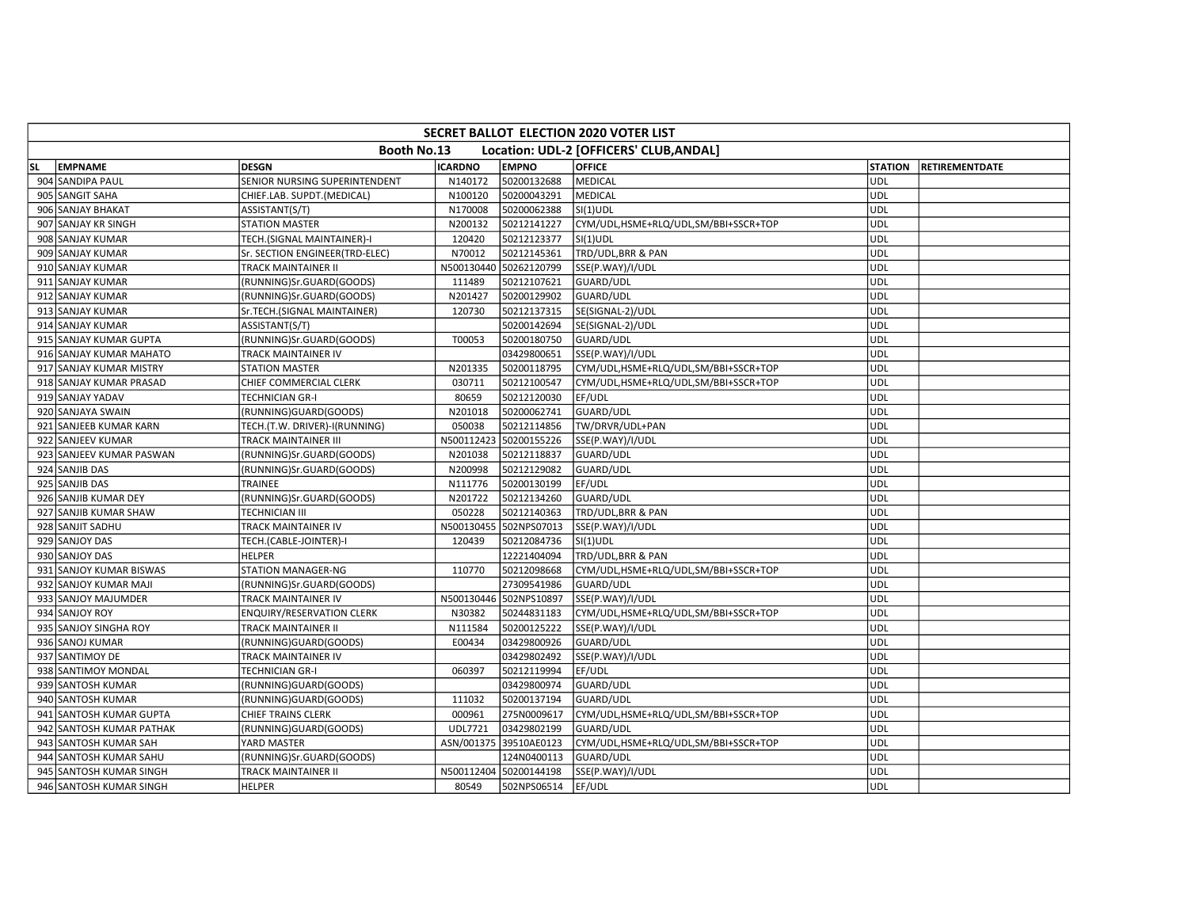|           | <b>SECRET BALLOT ELECTION 2020 VOTER LIST</b> |                                  |                |                        |                                         |                |                       |  |  |  |  |  |
|-----------|-----------------------------------------------|----------------------------------|----------------|------------------------|-----------------------------------------|----------------|-----------------------|--|--|--|--|--|
|           |                                               | Booth No.13                      |                |                        | Location: UDL-2 [OFFICERS' CLUB, ANDAL] |                |                       |  |  |  |  |  |
| <b>SL</b> | <b>EMPNAME</b>                                | <b>DESGN</b>                     | <b>ICARDNO</b> | <b>EMPNO</b>           | <b>OFFICE</b>                           | <b>STATION</b> | <b>RETIREMENTDATE</b> |  |  |  |  |  |
|           | 904 SANDIPA PAUL                              | SENIOR NURSING SUPERINTENDENT    | N140172        | 50200132688            | <b>MEDICAL</b>                          | <b>UDL</b>     |                       |  |  |  |  |  |
|           | 905 SANGIT SAHA                               | CHIEF.LAB. SUPDT.(MEDICAL)       | N100120        | 50200043291            | <b>MEDICAL</b>                          | <b>UDL</b>     |                       |  |  |  |  |  |
|           | 906 SANJAY BHAKAT                             | ASSISTANT(S/T)                   | N170008        | 50200062388            | $SI(1)$ UDL                             | <b>UDL</b>     |                       |  |  |  |  |  |
|           | 907 SANJAY KR SINGH                           | <b>STATION MASTER</b>            | N200132        | 50212141227            | CYM/UDL,HSME+RLQ/UDL,SM/BBI+SSCR+TOP    | <b>UDL</b>     |                       |  |  |  |  |  |
|           | 908 SANJAY KUMAR                              | TECH.(SIGNAL MAINTAINER)-I       | 120420         | 50212123377            | $SI(1)$ UDL                             | <b>UDL</b>     |                       |  |  |  |  |  |
|           | 909 SANJAY KUMAR                              | Sr. SECTION ENGINEER(TRD-ELEC)   | N70012         | 50212145361            | TRD/UDL, BRR & PAN                      | <b>UDL</b>     |                       |  |  |  |  |  |
|           | 910 SANJAY KUMAR                              | <b>TRACK MAINTAINER II</b>       |                | N500130440 50262120799 | SSE(P.WAY)/I/UDL                        | <b>UDL</b>     |                       |  |  |  |  |  |
|           | 911 SANJAY KUMAR                              | (RUNNING)Sr.GUARD(GOODS)         | 111489         | 50212107621            | GUARD/UDL                               | UDL            |                       |  |  |  |  |  |
|           | 912 SANJAY KUMAR                              | (RUNNING)Sr.GUARD(GOODS)         | N201427        | 50200129902            | GUARD/UDL                               | UDL            |                       |  |  |  |  |  |
|           | 913 SANJAY KUMAR                              | Sr.TECH.(SIGNAL MAINTAINER)      | 120730         | 50212137315            | SE(SIGNAL-2)/UDL                        | <b>UDL</b>     |                       |  |  |  |  |  |
|           | 914 SANJAY KUMAR                              | ASSISTANT(S/T)                   |                | 50200142694            | SE(SIGNAL-2)/UDL                        | <b>UDL</b>     |                       |  |  |  |  |  |
|           | 915 SANJAY KUMAR GUPTA                        | (RUNNING)Sr.GUARD(GOODS)         | T00053         | 50200180750            | <b>GUARD/UDL</b>                        | <b>UDL</b>     |                       |  |  |  |  |  |
|           | 916 SANJAY KUMAR MAHATO                       | TRACK MAINTAINER IV              |                | 03429800651            | SSE(P.WAY)/I/UDL                        | <b>UDL</b>     |                       |  |  |  |  |  |
|           | 917 SANJAY KUMAR MISTRY                       | <b>STATION MASTER</b>            | N201335        | 50200118795            | CYM/UDL,HSME+RLQ/UDL,SM/BBI+SSCR+TOP    | <b>UDL</b>     |                       |  |  |  |  |  |
|           | 918 SANJAY KUMAR PRASAD                       | CHIEF COMMERCIAL CLERK           | 030711         | 50212100547            | CYM/UDL,HSME+RLQ/UDL,SM/BBI+SSCR+TOP    | UDL            |                       |  |  |  |  |  |
|           | 919 SANJAY YADAV                              | <b>TECHNICIAN GR-I</b>           | 80659          | 50212120030            | EF/UDL                                  | <b>UDL</b>     |                       |  |  |  |  |  |
|           | 920 SANJAYA SWAIN                             | (RUNNING)GUARD(GOODS)            | N201018        | 50200062741            | GUARD/UDL                               | <b>UDL</b>     |                       |  |  |  |  |  |
|           | 921 SANJEEB KUMAR KARN                        | TECH.(T.W. DRIVER)-I(RUNNING)    | 050038         | 50212114856            | TW/DRVR/UDL+PAN                         | <b>UDL</b>     |                       |  |  |  |  |  |
|           | 922 SANJEEV KUMAR                             | TRACK MAINTAINER III             |                | N500112423 50200155226 | SSE(P.WAY)/I/UDL                        | <b>UDL</b>     |                       |  |  |  |  |  |
|           | 923 SANJEEV KUMAR PASWAN                      | (RUNNING)Sr.GUARD(GOODS)         | N201038        | 50212118837            | GUARD/UDL                               | <b>UDL</b>     |                       |  |  |  |  |  |
|           | 924 SANJIB DAS                                | (RUNNING)Sr.GUARD(GOODS)         | N200998        | 50212129082            | GUARD/UDL                               | <b>UDL</b>     |                       |  |  |  |  |  |
|           | 925 SANJIB DAS                                | TRAINEE                          | N111776        | 50200130199            | EF/UDL                                  | <b>UDL</b>     |                       |  |  |  |  |  |
|           | 926 SANJIB KUMAR DEY                          | (RUNNING)Sr.GUARD(GOODS)         | N201722        | 50212134260            | GUARD/UDL                               | <b>UDL</b>     |                       |  |  |  |  |  |
|           | 927 SANJIB KUMAR SHAW                         | <b>TECHNICIAN III</b>            | 050228         | 50212140363            | TRD/UDL, BRR & PAN                      | <b>UDL</b>     |                       |  |  |  |  |  |
|           | 928 SANJIT SADHU                              | TRACK MAINTAINER IV              | N500130455     | 502NPS07013            | SSE(P.WAY)/I/UDL                        | <b>UDL</b>     |                       |  |  |  |  |  |
|           | 929 SANJOY DAS                                | TECH.(CABLE-JOINTER)-I           | 120439         | 50212084736            | SI(1)UDL                                | <b>UDL</b>     |                       |  |  |  |  |  |
|           | 930 SANJOY DAS                                | <b>HELPER</b>                    |                | 12221404094            | TRD/UDL, BRR & PAN                      | <b>UDL</b>     |                       |  |  |  |  |  |
|           | 931 SANJOY KUMAR BISWAS                       | STATION MANAGER-NG               | 110770         | 50212098668            | CYM/UDL,HSME+RLQ/UDL,SM/BBI+SSCR+TOP    | <b>UDL</b>     |                       |  |  |  |  |  |
|           | 932 SANJOY KUMAR MAJI                         | (RUNNING)Sr.GUARD(GOODS)         |                | 27309541986            | GUARD/UDL                               | <b>UDL</b>     |                       |  |  |  |  |  |
|           | 933 SANJOY MAJUMDER                           | TRACK MAINTAINER IV              |                | N500130446 502NPS10897 | SSE(P.WAY)/I/UDL                        | <b>UDL</b>     |                       |  |  |  |  |  |
|           | 934 SANJOY ROY                                | <b>ENQUIRY/RESERVATION CLERK</b> | N30382         | 50244831183            | CYM/UDL,HSME+RLQ/UDL,SM/BBI+SSCR+TOP    | <b>UDL</b>     |                       |  |  |  |  |  |
|           | 935 SANJOY SINGHA ROY                         | TRACK MAINTAINER II              | N111584        | 50200125222            | SSE(P.WAY)/I/UDL                        | <b>UDL</b>     |                       |  |  |  |  |  |
|           | 936 SANOJ KUMAR                               | (RUNNING)GUARD(GOODS)            | E00434         | 03429800926            | GUARD/UDL                               | <b>UDL</b>     |                       |  |  |  |  |  |
|           | 937 SANTIMOY DE                               | TRACK MAINTAINER IV              |                | 03429802492            | SSE(P.WAY)/I/UDL                        | <b>UDL</b>     |                       |  |  |  |  |  |
|           | 938 SANTIMOY MONDAL                           | TECHNICIAN GR-I                  | 060397         | 50212119994            | EF/UDL                                  | <b>UDL</b>     |                       |  |  |  |  |  |
|           | 939 SANTOSH KUMAR                             | (RUNNING)GUARD(GOODS)            |                | 03429800974            | GUARD/UDL                               | UDL            |                       |  |  |  |  |  |
|           | 940 SANTOSH KUMAR                             | (RUNNING)GUARD(GOODS)            | 111032         | 50200137194            | <b>GUARD/UDL</b>                        | <b>UDL</b>     |                       |  |  |  |  |  |
|           | 941 SANTOSH KUMAR GUPTA                       | CHIEF TRAINS CLERK               | 000961         | 275N0009617            | CYM/UDL,HSME+RLQ/UDL,SM/BBI+SSCR+TOP    | <b>UDL</b>     |                       |  |  |  |  |  |
|           | 942 SANTOSH KUMAR PATHAK                      | (RUNNING)GUARD(GOODS)            | UDL7721        | 03429802199            | GUARD/UDL                               | <b>UDL</b>     |                       |  |  |  |  |  |
|           | 943 SANTOSH KUMAR SAH                         | YARD MASTER                      |                | ASN/001375 39510AE0123 | CYM/UDL,HSME+RLQ/UDL,SM/BBI+SSCR+TOP    | <b>UDL</b>     |                       |  |  |  |  |  |
|           | 944 SANTOSH KUMAR SAHU                        | (RUNNING)Sr.GUARD(GOODS)         |                | 124N0400113            | GUARD/UDL                               | UDL            |                       |  |  |  |  |  |
|           | 945 SANTOSH KUMAR SINGH                       | TRACK MAINTAINER II              | N500112404     | 50200144198            | SSE(P.WAY)/I/UDL                        | <b>UDL</b>     |                       |  |  |  |  |  |
|           | 946 SANTOSH KUMAR SINGH                       | <b>HELPER</b>                    | 80549          | 502NPS06514            | EF/UDL                                  | <b>UDL</b>     |                       |  |  |  |  |  |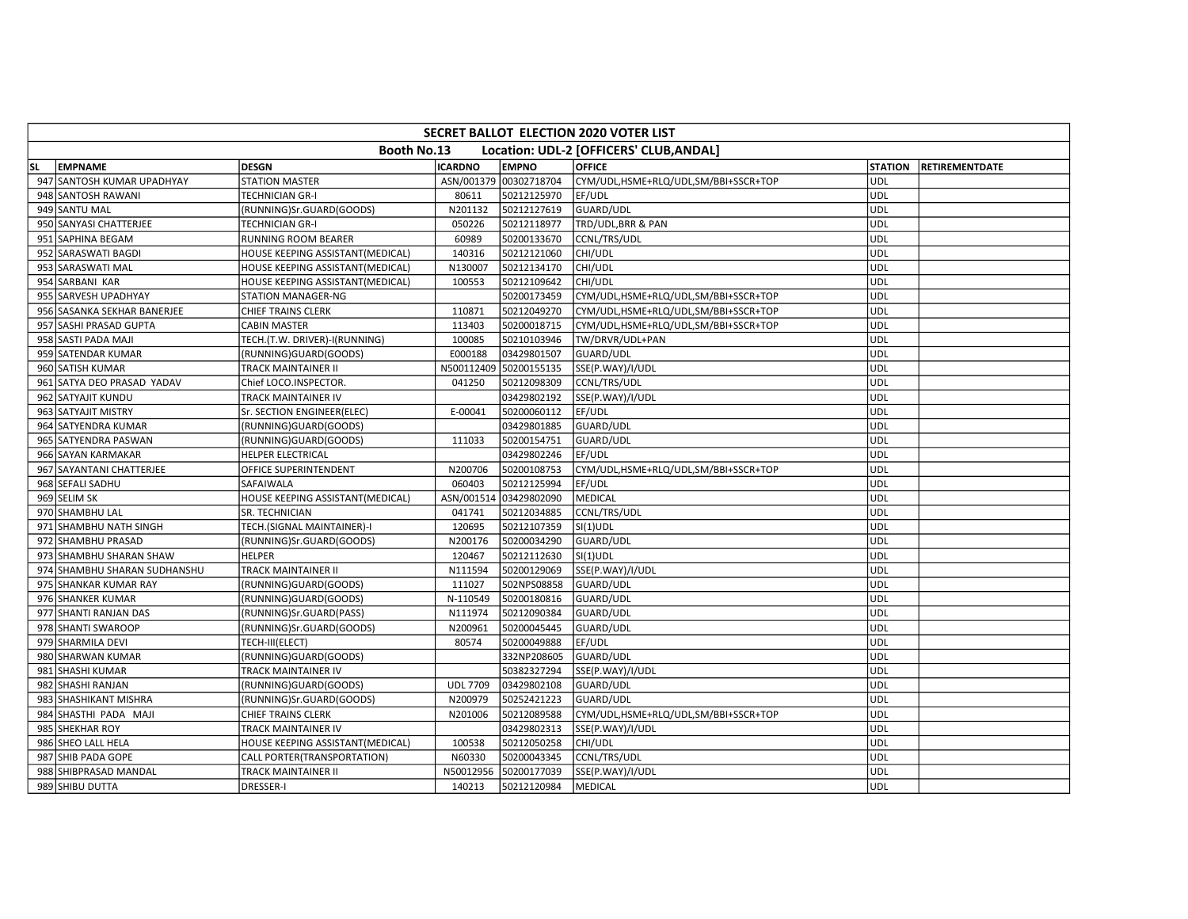|     | <b>SECRET BALLOT ELECTION 2020 VOTER LIST</b> |                                  |                 |                        |                                         |            |                        |  |  |  |  |  |  |
|-----|-----------------------------------------------|----------------------------------|-----------------|------------------------|-----------------------------------------|------------|------------------------|--|--|--|--|--|--|
|     |                                               | Booth No.13                      |                 |                        | Location: UDL-2 [OFFICERS' CLUB, ANDAL] |            |                        |  |  |  |  |  |  |
| lsL | <b>EMPNAME</b>                                | <b>DESGN</b>                     | <b>ICARDNO</b>  | <b>EMPNO</b>           | <b>OFFICE</b>                           |            | STATION RETIREMENTDATE |  |  |  |  |  |  |
|     | 947 SANTOSH KUMAR UPADHYAY                    | <b>STATION MASTER</b>            |                 | ASN/001379 00302718704 | CYM/UDL,HSME+RLQ/UDL,SM/BBI+SSCR+TOP    | UDL        |                        |  |  |  |  |  |  |
|     | 948 SANTOSH RAWANI                            | <b>TECHNICIAN GR-I</b>           | 80611           | 50212125970            | EF/UDL                                  | <b>UDL</b> |                        |  |  |  |  |  |  |
|     | 949 SANTU MAL                                 | (RUNNING)Sr.GUARD(GOODS)         | N201132         | 50212127619            | <b>GUARD/UDL</b>                        | <b>UDL</b> |                        |  |  |  |  |  |  |
|     | 950 SANYASI CHATTERJEE                        | <b>TECHNICIAN GR-I</b>           | 050226          | 50212118977            | TRD/UDL, BRR & PAN                      | <b>UDL</b> |                        |  |  |  |  |  |  |
|     | 951 SAPHINA BEGAM                             | RUNNING ROOM BEARER              | 60989           | 50200133670            | CCNL/TRS/UDL                            | <b>UDL</b> |                        |  |  |  |  |  |  |
|     | 952 SARASWATI BAGDI                           | HOUSE KEEPING ASSISTANT(MEDICAL) | 140316          | 50212121060            | CHI/UDL                                 | <b>UDL</b> |                        |  |  |  |  |  |  |
|     | 953 SARASWATI MAL                             | HOUSE KEEPING ASSISTANT(MEDICAL) | N130007         | 50212134170            | CHI/UDL                                 | <b>UDL</b> |                        |  |  |  |  |  |  |
|     | 954 SARBANI KAR                               | HOUSE KEEPING ASSISTANT(MEDICAL) | 100553          | 50212109642            | CHI/UDL                                 | UDL        |                        |  |  |  |  |  |  |
|     | 955 SARVESH UPADHYAY                          | <b>STATION MANAGER-NG</b>        |                 | 50200173459            | CYM/UDL,HSME+RLQ/UDL,SM/BBI+SSCR+TOP    | <b>UDL</b> |                        |  |  |  |  |  |  |
|     | 956 SASANKA SEKHAR BANERJEE                   | <b>CHIEF TRAINS CLERK</b>        | 110871          | 50212049270            | CYM/UDL,HSME+RLQ/UDL,SM/BBI+SSCR+TOP    | <b>UDL</b> |                        |  |  |  |  |  |  |
|     | 957 SASHI PRASAD GUPTA                        | <b>CABIN MASTER</b>              | 113403          | 50200018715            | CYM/UDL,HSME+RLQ/UDL,SM/BBI+SSCR+TOP    | UDL        |                        |  |  |  |  |  |  |
|     | 958 SASTI PADA MAJI                           | TECH.(T.W. DRIVER)-I(RUNNING)    | 100085          | 50210103946            | TW/DRVR/UDL+PAN                         | <b>UDL</b> |                        |  |  |  |  |  |  |
|     | 959 SATENDAR KUMAR                            | (RUNNING)GUARD(GOODS)            | E000188         | 03429801507            | GUARD/UDL                               | UDL        |                        |  |  |  |  |  |  |
|     | 960 SATISH KUMAR                              | TRACK MAINTAINER II              |                 | N500112409 50200155135 | SSE(P.WAY)/I/UDL                        | <b>UDL</b> |                        |  |  |  |  |  |  |
|     | 961 SATYA DEO PRASAD YADAV                    | Chief LOCO.INSPECTOR.            | 041250          | 50212098309            | CCNL/TRS/UDL                            | <b>UDL</b> |                        |  |  |  |  |  |  |
|     | 962 SATYAJIT KUNDU                            | TRACK MAINTAINER IV              |                 | 03429802192            | SSE(P.WAY)/I/UDL                        | <b>UDL</b> |                        |  |  |  |  |  |  |
|     | 963 SATYAJIT MISTRY                           | Sr. SECTION ENGINEER(ELEC)       | E-00041         | 50200060112            | EF/UDL                                  | <b>UDL</b> |                        |  |  |  |  |  |  |
|     | 964 SATYENDRA KUMAR                           | (RUNNING)GUARD(GOODS)            |                 | 03429801885            | GUARD/UDL                               | UDL        |                        |  |  |  |  |  |  |
|     | 965 SATYENDRA PASWAN                          | (RUNNING)GUARD(GOODS)            | 111033          | 50200154751            | GUARD/UDL                               | UDL        |                        |  |  |  |  |  |  |
|     | 966 SAYAN KARMAKAR                            | <b>HELPER ELECTRICAL</b>         |                 | 03429802246            | EF/UDL                                  | <b>UDL</b> |                        |  |  |  |  |  |  |
|     | 967 SAYANTANI CHATTERJEE                      | OFFICE SUPERINTENDENT            | N200706         | 50200108753            | CYM/UDL,HSME+RLQ/UDL,SM/BBI+SSCR+TOP    | <b>UDL</b> |                        |  |  |  |  |  |  |
|     | 968 SEFALI SADHU                              | SAFAIWALA                        | 060403          | 50212125994            | EF/UDL                                  | <b>UDL</b> |                        |  |  |  |  |  |  |
|     | 969 SELIM SK                                  | HOUSE KEEPING ASSISTANT(MEDICAL) | ASN/001514      | 03429802090            | MEDICAL                                 | UDL        |                        |  |  |  |  |  |  |
|     | 970 SHAMBHU LAL                               | SR. TECHNICIAN                   | 041741          | 50212034885            | CCNL/TRS/UDL                            | <b>UDL</b> |                        |  |  |  |  |  |  |
|     | 971 SHAMBHU NATH SINGH                        | TECH.(SIGNAL MAINTAINER)-I       | 120695          | 50212107359            | SI(1)UDL                                | <b>UDL</b> |                        |  |  |  |  |  |  |
|     | 972 SHAMBHU PRASAD                            | (RUNNING)Sr.GUARD(GOODS)         | N200176         | 50200034290            | GUARD/UDL                               | UDL        |                        |  |  |  |  |  |  |
|     | 973 SHAMBHU SHARAN SHAW                       | <b>HELPER</b>                    | 120467          | 50212112630            | $SI(1)$ UDL                             | <b>UDL</b> |                        |  |  |  |  |  |  |
|     | 974 SHAMBHU SHARAN SUDHANSHU                  | TRACK MAINTAINER II              | N111594         | 50200129069            | SSE(P.WAY)/I/UDL                        | UDL        |                        |  |  |  |  |  |  |
|     | 975 SHANKAR KUMAR RAY                         | (RUNNING)GUARD(GOODS)            | 111027          | 502NPS08858            | GUARD/UDL                               | <b>UDL</b> |                        |  |  |  |  |  |  |
|     | 976 SHANKER KUMAR                             | (RUNNING)GUARD(GOODS)            | N-110549        | 50200180816            | GUARD/UDL                               | <b>UDL</b> |                        |  |  |  |  |  |  |
|     | 977 SHANTI RANJAN DAS                         | (RUNNING)Sr.GUARD(PASS)          | N111974         | 50212090384            | GUARD/UDL                               | <b>UDL</b> |                        |  |  |  |  |  |  |
|     | 978 SHANTI SWAROOP                            | (RUNNING)Sr.GUARD(GOODS)         | N200961         | 50200045445            | GUARD/UDL                               | <b>UDL</b> |                        |  |  |  |  |  |  |
|     | 979 SHARMILA DEVI                             | TECH-III(ELECT)                  | 80574           | 50200049888            | EF/UDL                                  | <b>UDL</b> |                        |  |  |  |  |  |  |
|     | 980 SHARWAN KUMAR                             | (RUNNING)GUARD(GOODS)            |                 | 332NP208605            | GUARD/UDL                               | <b>UDL</b> |                        |  |  |  |  |  |  |
|     | 981 SHASHI KUMAR                              | TRACK MAINTAINER IV              |                 | 50382327294            | SSE(P.WAY)/I/UDL                        | <b>UDL</b> |                        |  |  |  |  |  |  |
|     | 982 SHASHI RANJAN                             | (RUNNING)GUARD(GOODS)            | <b>UDL 7709</b> | 03429802108            | GUARD/UDL                               | UDL        |                        |  |  |  |  |  |  |
|     | 983 SHASHIKANT MISHRA                         | (RUNNING)Sr.GUARD(GOODS)         | N200979         | 50252421223            | GUARD/UDL                               | UDL        |                        |  |  |  |  |  |  |
|     | 984 SHASTHI PADA MAJI                         | <b>CHIEF TRAINS CLERK</b>        | N201006         | 50212089588            | CYM/UDL,HSME+RLQ/UDL,SM/BBI+SSCR+TOP    | <b>UDL</b> |                        |  |  |  |  |  |  |
|     | 985 SHEKHAR ROY                               | TRACK MAINTAINER IV              |                 | 03429802313            | SSE(P.WAY)/I/UDL                        | <b>UDL</b> |                        |  |  |  |  |  |  |
|     | 986 SHEO LALL HELA                            | HOUSE KEEPING ASSISTANT(MEDICAL) | 100538          | 50212050258            | CHI/UDL                                 | <b>UDL</b> |                        |  |  |  |  |  |  |
|     | 987 SHIB PADA GOPE                            | CALL PORTER(TRANSPORTATION)      | N60330          | 50200043345            | CCNL/TRS/UDL                            | UDL        |                        |  |  |  |  |  |  |
|     | 988 SHIBPRASAD MANDAL                         | TRACK MAINTAINER II              | N50012956       | 50200177039            | SSE(P.WAY)/I/UDL                        | UDL        |                        |  |  |  |  |  |  |
|     | 989 SHIBU DUTTA                               | <b>DRESSER-I</b>                 | 140213          | 50212120984            | <b>MEDICAL</b>                          | <b>UDL</b> |                        |  |  |  |  |  |  |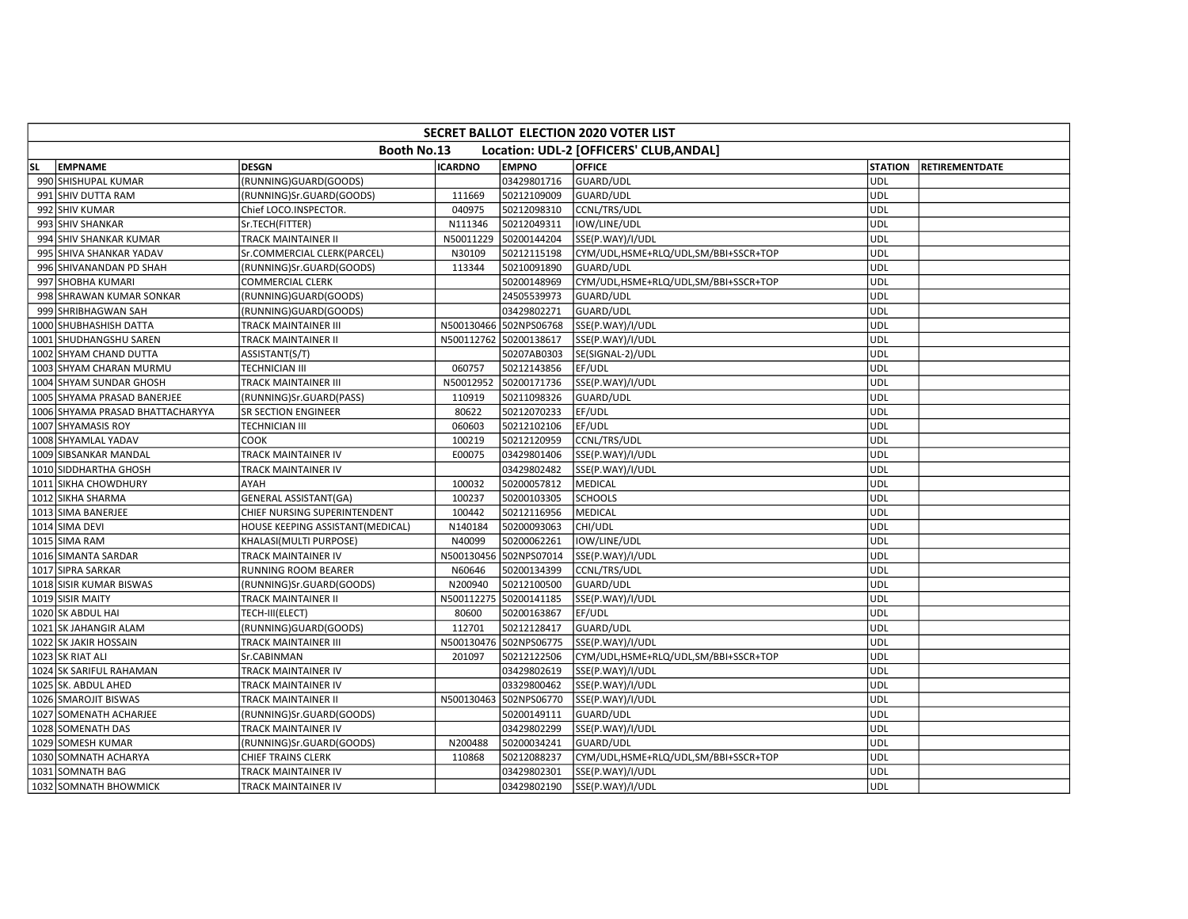|           | SECRET BALLOT ELECTION 2020 VOTER LIST |                                  |                |                        |                                         |                |                       |  |  |  |  |  |
|-----------|----------------------------------------|----------------------------------|----------------|------------------------|-----------------------------------------|----------------|-----------------------|--|--|--|--|--|
|           |                                        | <b>Booth No.13</b>               |                |                        | Location: UDL-2 [OFFICERS' CLUB, ANDAL] |                |                       |  |  |  |  |  |
| <b>SL</b> | <b>EMPNAME</b>                         | <b>DESGN</b>                     | <b>ICARDNO</b> | <b>EMPNO</b>           | <b>OFFICE</b>                           | <b>STATION</b> | <b>RETIREMENTDATE</b> |  |  |  |  |  |
|           | 990 SHISHUPAL KUMAR                    | (RUNNING)GUARD(GOODS)            |                | 03429801716            | GUARD/UDL                               | UDL            |                       |  |  |  |  |  |
|           | 991 SHIV DUTTA RAM                     | (RUNNING)Sr.GUARD(GOODS)         | 111669         | 50212109009            | GUARD/UDL                               | <b>UDL</b>     |                       |  |  |  |  |  |
|           | 992 SHIV KUMAR                         | Chief LOCO.INSPECTOR.            | 040975         | 50212098310            | CCNL/TRS/UDL                            | UDL            |                       |  |  |  |  |  |
|           | 993 SHIV SHANKAR                       | Sr.TECH(FITTER)                  | N111346        | 50212049311            | IOW/LINE/UDL                            | <b>UDL</b>     |                       |  |  |  |  |  |
|           | 994 SHIV SHANKAR KUMAR                 | TRACK MAINTAINER II              | N50011229      | 50200144204            | SSE(P.WAY)/I/UDL                        | <b>UDL</b>     |                       |  |  |  |  |  |
|           | 995 SHIVA SHANKAR YADAV                | Sr.COMMERCIAL CLERK(PARCEL)      | N30109         | 50212115198            | CYM/UDL,HSME+RLQ/UDL,SM/BBI+SSCR+TOP    | UDL            |                       |  |  |  |  |  |
|           | 996 SHIVANANDAN PD SHAH                | (RUNNING)Sr.GUARD(GOODS)         | 113344         | 50210091890            | GUARD/UDL                               | <b>UDL</b>     |                       |  |  |  |  |  |
|           | 997 SHOBHA KUMARI                      | <b>COMMERCIAL CLERK</b>          |                | 50200148969            | CYM/UDL, HSME+RLQ/UDL, SM/BBI+SSCR+TOP  | <b>UDL</b>     |                       |  |  |  |  |  |
|           | 998 SHRAWAN KUMAR SONKAR               | (RUNNING)GUARD(GOODS)            |                | 24505539973            | GUARD/UDL                               | <b>UDL</b>     |                       |  |  |  |  |  |
|           | 999 SHRIBHAGWAN SAH                    | (RUNNING)GUARD(GOODS)            |                | 03429802271            | GUARD/UDL                               | UDL            |                       |  |  |  |  |  |
|           | 1000 SHUBHASHISH DATTA                 | TRACK MAINTAINER III             |                | N500130466 502NPS06768 | SSE(P.WAY)/I/UDL                        | UDL            |                       |  |  |  |  |  |
|           | 1001 SHUDHANGSHU SAREN                 | TRACK MAINTAINER II              | N500112762     | 50200138617            | SSE(P.WAY)/I/UDL                        | <b>UDL</b>     |                       |  |  |  |  |  |
|           | 1002 SHYAM CHAND DUTTA                 | ASSISTANT(S/T)                   |                | 50207AB0303            | SE(SIGNAL-2)/UDL                        | <b>UDL</b>     |                       |  |  |  |  |  |
|           | 1003 SHYAM CHARAN MURMU                | TECHNICIAN III                   | 060757         | 50212143856            | EF/UDL                                  | <b>UDL</b>     |                       |  |  |  |  |  |
|           | 1004 SHYAM SUNDAR GHOSH                | TRACK MAINTAINER III             | N50012952      | 50200171736            | SSE(P.WAY)/I/UDL                        | <b>UDL</b>     |                       |  |  |  |  |  |
|           | 1005 SHYAMA PRASAD BANERJEE            | (RUNNING)Sr.GUARD(PASS)          | 110919         | 50211098326            | GUARD/UDL                               | UDL            |                       |  |  |  |  |  |
|           | 1006 SHYAMA PRASAD BHATTACHARYYA       | SR SECTION ENGINEER              | 80622          | 50212070233            | EF/UDL                                  | <b>UDL</b>     |                       |  |  |  |  |  |
|           | 1007 SHYAMASIS ROY                     | TECHNICIAN III                   | 060603         | 50212102106            | EF/UDL                                  | UDL            |                       |  |  |  |  |  |
|           | 1008 SHYAMLAL YADAV                    | COOK                             | 100219         | 50212120959            | CCNL/TRS/UDL                            | <b>UDL</b>     |                       |  |  |  |  |  |
|           | 1009 SIBSANKAR MANDAL                  | TRACK MAINTAINER IV              | E00075         | 03429801406            | SSE(P.WAY)/I/UDL                        | UDL            |                       |  |  |  |  |  |
|           | 1010 SIDDHARTHA GHOSH                  | TRACK MAINTAINER IV              |                | 03429802482            | SSE(P.WAY)/I/UDL                        | UDL            |                       |  |  |  |  |  |
|           | 1011 SIKHA CHOWDHURY                   | AYAH                             | 100032         | 50200057812            | MEDICAL                                 | <b>UDL</b>     |                       |  |  |  |  |  |
|           | 1012 SIKHA SHARMA                      | <b>GENERAL ASSISTANT(GA)</b>     | 100237         | 50200103305            | <b>SCHOOLS</b>                          | <b>UDL</b>     |                       |  |  |  |  |  |
|           | 1013 SIMA BANERJEE                     | CHIEF NURSING SUPERINTENDENT     | 100442         | 50212116956            | MEDICAL                                 | <b>UDL</b>     |                       |  |  |  |  |  |
|           | 1014 SIMA DEVI                         | HOUSE KEEPING ASSISTANT(MEDICAL) | N140184        | 50200093063            | CHI/UDL                                 | UDL            |                       |  |  |  |  |  |
|           | 1015 SIMA RAM                          | KHALASI(MULTI PURPOSE)           | N40099         | 50200062261            | IOW/LINE/UDL                            | UDL            |                       |  |  |  |  |  |
|           | 1016 SIMANTA SARDAR                    | TRACK MAINTAINER IV              | N500130456     | 502NPS07014            | SSE(P.WAY)/I/UDL                        | <b>UDL</b>     |                       |  |  |  |  |  |
|           | 1017 SIPRA SARKAR                      | RUNNING ROOM BEARER              | N60646         | 50200134399            | CCNL/TRS/UDL                            | <b>UDL</b>     |                       |  |  |  |  |  |
|           | 1018 SISIR KUMAR BISWAS                | (RUNNING)Sr.GUARD(GOODS)         | N200940        | 50212100500            | GUARD/UDL                               | <b>UDL</b>     |                       |  |  |  |  |  |
|           | 1019 SISIR MAITY                       | TRACK MAINTAINER II              | N500112275     | 50200141185            | SSE(P.WAY)/I/UDL                        | UDL            |                       |  |  |  |  |  |
|           | 1020 SK ABDUL HAI                      | TECH-III(ELECT)                  | 80600          | 50200163867            | EF/UDL                                  | UDL            |                       |  |  |  |  |  |
|           | 1021 SK JAHANGIR ALAM                  | (RUNNING)GUARD(GOODS)            | 112701         | 50212128417            | GUARD/UDL                               | <b>UDL</b>     |                       |  |  |  |  |  |
|           | 1022 SK JAKIR HOSSAIN                  | TRACK MAINTAINER III             |                | N500130476 502NPS06775 | SSE(P.WAY)/I/UDL                        | <b>UDL</b>     |                       |  |  |  |  |  |
|           | 1023 SK RIAT ALI                       | Sr.CABINMAN                      | 201097         | 50212122506            | CYM/UDL,HSME+RLQ/UDL,SM/BBI+SSCR+TOP    | <b>UDL</b>     |                       |  |  |  |  |  |
|           | 1024 SK SARIFUL RAHAMAN                | TRACK MAINTAINER IV              |                | 03429802619            | SSE(P.WAY)/I/UDL                        | UDL            |                       |  |  |  |  |  |
|           | 1025 SK. ABDUL AHED                    | TRACK MAINTAINER IV              |                | 03329800462            | SSE(P.WAY)/I/UDL                        | <b>UDL</b>     |                       |  |  |  |  |  |
|           | 1026 SMAROJIT BISWAS                   | TRACK MAINTAINER II              | N500130463     | 502NPS06770            | SSE(P.WAY)/I/UDL                        | <b>UDL</b>     |                       |  |  |  |  |  |
|           | 1027 SOMENATH ACHARJEE                 | (RUNNING)Sr.GUARD(GOODS)         |                | 50200149111            | GUARD/UDL                               | <b>UDL</b>     |                       |  |  |  |  |  |
|           | 1028 SOMENATH DAS                      | TRACK MAINTAINER IV              |                | 03429802299            | SSE(P.WAY)/I/UDL                        | <b>UDL</b>     |                       |  |  |  |  |  |
|           | 1029 SOMESH KUMAR                      | (RUNNING)Sr.GUARD(GOODS)         | N200488        | 50200034241            | GUARD/UDL                               | <b>UDL</b>     |                       |  |  |  |  |  |
|           | 1030 SOMNATH ACHARYA                   | CHIEF TRAINS CLERK               | 110868         | 50212088237            | CYM/UDL,HSME+RLQ/UDL,SM/BBI+SSCR+TOP    | UDL            |                       |  |  |  |  |  |
|           | 1031 SOMNATH BAG                       | <b>TRACK MAINTAINER IV</b>       |                | 03429802301            | SSE(P.WAY)/I/UDL                        | UDL            |                       |  |  |  |  |  |
|           | 1032 SOMNATH BHOWMICK                  | TRACK MAINTAINER IV              |                | 03429802190            | SSE(P.WAY)/I/UDL                        | <b>UDL</b>     |                       |  |  |  |  |  |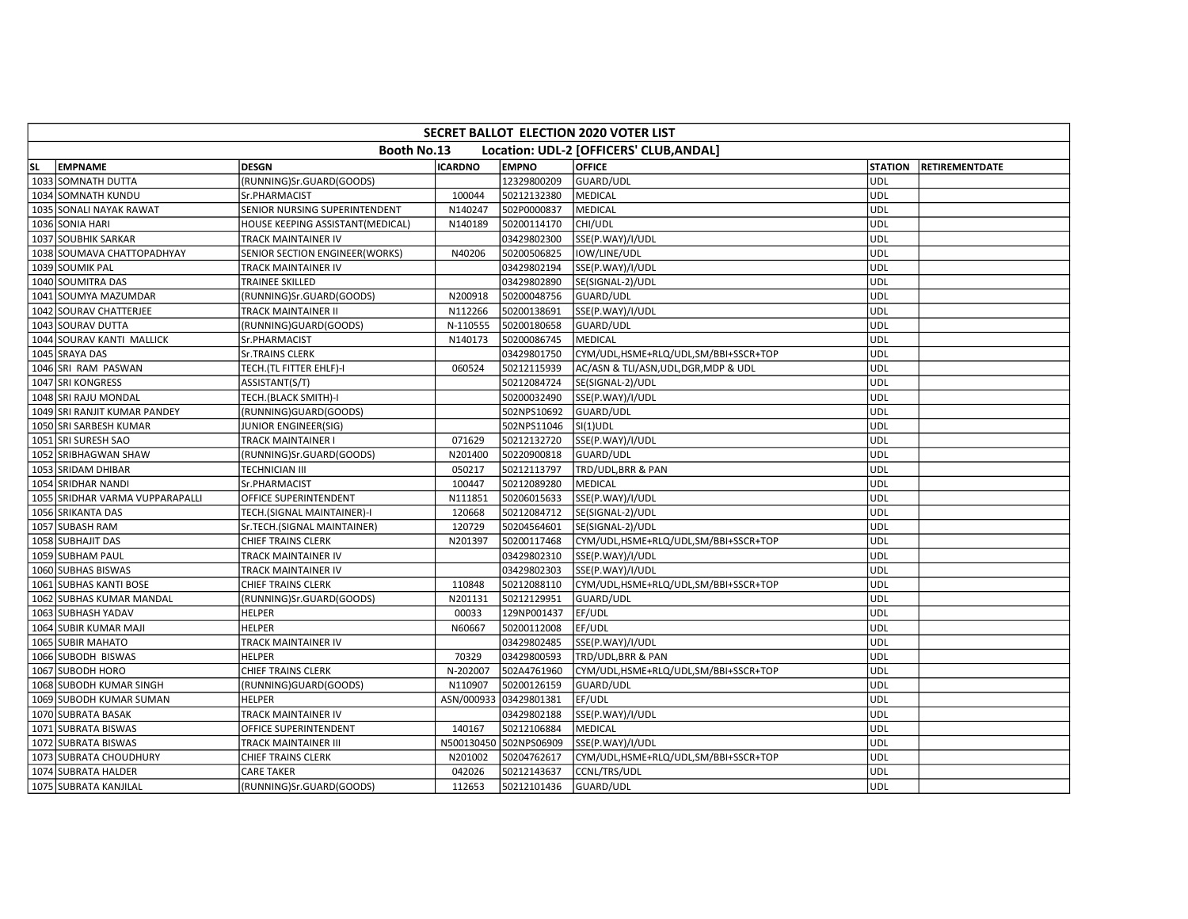| <b>SECRET BALLOT ELECTION 2020 VOTER LIST</b>          |                                 |                                  |                |                        |                                       |                |                       |  |
|--------------------------------------------------------|---------------------------------|----------------------------------|----------------|------------------------|---------------------------------------|----------------|-----------------------|--|
| Booth No.13<br>Location: UDL-2 [OFFICERS' CLUB, ANDAL] |                                 |                                  |                |                        |                                       |                |                       |  |
| lsl.                                                   | <b>EMPNAME</b>                  | <b>DESGN</b>                     | <b>ICARDNO</b> | <b>EMPNO</b>           | <b>OFFICE</b>                         | <b>STATION</b> | <b>RETIREMENTDATE</b> |  |
|                                                        | 1033 SOMNATH DUTTA              | (RUNNING)Sr.GUARD(GOODS)         |                | 12329800209            | GUARD/UDL                             | UDL            |                       |  |
|                                                        | 1034 SOMNATH KUNDU              | Sr.PHARMACIST                    | 100044         | 50212132380            | <b>MEDICAL</b>                        | <b>UDL</b>     |                       |  |
|                                                        | 1035 SONALI NAYAK RAWAT         | SENIOR NURSING SUPERINTENDENT    | N140247        | 502P0000837            | <b>MEDICAL</b>                        | UDL            |                       |  |
|                                                        | 1036 SONIA HARI                 | HOUSE KEEPING ASSISTANT(MEDICAL) | N140189        | 50200114170            | CHI/UDL                               | <b>UDL</b>     |                       |  |
|                                                        | 1037 SOUBHIK SARKAR             | TRACK MAINTAINER IV              |                | 03429802300            | SSE(P.WAY)/I/UDL                      | <b>UDL</b>     |                       |  |
|                                                        | 1038 SOUMAVA CHATTOPADHYAY      | SENIOR SECTION ENGINEER(WORKS)   | N40206         | 50200506825            | IOW/LINE/UDL                          | <b>UDL</b>     |                       |  |
|                                                        | 1039 SOUMIK PAL                 | TRACK MAINTAINER IV              |                | 03429802194            | SSE(P.WAY)/I/UDL                      | <b>UDL</b>     |                       |  |
|                                                        | 1040 SOUMITRA DAS               | TRAINEE SKILLED                  |                | 03429802890            | SE(SIGNAL-2)/UDL                      | UDL            |                       |  |
|                                                        | 1041 SOUMYA MAZUMDAR            | (RUNNING)Sr.GUARD(GOODS)         | N200918        | 50200048756            | GUARD/UDL                             | <b>UDL</b>     |                       |  |
|                                                        | 1042 SOURAV CHATTERJEE          | TRACK MAINTAINER II              | N112266        | 50200138691            | SSE(P.WAY)/I/UDL                      | UDL            |                       |  |
|                                                        | 1043 SOURAV DUTTA               | (RUNNING)GUARD(GOODS)            | N-110555       | 50200180658            | GUARD/UDL                             | <b>UDL</b>     |                       |  |
|                                                        | 1044 SOURAV KANTI MALLICK       | Sr.PHARMACIST                    | N140173        | 50200086745            | <b>MEDICAL</b>                        | <b>UDL</b>     |                       |  |
|                                                        | 1045 SRAYA DAS                  | <b>Sr.TRAINS CLERK</b>           |                | 03429801750            | CYM/UDL,HSME+RLQ/UDL,SM/BBI+SSCR+TOP  | <b>UDL</b>     |                       |  |
|                                                        | 1046 SRI RAM PASWAN             | TECH.(TL FITTER EHLF)-I          | 060524         | 50212115939            | AC/ASN & TLI/ASN, UDL, DGR, MDP & UDL | <b>UDL</b>     |                       |  |
|                                                        | 1047 SRI KONGRESS               | ASSISTANT(S/T)                   |                | 50212084724            | SE(SIGNAL-2)/UDL                      | <b>UDL</b>     |                       |  |
|                                                        | 1048 SRI RAJU MONDAL            | TECH.(BLACK SMITH)-I             |                | 50200032490            | SSE(P.WAY)/I/UDL                      | <b>UDL</b>     |                       |  |
|                                                        | 1049 SRI RANJIT KUMAR PANDEY    | (RUNNING)GUARD(GOODS)            |                | 502NPS10692            | <b>GUARD/UDL</b>                      | <b>UDL</b>     |                       |  |
|                                                        | 1050 SRI SARBESH KUMAR          | JUNIOR ENGINEER(SIG)             |                | 502NPS11046            | $SI(1)$ UDL                           | <b>UDL</b>     |                       |  |
|                                                        | 1051 SRI SURESH SAO             | TRACK MAINTAINER I               | 071629         | 50212132720            | SSE(P.WAY)/I/UDL                      | UDL            |                       |  |
|                                                        | 1052 SRIBHAGWAN SHAW            | (RUNNING)Sr.GUARD(GOODS)         | N201400        | 50220900818            | GUARD/UDL                             | <b>UDL</b>     |                       |  |
|                                                        | 1053 SRIDAM DHIBAR              | TECHNICIAN III                   | 050217         | 50212113797            | TRD/UDL, BRR & PAN                    | <b>UDL</b>     |                       |  |
|                                                        | 1054 SRIDHAR NANDI              | Sr.PHARMACIST                    | 100447         | 50212089280            | <b>MEDICAL</b>                        | <b>UDL</b>     |                       |  |
|                                                        | 1055 SRIDHAR VARMA VUPPARAPALLI | OFFICE SUPERINTENDENT            | N111851        | 50206015633            | SSE(P.WAY)/I/UDL                      | UDL            |                       |  |
|                                                        | 1056 SRIKANTA DAS               | TECH.(SIGNAL MAINTAINER)-I       | 120668         | 50212084712            | SE(SIGNAL-2)/UDL                      | <b>UDL</b>     |                       |  |
|                                                        | 1057 SUBASH RAM                 | Sr.TECH.(SIGNAL MAINTAINER)      | 120729         | 50204564601            | SE(SIGNAL-2)/UDL                      | <b>UDL</b>     |                       |  |
|                                                        | 1058 SUBHAJIT DAS               | CHIEF TRAINS CLERK               | N201397        | 50200117468            | CYM/UDL,HSME+RLQ/UDL,SM/BBI+SSCR+TOP  | UDL            |                       |  |
|                                                        | 1059 SUBHAM PAUL                | TRACK MAINTAINER IV              |                | 03429802310            | SSE(P.WAY)/I/UDL                      | <b>UDL</b>     |                       |  |
|                                                        | 1060 SUBHAS BISWAS              | TRACK MAINTAINER IV              |                | 03429802303            | SSE(P.WAY)/I/UDL                      | UDL            |                       |  |
|                                                        | 1061 SUBHAS KANTI BOSE          | CHIEF TRAINS CLERK               | 110848         | 50212088110            | CYM/UDL,HSME+RLQ/UDL,SM/BBI+SSCR+TOP  | <b>UDL</b>     |                       |  |
|                                                        | 1062 SUBHAS KUMAR MANDAL        | (RUNNING)Sr.GUARD(GOODS)         | N201131        | 50212129951            | GUARD/UDL                             | <b>UDL</b>     |                       |  |
|                                                        | 1063 SUBHASH YADAV              | <b>HELPER</b>                    | 00033          | 129NP001437            | EF/UDL                                | UDL            |                       |  |
|                                                        | 1064 SUBIR KUMAR MAJI           | <b>HELPER</b>                    | N60667         | 50200112008            | EF/UDL                                | <b>UDL</b>     |                       |  |
|                                                        | 1065 SUBIR MAHATO               | TRACK MAINTAINER IV              |                | 03429802485            | SSE(P.WAY)/I/UDL                      | <b>UDL</b>     |                       |  |
|                                                        | 1066 SUBODH BISWAS              | <b>HELPER</b>                    | 70329          | 03429800593            | TRD/UDL, BRR & PAN                    | <b>UDL</b>     |                       |  |
|                                                        | 1067 SUBODH HORO                | CHIEF TRAINS CLERK               | N-202007       | 502A4761960            | CYM/UDL,HSME+RLQ/UDL,SM/BBI+SSCR+TOP  | <b>UDL</b>     |                       |  |
|                                                        | 1068 SUBODH KUMAR SINGH         | (RUNNING)GUARD(GOODS)            | N110907        | 50200126159            | GUARD/UDL                             | UDL            |                       |  |
|                                                        | 1069 SUBODH KUMAR SUMAN         | <b>HELPER</b>                    | ASN/000933     | 03429801381            | EF/UDL                                | <b>UDL</b>     |                       |  |
|                                                        | 1070 SUBRATA BASAK              | TRACK MAINTAINER IV              |                | 03429802188            | SSE(P.WAY)/I/UDL                      | <b>UDL</b>     |                       |  |
|                                                        | 1071 SUBRATA BISWAS             | OFFICE SUPERINTENDENT            | 140167         | 50212106884            | MEDICAL                               | <b>UDL</b>     |                       |  |
|                                                        | 1072 SUBRATA BISWAS             | TRACK MAINTAINER III             |                | N500130450 502NPS06909 | SSE(P.WAY)/I/UDL                      | <b>UDL</b>     |                       |  |
|                                                        | 1073 SUBRATA CHOUDHURY          | CHIEF TRAINS CLERK               | N201002        | 50204762617            | CYM/UDL,HSME+RLQ/UDL,SM/BBI+SSCR+TOP  | UDL            |                       |  |
|                                                        | 1074 SUBRATA HALDER             | CARE TAKER                       | 042026         | 50212143637            | CCNL/TRS/UDL                          | <b>UDL</b>     |                       |  |
|                                                        | 1075 SUBRATA KANJILAL           | (RUNNING)Sr.GUARD(GOODS)         | 112653         | 50212101436            | GUARD/UDL                             | UDL            |                       |  |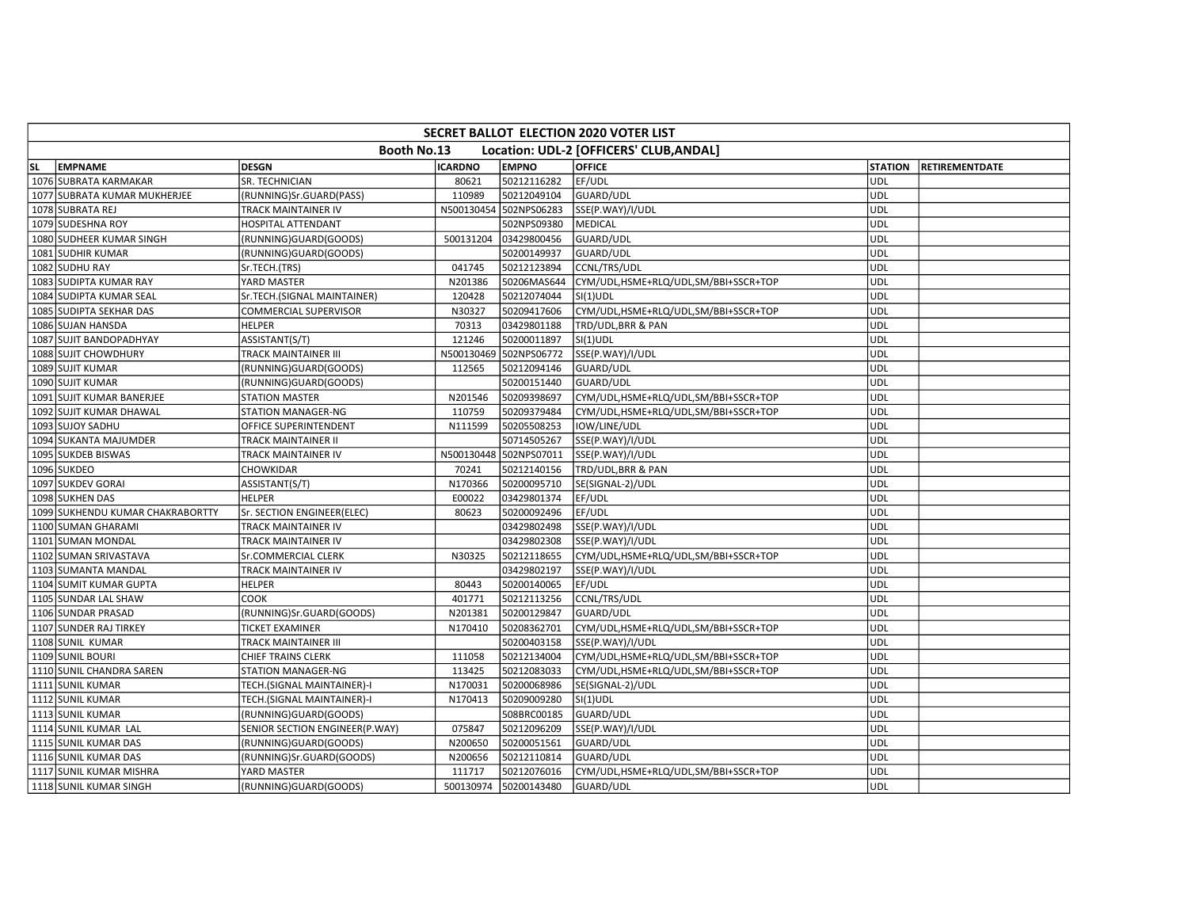| SECRET BALLOT ELECTION 2020 VOTER LIST                 |                                  |                                |                |                        |                                      |                |                       |  |
|--------------------------------------------------------|----------------------------------|--------------------------------|----------------|------------------------|--------------------------------------|----------------|-----------------------|--|
| Booth No.13<br>Location: UDL-2 [OFFICERS' CLUB, ANDAL] |                                  |                                |                |                        |                                      |                |                       |  |
| lsl.                                                   | <b>EMPNAME</b>                   | <b>DESGN</b>                   | <b>ICARDNO</b> | <b>EMPNO</b>           | <b>OFFICE</b>                        | <b>STATION</b> | <b>RETIREMENTDATE</b> |  |
|                                                        | 1076 SUBRATA KARMAKAR            | SR. TECHNICIAN                 | 80621          | 50212116282            | EF/UDL                               | UDL            |                       |  |
|                                                        | 1077 SUBRATA KUMAR MUKHERJEE     | (RUNNING)Sr.GUARD(PASS)        | 110989         | 50212049104            | GUARD/UDL                            | UDL            |                       |  |
|                                                        | 1078 SUBRATA REJ                 | TRACK MAINTAINER IV            |                | N500130454 502NPS06283 | SSE(P.WAY)/I/UDL                     | UDL            |                       |  |
|                                                        | 1079 SUDESHNA ROY                | HOSPITAL ATTENDANT             |                | 502NPS09380            | MEDICAL                              | <b>UDL</b>     |                       |  |
|                                                        | 1080 SUDHEER KUMAR SINGH         | (RUNNING)GUARD(GOODS)          | 500131204      | 03429800456            | GUARD/UDL                            | UDL            |                       |  |
|                                                        | 1081 SUDHIR KUMAR                | (RUNNING)GUARD(GOODS)          |                | 50200149937            | GUARD/UDL                            | <b>UDL</b>     |                       |  |
|                                                        | 1082 SUDHU RAY                   | Sr.TECH.(TRS)                  | 041745         | 50212123894            | CCNL/TRS/UDL                         | UDL            |                       |  |
|                                                        | 1083 SUDIPTA KUMAR RAY           | YARD MASTER                    | N201386        | 50206MAS644            | CYM/UDL,HSME+RLQ/UDL,SM/BBI+SSCR+TOP | UDL            |                       |  |
|                                                        | 1084 SUDIPTA KUMAR SEAL          | Sr.TECH.(SIGNAL MAINTAINER)    | 120428         | 50212074044            | SI(1)UDL                             | <b>UDL</b>     |                       |  |
|                                                        | 1085 SUDIPTA SEKHAR DAS          | COMMERCIAL SUPERVISOR          | N30327         | 50209417606            | CYM/UDL,HSME+RLQ/UDL,SM/BBI+SSCR+TOP | UDL            |                       |  |
|                                                        | 1086 SUJAN HANSDA                | <b>HELPER</b>                  | 70313          | 03429801188            | TRD/UDL, BRR & PAN                   | <b>UDL</b>     |                       |  |
|                                                        | 1087 SUJIT BANDOPADHYAY          | ASSISTANT(S/T)                 | 121246         | 50200011897            | $SI(1)$ UDL                          | UDL            |                       |  |
|                                                        | 1088 SUJIT CHOWDHURY             | TRACK MAINTAINER III           |                | N500130469 502NPS06772 | SSE(P.WAY)/I/UDL                     | <b>UDL</b>     |                       |  |
|                                                        | 1089 SUJIT KUMAR                 | (RUNNING)GUARD(GOODS)          | 112565         | 50212094146            | GUARD/UDL                            | <b>UDL</b>     |                       |  |
|                                                        | 1090 SUJIT KUMAR                 | (RUNNING)GUARD(GOODS)          |                | 50200151440            | GUARD/UDL                            | <b>UDL</b>     |                       |  |
|                                                        | 1091 SUJIT KUMAR BANERJEE        | STATION MASTER                 | N201546        | 50209398697            | CYM/UDL,HSME+RLQ/UDL,SM/BBI+SSCR+TOP | UDL            |                       |  |
|                                                        | 1092 SUJIT KUMAR DHAWAL          | STATION MANAGER-NG             | 110759         | 50209379484            | CYM/UDL,HSME+RLQ/UDL,SM/BBI+SSCR+TOP | <b>UDL</b>     |                       |  |
|                                                        | 1093 SUJOY SADHU                 | OFFICE SUPERINTENDENT          | N111599        | 50205508253            | IOW/LINE/UDL                         | <b>UDL</b>     |                       |  |
|                                                        | 1094 SUKANTA MAJUMDER            | TRACK MAINTAINER II            |                | 50714505267            | SSE(P.WAY)/I/UDL                     | <b>UDL</b>     |                       |  |
|                                                        | 1095 SUKDEB BISWAS               | TRACK MAINTAINER IV            |                | N500130448 502NPS07011 | SSE(P.WAY)/I/UDL                     | <b>UDL</b>     |                       |  |
|                                                        | 1096 SUKDEO                      | CHOWKIDAR                      | 70241          | 50212140156            | TRD/UDL, BRR & PAN                   | UDL            |                       |  |
|                                                        | 1097 SUKDEV GORAI                | ASSISTANT(S/T)                 | N170366        | 50200095710            | SE(SIGNAL-2)/UDL                     | UDL            |                       |  |
|                                                        | 1098 SUKHEN DAS                  | HELPER                         | E00022         | 03429801374            | EF/UDL                               | <b>UDL</b>     |                       |  |
|                                                        | 1099 SUKHENDU KUMAR CHAKRABORTTY | Sr. SECTION ENGINEER(ELEC)     | 80623          | 50200092496            | EF/UDL                               | <b>UDL</b>     |                       |  |
|                                                        | 1100 SUMAN GHARAMI               | TRACK MAINTAINER IV            |                | 03429802498            | SSE(P.WAY)/I/UDL                     | <b>UDL</b>     |                       |  |
|                                                        | 1101 SUMAN MONDAL                | TRACK MAINTAINER IV            |                | 03429802308            | SSE(P.WAY)/I/UDL                     | UDL            |                       |  |
|                                                        | 1102 SUMAN SRIVASTAVA            | Sr.COMMERCIAL CLERK            | N30325         | 50212118655            | CYM/UDL,HSME+RLQ/UDL,SM/BBI+SSCR+TOP | <b>UDL</b>     |                       |  |
|                                                        | 1103 SUMANTA MANDAL              | TRACK MAINTAINER IV            |                | 03429802197            | SSE(P.WAY)/I/UDL                     | <b>UDL</b>     |                       |  |
|                                                        | 1104 SUMIT KUMAR GUPTA           | <b>HELPER</b>                  | 80443          | 50200140065            | EF/UDL                               | <b>UDL</b>     |                       |  |
|                                                        | 1105 SUNDAR LAL SHAW             | соок                           | 401771         | 50212113256            | CCNL/TRS/UDL                         | <b>UDL</b>     |                       |  |
|                                                        | 1106 SUNDAR PRASAD               | (RUNNING)Sr.GUARD(GOODS)       | N201381        | 50200129847            | GUARD/UDL                            | UDL            |                       |  |
|                                                        | 1107 SUNDER RAJ TIRKEY           | TICKET EXAMINER                | N170410        | 50208362701            | CYM/UDL,HSME+RLQ/UDL,SM/BBI+SSCR+TOP | <b>UDL</b>     |                       |  |
|                                                        | 1108 SUNIL KUMAR                 | TRACK MAINTAINER III           |                | 50200403158            | SSE(P.WAY)/I/UDL                     | <b>UDL</b>     |                       |  |
|                                                        | 1109 SUNIL BOURI                 | CHIEF TRAINS CLERK             | 111058         | 50212134004            | CYM/UDL,HSME+RLQ/UDL,SM/BBI+SSCR+TOP | <b>UDL</b>     |                       |  |
|                                                        | 1110 SUNIL CHANDRA SAREN         | STATION MANAGER-NG             | 113425         | 50212083033            | CYM/UDL,HSME+RLQ/UDL,SM/BBI+SSCR+TOP | <b>UDL</b>     |                       |  |
|                                                        | 1111 SUNIL KUMAR                 | TECH.(SIGNAL MAINTAINER)-I     | N170031        | 50200068986            | SE(SIGNAL-2)/UDL                     | UDL            |                       |  |
|                                                        | 1112 SUNIL KUMAR                 | TECH.(SIGNAL MAINTAINER)-I     | N170413        | 50209009280            | $SI(1)$ UDL                          | <b>UDL</b>     |                       |  |
|                                                        | 1113 SUNIL KUMAR                 | (RUNNING)GUARD(GOODS)          |                | 508BRC00185            | GUARD/UDL                            | UDL            |                       |  |
|                                                        | 1114 SUNIL KUMAR LAL             | SENIOR SECTION ENGINEER(P.WAY) | 075847         | 50212096209            | SSE(P.WAY)/I/UDL                     | <b>UDL</b>     |                       |  |
|                                                        | 1115 SUNIL KUMAR DAS             | (RUNNING)GUARD(GOODS)          | N200650        | 50200051561            | GUARD/UDL                            | UDL            |                       |  |
|                                                        | 1116 SUNIL KUMAR DAS             | (RUNNING)Sr.GUARD(GOODS)       | N200656        | 50212110814            | GUARD/UDL                            | UDL            |                       |  |
|                                                        | 1117 SUNIL KUMAR MISHRA          | YARD MASTER                    | 111717         | 50212076016            | CYM/UDL,HSME+RLQ/UDL,SM/BBI+SSCR+TOP | <b>UDL</b>     |                       |  |
|                                                        | 1118 SUNIL KUMAR SINGH           | (RUNNING)GUARD(GOODS)          |                | 500130974 50200143480  | <b>GUARD/UDL</b>                     | <b>UDL</b>     |                       |  |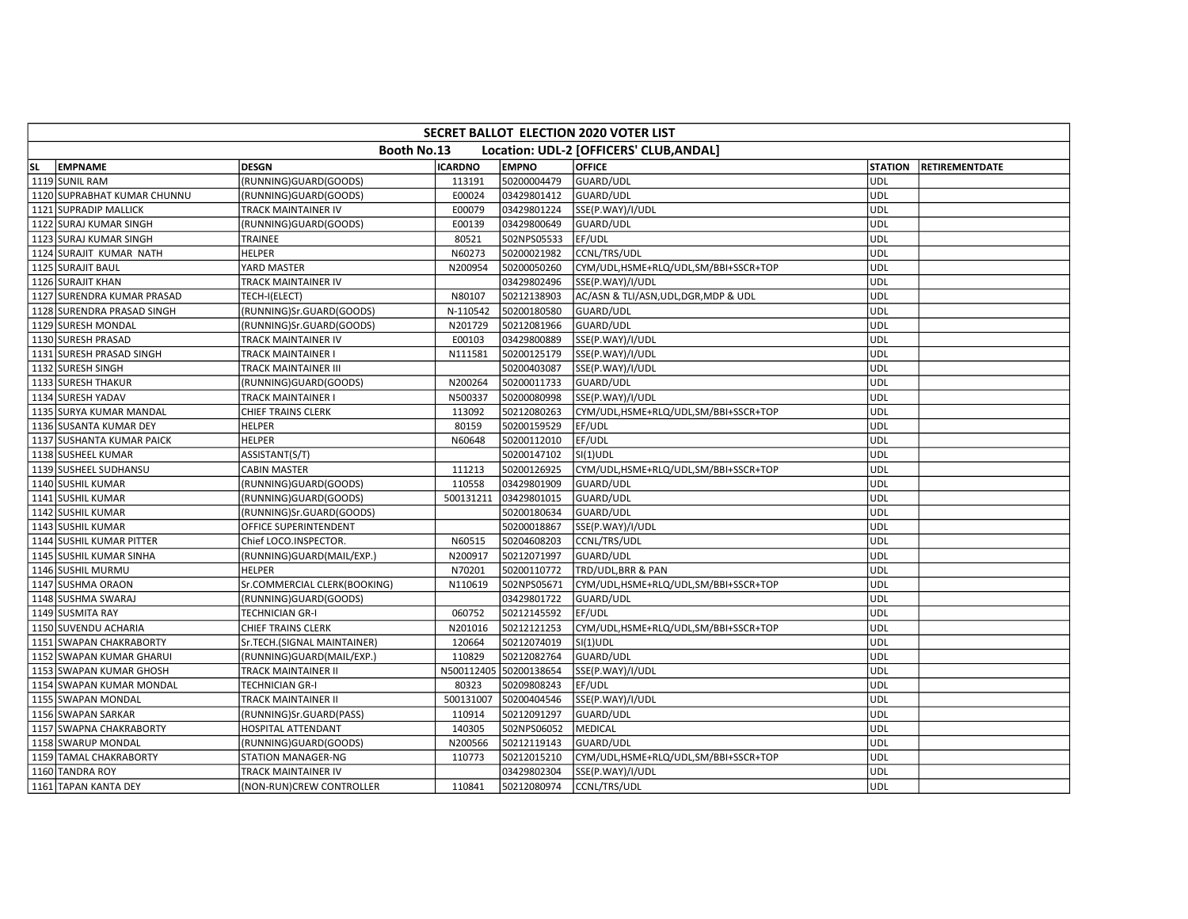| <b>SECRET BALLOT ELECTION 2020 VOTER LIST</b>                 |                             |                              |                |              |                                       |                |                       |  |
|---------------------------------------------------------------|-----------------------------|------------------------------|----------------|--------------|---------------------------------------|----------------|-----------------------|--|
| Location: UDL-2 [OFFICERS' CLUB, ANDAL]<br><b>Booth No.13</b> |                             |                              |                |              |                                       |                |                       |  |
| <b>SL</b>                                                     | <b>EMPNAME</b>              | <b>DESGN</b>                 | <b>ICARDNO</b> | <b>EMPNO</b> | <b>OFFICE</b>                         | <b>STATION</b> | <b>RETIREMENTDATE</b> |  |
|                                                               | 1119 SUNIL RAM              | (RUNNING)GUARD(GOODS)        | 113191         | 50200004479  | GUARD/UDL                             | <b>UDL</b>     |                       |  |
|                                                               | 1120 SUPRABHAT KUMAR CHUNNU | (RUNNING)GUARD(GOODS)        | E00024         | 03429801412  | <b>GUARD/UDL</b>                      | <b>UDL</b>     |                       |  |
|                                                               | 1121 SUPRADIP MALLICK       | TRACK MAINTAINER IV          | E00079         | 03429801224  | SSE(P.WAY)/I/UDL                      | <b>UDL</b>     |                       |  |
|                                                               | 1122 SURAJ KUMAR SINGH      | (RUNNING)GUARD(GOODS)        | E00139         | 03429800649  | GUARD/UDL                             | UDL            |                       |  |
|                                                               | 1123 SURAJ KUMAR SINGH      | TRAINEE                      | 80521          | 502NPS05533  | EF/UDL                                | <b>UDL</b>     |                       |  |
|                                                               | 1124 SURAJIT KUMAR NATH     | <b>HELPER</b>                | N60273         | 50200021982  | CCNL/TRS/UDL                          | UDL            |                       |  |
|                                                               | 1125 SURAJIT BAUL           | YARD MASTER                  | N200954        | 50200050260  | CYM/UDL,HSME+RLQ/UDL,SM/BBI+SSCR+TOP  | <b>UDL</b>     |                       |  |
|                                                               | 1126 SURAJIT KHAN           | TRACK MAINTAINER IV          |                | 03429802496  | SSE(P.WAY)/I/UDL                      | <b>UDL</b>     |                       |  |
|                                                               | 1127 SURENDRA KUMAR PRASAD  | TECH-I(ELECT)                | N80107         | 50212138903  | AC/ASN & TLI/ASN, UDL, DGR, MDP & UDL | UDL            |                       |  |
|                                                               | 1128 SURENDRA PRASAD SINGH  | (RUNNING)Sr.GUARD(GOODS)     | N-110542       | 50200180580  | GUARD/UDL                             | <b>UDL</b>     |                       |  |
|                                                               | 1129 SURESH MONDAL          | (RUNNING)Sr.GUARD(GOODS)     | N201729        | 50212081966  | GUARD/UDL                             | <b>UDL</b>     |                       |  |
|                                                               | 1130 SURESH PRASAD          | TRACK MAINTAINER IV          | E00103         | 03429800889  | SSE(P.WAY)/I/UDL                      | <b>UDL</b>     |                       |  |
|                                                               | 1131 SURESH PRASAD SINGH    | TRACK MAINTAINER I           | N111581        | 50200125179  | SSE(P.WAY)/I/UDL                      | <b>UDL</b>     |                       |  |
|                                                               | 1132 SURESH SINGH           | TRACK MAINTAINER III         |                | 50200403087  | SSE(P.WAY)/I/UDL                      | <b>UDL</b>     |                       |  |
|                                                               | 1133 SURESH THAKUR          | (RUNNING)GUARD(GOODS)        | N200264        | 50200011733  | GUARD/UDL                             | <b>UDL</b>     |                       |  |
|                                                               | 1134 SURESH YADAV           | <b>TRACK MAINTAINER I</b>    | N500337        | 50200080998  | SSE(P.WAY)/I/UDL                      | UDL            |                       |  |
|                                                               | 1135 SURYA KUMAR MANDAL     | CHIEF TRAINS CLERK           | 113092         | 50212080263  | CYM/UDL,HSME+RLQ/UDL,SM/BBI+SSCR+TOP  | UDL            |                       |  |
|                                                               | 1136 SUSANTA KUMAR DEY      | <b>HELPER</b>                | 80159          | 50200159529  | EF/UDL                                | <b>UDL</b>     |                       |  |
|                                                               | 1137 SUSHANTA KUMAR PAICK   | <b>HELPER</b>                | N60648         | 50200112010  | EF/UDL                                | <b>UDL</b>     |                       |  |
|                                                               | 1138 SUSHEEL KUMAR          | ASSISTANT(S/T)               |                | 50200147102  | $SI(1)$ UDL                           | <b>UDL</b>     |                       |  |
|                                                               | 1139 SUSHEEL SUDHANSU       | <b>CABIN MASTER</b>          | 111213         | 50200126925  | CYM/UDL,HSME+RLQ/UDL,SM/BBI+SSCR+TOP  | UDL            |                       |  |
|                                                               | 1140 SUSHIL KUMAR           | (RUNNING)GUARD(GOODS)        | 110558         | 03429801909  | GUARD/UDL                             | <b>UDL</b>     |                       |  |
|                                                               | 1141 SUSHIL KUMAR           | (RUNNING)GUARD(GOODS)        | 500131211      | 03429801015  | GUARD/UDL                             | <b>UDL</b>     |                       |  |
|                                                               | 1142 SUSHIL KUMAR           | (RUNNING)Sr.GUARD(GOODS)     |                | 50200180634  | GUARD/UDL                             | <b>UDL</b>     |                       |  |
|                                                               | 1143 SUSHIL KUMAR           | OFFICE SUPERINTENDENT        |                | 50200018867  | SSE(P.WAY)/I/UDL                      | UDL            |                       |  |
|                                                               | 1144 SUSHIL KUMAR PITTER    | Chief LOCO.INSPECTOR.        | N60515         | 50204608203  | CCNL/TRS/UDL                          | <b>UDL</b>     |                       |  |
|                                                               | 1145 SUSHIL KUMAR SINHA     | (RUNNING)GUARD(MAIL/EXP.)    | N200917        | 50212071997  | GUARD/UDL                             | <b>UDL</b>     |                       |  |
|                                                               | 1146 SUSHIL MURMU           | <b>HELPER</b>                | N70201         | 50200110772  | TRD/UDL, BRR & PAN                    | UDL            |                       |  |
|                                                               | 1147 SUSHMA ORAON           | Sr.COMMERCIAL CLERK(BOOKING) | N110619        | 502NPS05671  | CYM/UDL,HSME+RLQ/UDL,SM/BBI+SSCR+TOP  | <b>UDL</b>     |                       |  |
|                                                               | 1148 SUSHMA SWARAJ          | (RUNNING)GUARD(GOODS)        |                | 03429801722  | <b>GUARD/UDL</b>                      | UDL            |                       |  |
|                                                               | 1149 SUSMITA RAY            | <b>TECHNICIAN GR-I</b>       | 060752         | 50212145592  | EF/UDL                                | <b>UDL</b>     |                       |  |
|                                                               | 1150 SUVENDU ACHARIA        | <b>CHIEF TRAINS CLERK</b>    | N201016        | 50212121253  | CYM/UDL,HSME+RLQ/UDL,SM/BBI+SSCR+TOP  | UDL            |                       |  |
|                                                               | 1151 SWAPAN CHAKRABORTY     | Sr.TECH.(SIGNAL MAINTAINER)  | 120664         | 50212074019  | $SI(1)$ UDL                           | <b>UDL</b>     |                       |  |
|                                                               | 1152 SWAPAN KUMAR GHARUI    | (RUNNING)GUARD(MAIL/EXP.]    | 110829         | 50212082764  | GUARD/UDL                             | UDL            |                       |  |
|                                                               | 1153 SWAPAN KUMAR GHOSH     | TRACK MAINTAINER II          | N500112405     | 50200138654  | SSE(P.WAY)/I/UDL                      | <b>UDL</b>     |                       |  |
|                                                               | 1154 SWAPAN KUMAR MONDAL    | TECHNICIAN GR-I              | 80323          | 50209808243  | EF/UDL                                | <b>UDL</b>     |                       |  |
|                                                               | 1155 SWAPAN MONDAL          | TRACK MAINTAINER II          | 500131007      | 50200404546  | SSE(P.WAY)/I/UDL                      | UDL            |                       |  |
|                                                               | 1156 SWAPAN SARKAR          | (RUNNING)Sr.GUARD(PASS)      | 110914         | 50212091297  | GUARD/UDL                             | <b>UDL</b>     |                       |  |
|                                                               | 1157 SWAPNA CHAKRABORTY     | HOSPITAL ATTENDANT           | 140305         | 502NPS06052  | <b>MEDICAL</b>                        | <b>UDL</b>     |                       |  |
|                                                               | 1158 SWARUP MONDAL          | (RUNNING)GUARD(GOODS)        | N200566        | 50212119143  | GUARD/UDL                             | <b>UDL</b>     |                       |  |
|                                                               | 1159 TAMAL CHAKRABORTY      | STATION MANAGER-NG           | 110773         | 50212015210  | CYM/UDL,HSME+RLQ/UDL,SM/BBI+SSCR+TOP  | UDL            |                       |  |
|                                                               | 1160 TANDRA ROY             | TRACK MAINTAINER IV          |                | 03429802304  | SSE(P.WAY)/I/UDL                      | <b>UDL</b>     |                       |  |
|                                                               | 1161 TAPAN KANTA DEY        | (NON-RUN)CREW CONTROLLER     | 110841         | 50212080974  | CCNL/TRS/UDL                          | UDL            |                       |  |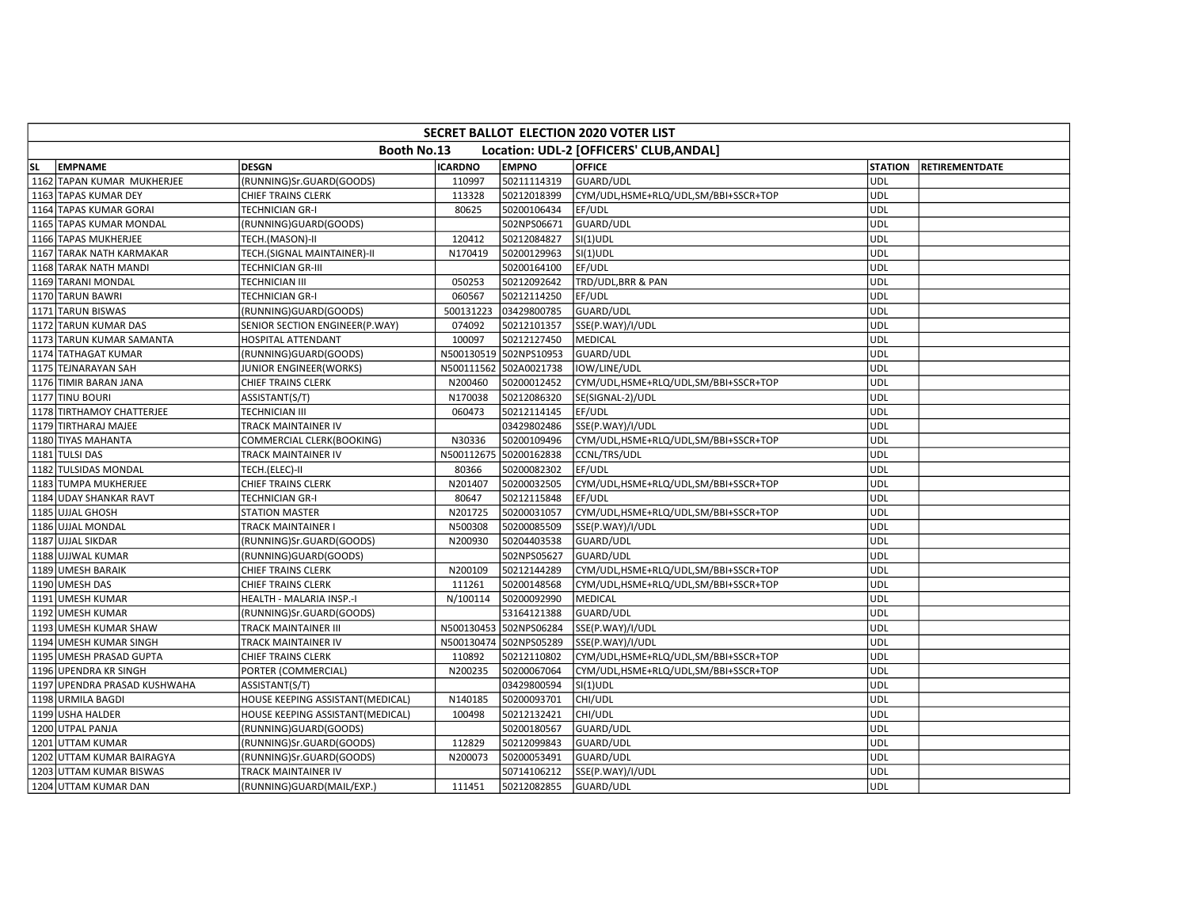| SECRET BALLOT ELECTION 2020 VOTER LIST                 |                              |                                  |                |                        |                                      |                |                       |  |
|--------------------------------------------------------|------------------------------|----------------------------------|----------------|------------------------|--------------------------------------|----------------|-----------------------|--|
| Booth No.13<br>Location: UDL-2 [OFFICERS' CLUB, ANDAL] |                              |                                  |                |                        |                                      |                |                       |  |
| lsl.                                                   | <b>EMPNAME</b>               | <b>DESGN</b>                     | <b>ICARDNO</b> | <b>EMPNO</b>           | <b>OFFICE</b>                        | <b>STATION</b> | <b>RETIREMENTDATE</b> |  |
|                                                        | 1162 TAPAN KUMAR MUKHERJEE   | (RUNNING)Sr.GUARD(GOODS)         | 110997         | 50211114319            | GUARD/UDL                            | <b>UDL</b>     |                       |  |
|                                                        | 1163 TAPAS KUMAR DEY         | CHIEF TRAINS CLERK               | 113328         | 50212018399            | CYM/UDL,HSME+RLQ/UDL,SM/BBI+SSCR+TOP | <b>UDL</b>     |                       |  |
|                                                        | 1164 TAPAS KUMAR GORAI       | TECHNICIAN GR-I                  | 80625          | 50200106434            | EF/UDL                               | UDL            |                       |  |
|                                                        | 1165 TAPAS KUMAR MONDAL      | (RUNNING)GUARD(GOODS)            |                | 502NPS06671            | GUARD/UDL                            | <b>UDL</b>     |                       |  |
|                                                        | 1166 TAPAS MUKHERJEE         | TECH.(MASON)-II                  | 120412         | 50212084827            | $SI(1)$ UDL                          | <b>UDL</b>     |                       |  |
|                                                        | 1167 TARAK NATH KARMAKAR     | TECH.(SIGNAL MAINTAINER)-II      | N170419        | 50200129963            | $SI(1)$ UDL                          | <b>UDL</b>     |                       |  |
|                                                        | 1168 TARAK NATH MANDI        | TECHNICIAN GR-III                |                | 50200164100            | EF/UDL                               | <b>UDL</b>     |                       |  |
|                                                        | 1169 TARANI MONDAL           | <b>TECHNICIAN III</b>            | 050253         | 50212092642            | TRD/UDL, BRR & PAN                   | <b>UDL</b>     |                       |  |
|                                                        | 1170 TARUN BAWRI             | TECHNICIAN GR-I                  | 060567         | 50212114250            | EF/UDL                               | UDL            |                       |  |
|                                                        | 1171 TARUN BISWAS            | (RUNNING)GUARD(GOODS)            | 500131223      | 03429800785            | GUARD/UDL                            | <b>UDL</b>     |                       |  |
|                                                        | 1172 TARUN KUMAR DAS         | SENIOR SECTION ENGINEER(P.WAY)   | 074092         | 50212101357            | SSE(P.WAY)/I/UDL                     | UDL            |                       |  |
|                                                        | 1173 TARUN KUMAR SAMANTA     | <b>HOSPITAL ATTENDANT</b>        | 100097         | 50212127450            | MEDICAL                              | <b>UDL</b>     |                       |  |
|                                                        | 1174 TATHAGAT KUMAR          | (RUNNING)GUARD(GOODS)            |                | N500130519 502NPS10953 | GUARD/UDL                            | <b>UDL</b>     |                       |  |
|                                                        | 1175 TEJNARAYAN SAH          | JUNIOR ENGINEER(WORKS)           |                | N500111562 502A0021738 | IOW/LINE/UDL                         | <b>UDL</b>     |                       |  |
|                                                        | 1176 TIMIR BARAN JANA        | CHIEF TRAINS CLERK               | N200460        | 50200012452            | CYM/UDL,HSME+RLQ/UDL,SM/BBI+SSCR+TOP | <b>UDL</b>     |                       |  |
|                                                        | 1177 TINU BOURI              | ASSISTANT(S/T)                   | N170038        | 50212086320            | SE(SIGNAL-2)/UDL                     | UDL            |                       |  |
|                                                        | 1178 TIRTHAMOY CHATTERJEE    | TECHNICIAN III                   | 060473         | 50212114145            | EF/UDL                               | <b>UDL</b>     |                       |  |
|                                                        | 1179 TIRTHARAJ MAJEE         | TRACK MAINTAINER IV              |                | 03429802486            | SSE(P.WAY)/I/UDL                     | <b>UDL</b>     |                       |  |
|                                                        | 1180 TIYAS MAHANTA           | COMMERCIAL CLERK(BOOKING)        | N30336         | 50200109496            | CYM/UDL,HSME+RLQ/UDL,SM/BBI+SSCR+TOP | <b>UDL</b>     |                       |  |
|                                                        | 1181 TULSI DAS               | TRACK MAINTAINER IV              |                | N500112675 50200162838 | CCNL/TRS/UDL                         | <b>UDL</b>     |                       |  |
|                                                        | 1182 TULSIDAS MONDAL         | TECH.(ELEC)-II                   | 80366          | 50200082302            | EF/UDL                               | UDL            |                       |  |
|                                                        | 1183 TUMPA MUKHERJEE         | CHIEF TRAINS CLERK               | N201407        | 50200032505            | CYM/UDL,HSME+RLQ/UDL,SM/BBI+SSCR+TOP | <b>UDL</b>     |                       |  |
|                                                        | 1184 UDAY SHANKAR RAVT       | TECHNICIAN GR-I                  | 80647          | 50212115848            | EF/UDL                               | <b>UDL</b>     |                       |  |
|                                                        | 1185 UJJAL GHOSH             | <b>STATION MASTER</b>            | N201725        | 50200031057            | CYM/UDL,HSME+RLQ/UDL,SM/BBI+SSCR+TOP | <b>UDL</b>     |                       |  |
|                                                        | 1186 UJJAL MONDAL            | TRACK MAINTAINER I               | N500308        | 50200085509            | SSE(P.WAY)/I/UDL                     | <b>UDL</b>     |                       |  |
|                                                        | 1187 UJJAL SIKDAR            | (RUNNING)Sr.GUARD(GOODS)         | N200930        | 50204403538            | <b>GUARD/UDL</b>                     | UDL            |                       |  |
|                                                        | 1188 UJJWAL KUMAR            | (RUNNING)GUARD(GOODS)            |                | 502NPS05627            | GUARD/UDL                            | UDL            |                       |  |
|                                                        | 1189 UMESH BARAIK            | CHIEF TRAINS CLERK               | N200109        | 50212144289            | CYM/UDL,HSME+RLQ/UDL,SM/BBI+SSCR+TOP | UDL            |                       |  |
|                                                        | 1190 UMESH DAS               | CHIEF TRAINS CLERK               | 111261         | 50200148568            | CYM/UDL,HSME+RLQ/UDL,SM/BBI+SSCR+TOP | <b>UDL</b>     |                       |  |
|                                                        | 1191 UMESH KUMAR             | HEALTH - MALARIA INSP.-I         | N/100114       | 50200092990            | <b>MEDICAL</b>                       | <b>UDL</b>     |                       |  |
|                                                        | 1192 UMESH KUMAR             | (RUNNING)Sr.GUARD(GOODS)         |                | 53164121388            | GUARD/UDL                            | UDL            |                       |  |
|                                                        | 1193 UMESH KUMAR SHAW        | TRACK MAINTAINER III             |                | N500130453 502NPS06284 | SSE(P.WAY)/I/UDL                     | <b>UDL</b>     |                       |  |
|                                                        | 1194 UMESH KUMAR SINGH       | TRACK MAINTAINER IV              |                | N500130474 502NPS05289 | SSE(P.WAY)/I/UDL                     | UDL            |                       |  |
|                                                        | 1195 UMESH PRASAD GUPTA      | <b>CHIEF TRAINS CLERK</b>        | 110892         | 50212110802            | CYM/UDL,HSME+RLQ/UDL,SM/BBI+SSCR+TOP | <b>UDL</b>     |                       |  |
|                                                        | 1196 UPENDRA KR SINGH        | PORTER (COMMERCIAL)              | N200235        | 50200067064            | CYM/UDL,HSME+RLQ/UDL,SM/BBI+SSCR+TOP | <b>UDL</b>     |                       |  |
|                                                        | 1197 UPENDRA PRASAD KUSHWAHA | ASSISTANT(S/T)                   |                | 03429800594            | $SI(1)$ UDL                          | <b>UDL</b>     |                       |  |
|                                                        | 1198 URMILA BAGDI            | HOUSE KEEPING ASSISTANT(MEDICAL) | N140185        | 50200093701            | CHI/UDL                              | <b>UDL</b>     |                       |  |
|                                                        | 1199 USHA HALDER             | HOUSE KEEPING ASSISTANT(MEDICAL) | 100498         | 50212132421            | CHI/UDL                              | UDL            |                       |  |
|                                                        | 1200 UTPAL PANJA             | (RUNNING)GUARD(GOODS)            |                | 50200180567            | GUARD/UDL                            | <b>UDL</b>     |                       |  |
|                                                        | 1201 UTTAM KUMAR             | (RUNNING)Sr.GUARD(GOODS)         | 112829         | 50212099843            | <b>GUARD/UDL</b>                     | <b>UDL</b>     |                       |  |
|                                                        | 1202 UTTAM KUMAR BAIRAGYA    | (RUNNING)Sr.GUARD(GOODS)         | N200073        | 50200053491            | GUARD/UDL                            | <b>UDL</b>     |                       |  |
|                                                        | 1203 UTTAM KUMAR BISWAS      | TRACK MAINTAINER IV              |                | 50714106212            | SSE(P.WAY)/I/UDL                     | <b>UDL</b>     |                       |  |
|                                                        | 1204 UTTAM KUMAR DAN         | (RUNNING)GUARD(MAIL/EXP.)        | 111451         | 50212082855            | GUARD/UDL                            | UDL            |                       |  |